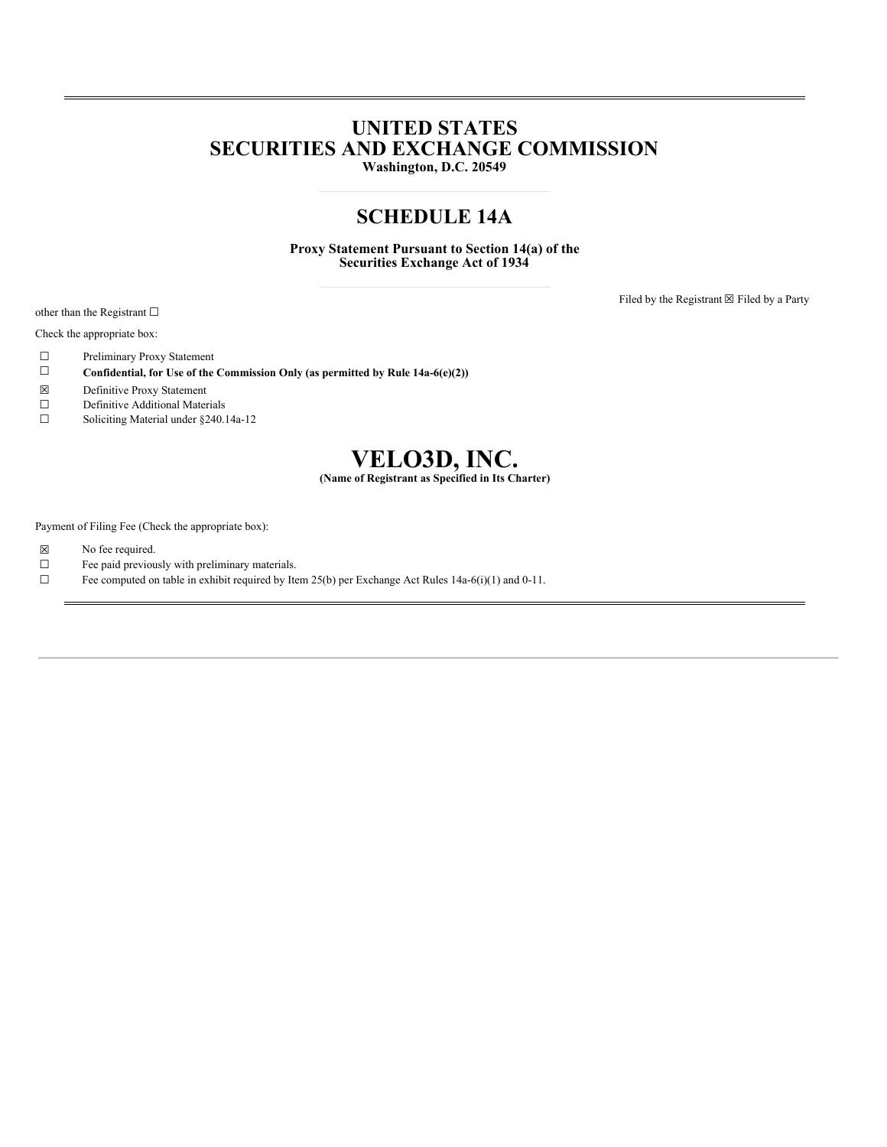# **UNITED STATES SECURITIES AND EXCHANGE COMMISSION**

**Washington, D.C. 20549**

# **SCHEDULE 14A**

**Proxy Statement Pursuant to Section 14(a) of the Securities Exchange Act of 1934**

other than the Registrant □

Check the appropriate box:

- ☐ Preliminary Proxy Statement
- ☐ **Confidential, for Use of the Commission Only (as permitted by Rule 14a-6(e)(2))**
- ☒ Definitive Proxy Statement
- ☐ Definitive Additional Materials
- ☐ Soliciting Material under §240.14a-12



Payment of Filing Fee (Check the appropriate box):

- ☒ No fee required.
- $\Box$  Fee paid previously with preliminary materials.<br> $\Box$  Fee computed on table in exhibit required by Ite
- Fee computed on table in exhibit required by Item 25(b) per Exchange Act Rules 14a-6(i)(1) and 0-11.

Filed by the Registrant  $\boxtimes$  Filed by a Party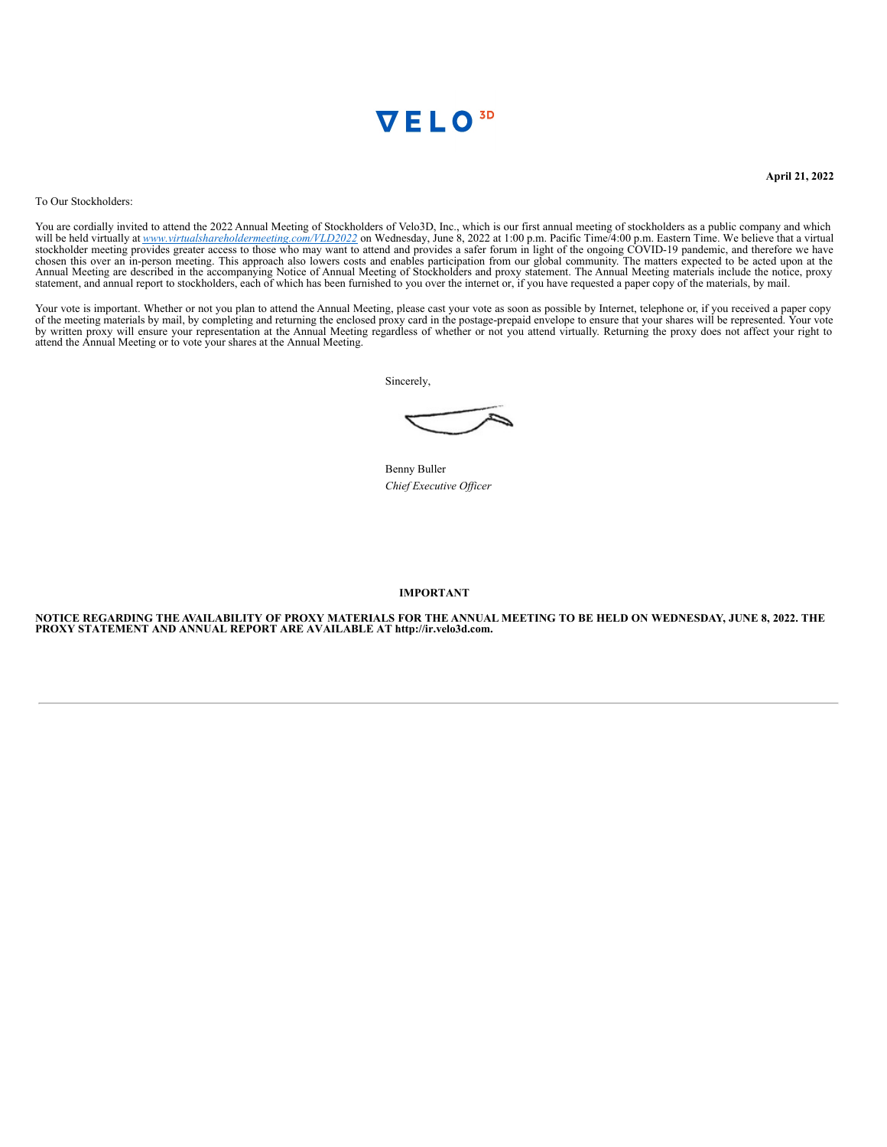

**April 21, 2022**

To Our Stockholders:

You are cordially invited to attend the 2022 Annual Meeting of Stockholders of Velo3D, Inc., which is our first annual meeting of stockholders as a public company and which will be held virtually at www.virtualshareholdermeeting.com/VLD2022 on Wednesday, June 8, 2022 at 1:00 p.m. Pacific Time/4:00 p.m. Eastern Time. We believe that a virtual stockholder meeting provides greater access to thos chosen this over an in-person meeting. This approach also lowers costs and enables participation from our global community. The matters expected to be acted upon at the Annual Meeting are described in the accompanying Noti

Your vote is important. Whether or not you plan to attend the Annual Meeting, please cast your vote as soon as possible by Internet, telephone or, if you received a paper copy of the meeting materials by mail, by completin attend the Annual Meeting or to vote your shares at the Annual Meeting.

Sincerely,

Benny Buller *Chief Executive Of icer*

#### **IMPORTANT**

NOTICE REGARDING THE AVAILABILITY OF PROXY MATERIALS FOR THE ANNUAL MEETING TO BE HELD ON WEDNESDAY, JUNE 8, 2022. THE **PROXY STATEMENT AND ANNUAL REPORT ARE AVAILABLE AT http://ir.velo3d.com.**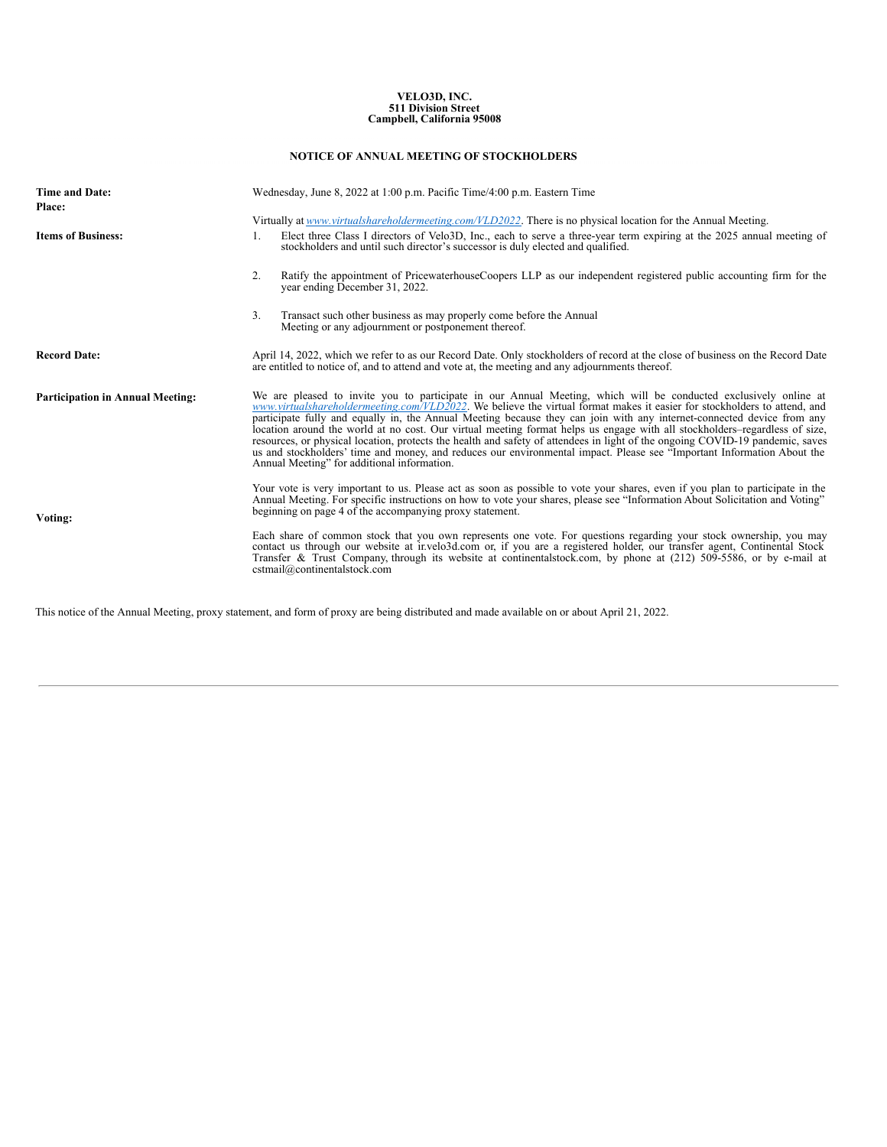# **VELO3D, INC. 511 Division Street Campbell, California 95008**

### **NOTICE OF ANNUAL MEETING OF STOCKHOLDERS**

| <b>Time and Date:</b><br><b>Place:</b>  | Wednesday, June 8, 2022 at 1:00 p.m. Pacific Time/4:00 p.m. Eastern Time                                                                                                                                                                                                                                                                                                                                                                                                                                                                                                                                                                                                                                                                                                                                       |  |  |  |  |
|-----------------------------------------|----------------------------------------------------------------------------------------------------------------------------------------------------------------------------------------------------------------------------------------------------------------------------------------------------------------------------------------------------------------------------------------------------------------------------------------------------------------------------------------------------------------------------------------------------------------------------------------------------------------------------------------------------------------------------------------------------------------------------------------------------------------------------------------------------------------|--|--|--|--|
|                                         | Virtually at www.virtualshareholdermeeting.com/VLD2022. There is no physical location for the Annual Meeting.                                                                                                                                                                                                                                                                                                                                                                                                                                                                                                                                                                                                                                                                                                  |  |  |  |  |
| <b>Items of Business:</b>               | Elect three Class I directors of Velo3D, Inc., each to serve a three-year term expiring at the 2025 annual meeting of<br>1.<br>stockholders and until such director's successor is duly elected and qualified.                                                                                                                                                                                                                                                                                                                                                                                                                                                                                                                                                                                                 |  |  |  |  |
|                                         | Ratify the appointment of PricewaterhouseCoopers LLP as our independent registered public accounting firm for the<br>2.<br>year ending December 31, 2022.                                                                                                                                                                                                                                                                                                                                                                                                                                                                                                                                                                                                                                                      |  |  |  |  |
|                                         | 3.<br>Transact such other business as may properly come before the Annual<br>Meeting or any adjournment or postponement thereof.                                                                                                                                                                                                                                                                                                                                                                                                                                                                                                                                                                                                                                                                               |  |  |  |  |
| <b>Record Date:</b>                     | April 14, 2022, which we refer to as our Record Date. Only stockholders of record at the close of business on the Record Date<br>are entitled to notice of, and to attend and vote at, the meeting and any adjournments thereof.                                                                                                                                                                                                                                                                                                                                                                                                                                                                                                                                                                               |  |  |  |  |
| <b>Participation in Annual Meeting:</b> | We are pleased to invite you to participate in our Annual Meeting, which will be conducted exclusively online at<br>www.virtualshareholdermeeting.com/VLD2022. We believe the virtual format makes it easier for stockholders to attend, and<br>participate fully and equally in, the Annual Meeting because they can join with any internet-connected device from any<br>location around the world at no cost. Our virtual meeting format helps us engage with all stockholders–regardless of size,<br>resources, or physical location, protects the health and safety of attendees in light of the ongoing COVID-19 pandemic, saves<br>us and stockholders' time and money, and reduces our environmental impact. Please see "Important Information About the<br>Annual Meeting" for additional information. |  |  |  |  |
| Voting:                                 | Your vote is very important to us. Please act as soon as possible to vote your shares, even if you plan to participate in the<br>Annual Meeting. For specific instructions on how to vote your shares, please see "Information About Solicitation and Voting"<br>beginning on page 4 of the accompanying proxy statement.                                                                                                                                                                                                                                                                                                                                                                                                                                                                                      |  |  |  |  |
|                                         | Each share of common stock that you own represents one vote. For questions regarding your stock ownership, you may<br>contact us through our website at invelo3d.com or, if you are a registered holder, our transfer agent, Continental Stock<br>Transfer & Trust Company, through its website at continentalstock.com, by phone at (212) 509-5586, or by e-mail at<br>cstmail@continentalstock.com                                                                                                                                                                                                                                                                                                                                                                                                           |  |  |  |  |

This notice of the Annual Meeting, proxy statement, and form of proxy are being distributed and made available on or about April 21, 2022.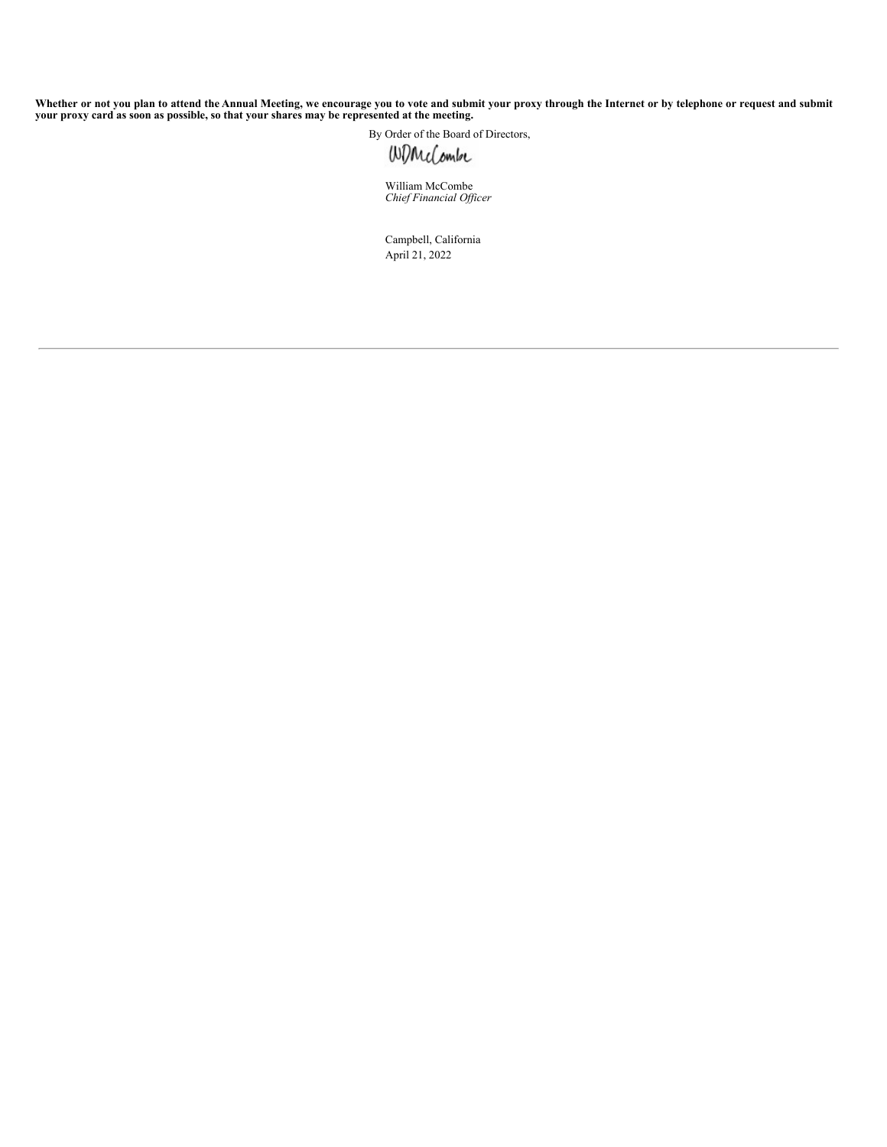Whether or not you plan to attend the Annual Meeting, we encourage you to vote and submit your proxy through the Internet or by telephone or request and submit<br>your proxy card as soon as possible, so that your shares may b

By Order of the Board of Directors,

William McCombe *Chief Financial Of icer*

Campbell, California April 21, 2022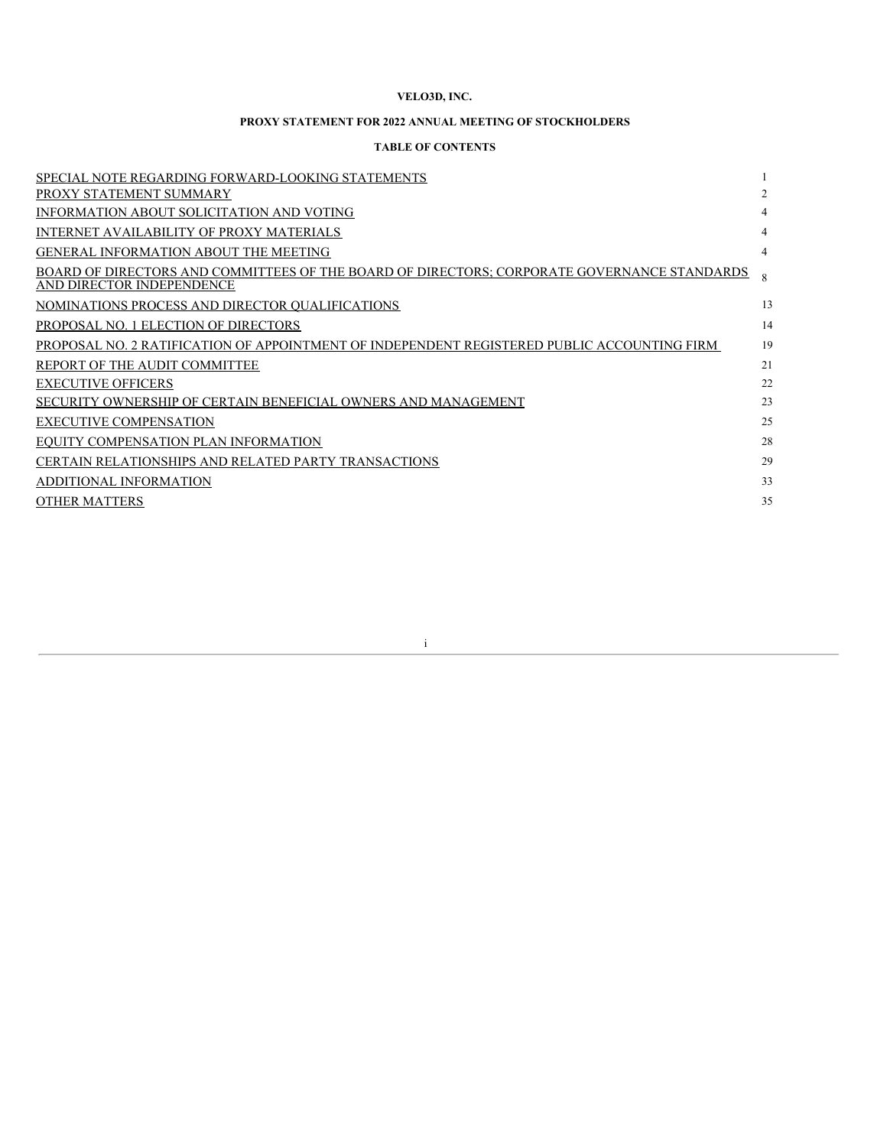### **VELO3D, INC.**

### **PROXY STATEMENT FOR 2022 ANNUAL MEETING OF STOCKHOLDERS**

### **TABLE OF CONTENTS**

| SPECIAL NOTE REGARDING FORWARD-LOOKING STATEMENTS                                                                        |    |
|--------------------------------------------------------------------------------------------------------------------------|----|
| PROXY STATEMENT SUMMARY                                                                                                  | 2  |
| INFORMATION ABOUT SOLICITATION AND VOTING                                                                                | 4  |
| <b>INTERNET AVAILABILITY OF PROXY MATERIALS</b>                                                                          | 4  |
| <b>GENERAL INFORMATION ABOUT THE MEETING</b>                                                                             | 4  |
| BOARD OF DIRECTORS AND COMMITTEES OF THE BOARD OF DIRECTORS; CORPORATE GOVERNANCE STANDARDS<br>AND DIRECTOR INDEPENDENCE |    |
| NOMINATIONS PROCESS AND DIRECTOR QUALIFICATIONS                                                                          | 13 |
| PROPOSAL NO. 1 ELECTION OF DIRECTORS                                                                                     | 14 |
| PROPOSAL NO. 2 RATIFICATION OF APPOINTMENT OF INDEPENDENT REGISTERED PUBLIC ACCOUNTING FIRM                              | 19 |
| REPORT OF THE AUDIT COMMITTEE                                                                                            | 21 |
| <b>EXECUTIVE OFFICERS</b>                                                                                                | 22 |
| SECURITY OWNERSHIP OF CERTAIN BENEFICIAL OWNERS AND MANAGEMENT                                                           | 23 |
| <b>EXECUTIVE COMPENSATION</b>                                                                                            | 25 |
| EQUITY COMPENSATION PLAN INFORMATION                                                                                     | 28 |
| <b>CERTAIN RELATIONSHIPS AND RELATED PARTY TRANSACTIONS</b>                                                              | 29 |
| ADDITIONAL INFORMATION                                                                                                   | 33 |
| <b>OTHER MATTERS</b>                                                                                                     | 35 |
|                                                                                                                          |    |

i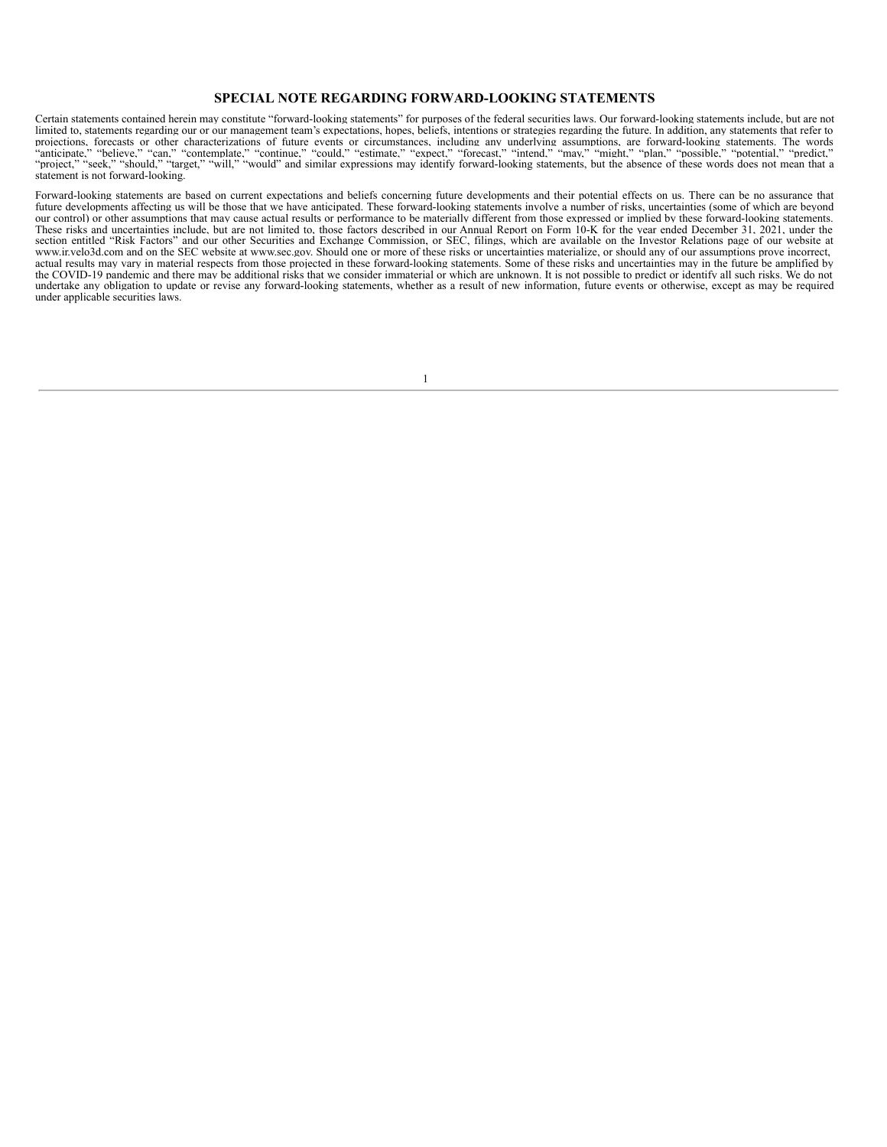### **SPECIAL NOTE REGARDING FORWARD-LOOKING STATEMENTS**

Certain statements contained herein may constitute "forward-looking statements" for purposes of the federal securities laws. Our forward-looking statements include, but are not limited to, statements regarding our or our management team's expectations, hopes, beliefs, intentions or strategies regarding the future. In addition, any statements that refer to projections, forecasts or other characterizations of future events or circumstances, including any underlying assumptions, are forward-looking statements. The words "anticipate," "believe," "can," "contemplate," "continue, statement is not forward-looking.

Forward-looking statements are based on current expectations and beliefs concerning future developments and their potential effects on us. There can be no assurance that future developments affecting us will be those that we have anticipated. These forward-looking statements involve a number of risks, uncertainties (some of which are beyond our control) or other assumptions that may cause actual results or performance to be materially different from those expressed or implied by these forward-looking statements. These risks and uncertainties include, but are not limited to, those factors described in our Annual Report on Form 10-K for the year ended December 31, 2021, under the section entitled "Risk Factors" and our other Securities and Exchange Commission, or SEC, filings, which are available on the Investor Relations page of our website at www.ir.velo3d.com and on the SEC website at www.sec.gov. Should one or more of these risks or uncertainties materialize, or should any of our assumptions prove incorrect, actual results may vary in material respects from those projected in these forward-looking statements. Some of these risks and uncertainties may in the future be amplified by the COVID-19 pandemic and there may be additional risks that we consider immaterial or which are unknown. It is not possible to predict or identify all such risks. We do not undertake any obligation to update or revise any forward-looking statements, whether as a result of new information, future events or otherwise, except as may be required under applicable securities laws.

1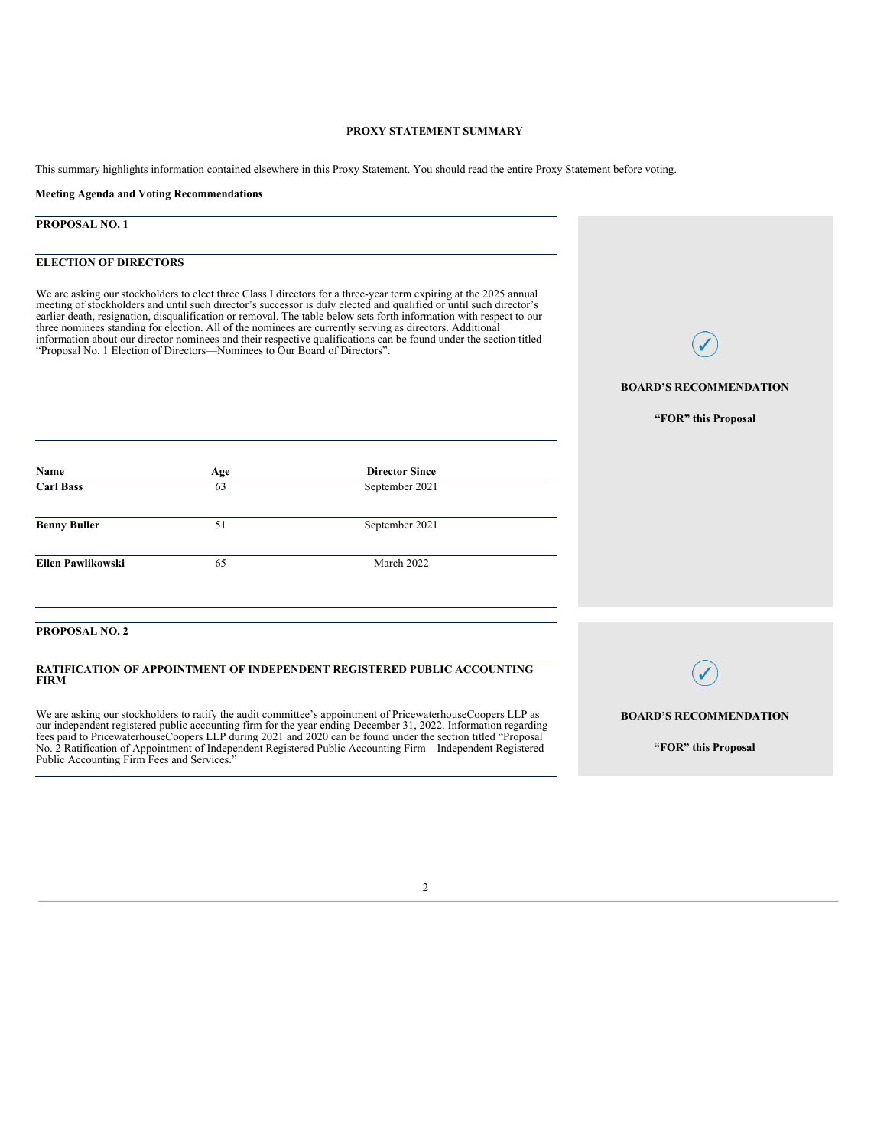### **PROXY STATEMENT SUMMARY**

This summary highlights information contained elsewhere in this Proxy Statement. You should read the entire Proxy Statement before voting.

#### **Meeting Agenda and Voting Recommendations**

### **PROPOSAL NO. 1**

### **ELECTION OF DIRECTORS**

We are asking our stockholders to elect three Class I directors for a three-year term expiring at the 2025 annual meeting of stockholders and until such director's successor is duly elected and qualified or until such director's earlier death, resignation, disqualification or removal. The table below sets forth information with respect to our three nominees standing for election. All of the nominees are currently serving as directors. Additional information about our director nominees and their respective qualifications can be found under the section titled "Proposal No. 1 Election of Directors—Nominees to Our Board of Directors".

### **BOARD'S RECOMMENDATION**

**"FOR" this Proposal**

| Name                  | Age | <b>Director Since</b>                                                          |
|-----------------------|-----|--------------------------------------------------------------------------------|
| <b>Carl Bass</b>      | 63  | September 2021                                                                 |
| <b>Benny Buller</b>   | 51  | September 2021                                                                 |
| Ellen Pawlikowski     | 65  | March 2022                                                                     |
|                       |     |                                                                                |
| <b>PROPOSAL NO. 2</b> |     |                                                                                |
| <b>FIRM</b>           |     | <b>RATIFICATION OF APPOINTMENT OF INDEPENDENT REGISTERED PUBLIC ACCOUNTING</b> |

#### **RATIFICATION OF APPOINTMENT OF INDEPENDENT REGISTERED PUBLIC ACCOUNTING FIRM**

We are asking our stockholders to ratify the audit committee's appointment of PricewaterhouseCoopers LLP as our independent registered public accounting firm for the year ending December 31, 2022. Information regarding fees paid to PricewaterhouseCoopers LLP during 2021 and 2020 can be found under the section titled "Proposal No. 2 Ratification of Appointment of Independent Registered Public Accounting Firm—Independent Registered Public Accounting Firm Fees and Services."

**BOARD'S RECOMMENDATION**

**"FOR" this Proposal**

#### 2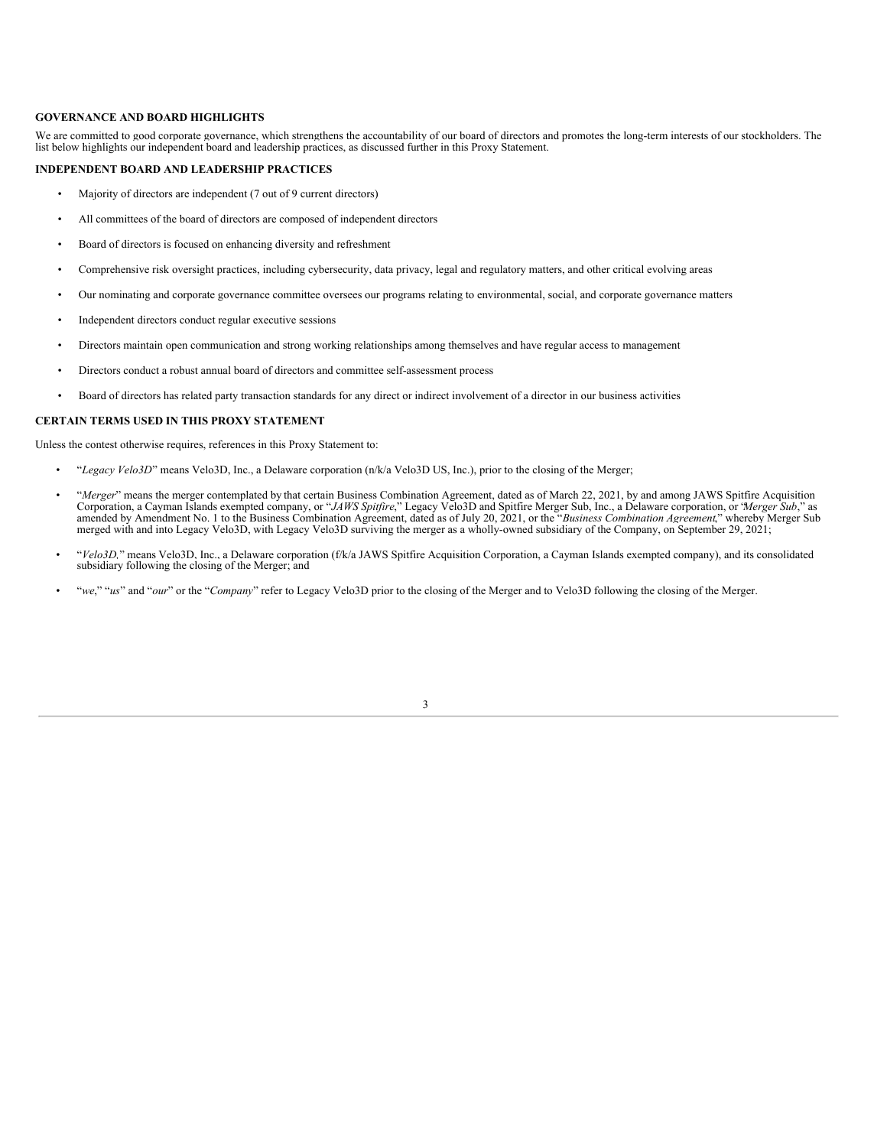#### **GOVERNANCE AND BOARD HIGHLIGHTS**

We are committed to good corporate governance, which strengthens the accountability of our board of directors and promotes the long-term interests of our stockholders. The list below highlights our independent board and leadership practices, as discussed further in this Proxy Statement.

#### **INDEPENDENT BOARD AND LEADERSHIP PRACTICES**

- Majority of directors are independent (7 out of 9 current directors)
- All committees of the board of directors are composed of independent directors
- Board of directors is focused on enhancing diversity and refreshment
- Comprehensive risk oversight practices, including cybersecurity, data privacy, legal and regulatory matters, and other critical evolving areas
- Our nominating and corporate governance committee oversees our programs relating to environmental, social, and corporate governance matters
- Independent directors conduct regular executive sessions
- Directors maintain open communication and strong working relationships among themselves and have regular access to management
- Directors conduct a robust annual board of directors and committee self-assessment process
- Board of directors has related party transaction standards for any direct or indirect involvement of a director in our business activities

### **CERTAIN TERMS USED IN THIS PROXY STATEMENT**

Unless the contest otherwise requires, references in this Proxy Statement to:

- "*Legacy Velo3D*" means Velo3D, Inc., a Delaware corporation (n/k/a Velo3D US, Inc.), prior to the closing of the Merger;
- *"Merger"* means the merger contemplated by that certain Business Combination Agreement, dated as of March 22, 2021, by and among JAWS Spitfire Acquisition Corporation, a Cayman Islands exempted company, or "*JAWS Spitfi* merged with and into Legacy Velo3D, with Legacy Velo3D surviving the merger as a wholly-owned subsidiary of the Company, on September 29, 2021;
- "*Velo3D,*" means Velo3D, Inc., a Delaware corporation (f/k/a JAWS Spitfire Acquisition Corporation, a Cayman Islands exempted company), and its consolidated subsidiary following the closing of the Merger; and
- <span id="page-7-0"></span>• "*we*," "*us*" and "*our*" or the "*Company*" refer to Legacy Velo3D prior to the closing of the Merger and to Velo3D following the closing of the Merger.

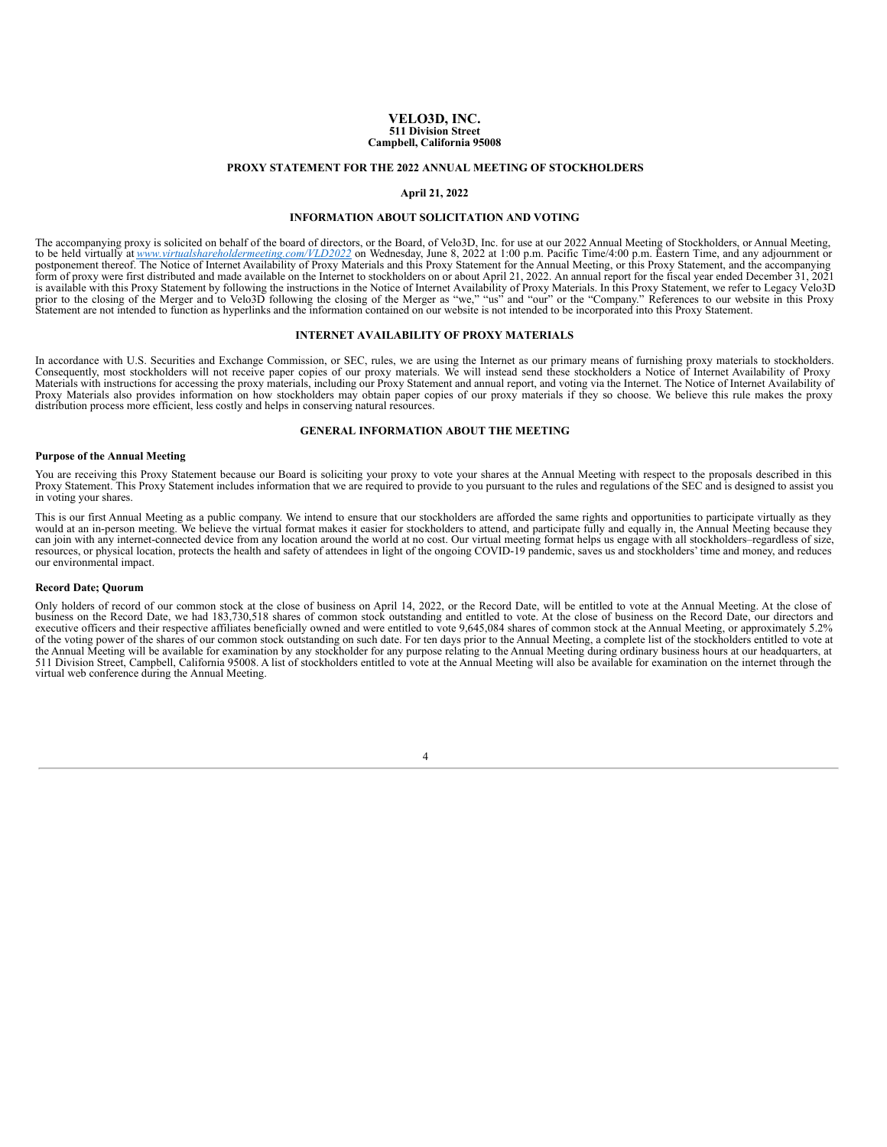#### **VELO3D, INC. 511 Division Street Campbell, California 95008**

#### **PROXY STATEMENT FOR THE 2022 ANNUAL MEETING OF STOCKHOLDERS**

#### **April 21, 2022**

#### **INFORMATION ABOUT SOLICITATION AND VOTING**

The accompanying proxy is solicited on behalf of the board of directors, or the Board, of Velo3D, Inc. for use at our 2022 Annual Meeting of Stockholders, or Annual Meeting,<br>to be held virtually at <u>www.virtualshareholderm</u> prior to the closing of the Merger and to Velo3D following the closing of the Merger as "we," "us" and "our" or the "Company." References to our website in this Proxy Statement are not intended to function as hyperlinks an

#### **INTERNET AVAILABILITY OF PROXY MATERIALS**

<span id="page-8-0"></span>In accordance with U.S. Securities and Exchange Commission, or SEC, rules, we are using the Internet as our primary means of furnishing proxy materials to stockholders.<br>Consequently, most stockholders will not receive pape Proxy Materials also provides information on how stockholders may obtain paper copies of our proxy materials if they so choose. We believe this rule makes the proxy distribution process more efficient, less costly and helps in conserving natural resources.

### **GENERAL INFORMATION ABOUT THE MEETING**

#### <span id="page-8-1"></span>**Purpose of the Annual Meeting**

You are receiving this Proxy Statement because our Board is soliciting your proxy to vote your shares at the Annual Meeting with respect to the proposals described in this Proxy Statement. This Proxy Statement includes information that we are required to provide to you pursuant to the rules and regulations of the SEC and is designed to assist you in voting your shares.

This is our first Annual Meeting as a public company. We intend to ensure that our stockholders are afforded the same rights and opportunities to participate virtually as they would at an in-person meeting. We believe the resources, or physical location, protects the health and safety of attendees in light of the ongoing COVID-19 pandemic, saves us and stockholders' time and money, and reduces our environmental impact.

#### **Record Date; Quorum**

Only holders of record of our common stock at the close of business on April 14, 2022, or the Record Date, will be entitled to vote at the Annual Meeting. At the close of business on the Record Date, we had 183,730,518 shares of common stock outstanding and entitled to vote. At the close of business on the Record Date, our directors and executive officers and their respective affiliates beneficially owned and were entitled to vote 9,645,084 shares of common stock at the Annual Meeting, or approximately 5.2% of the voting power of the shares of our common the Annual Meeting will be available for examination by any stockholder for any purpose relating to the Annual Meeting during ordinary business hours at our headquarters, at<br>511 Division Street, Campbell, California 95008. virtual web conference during the Annual Meeting.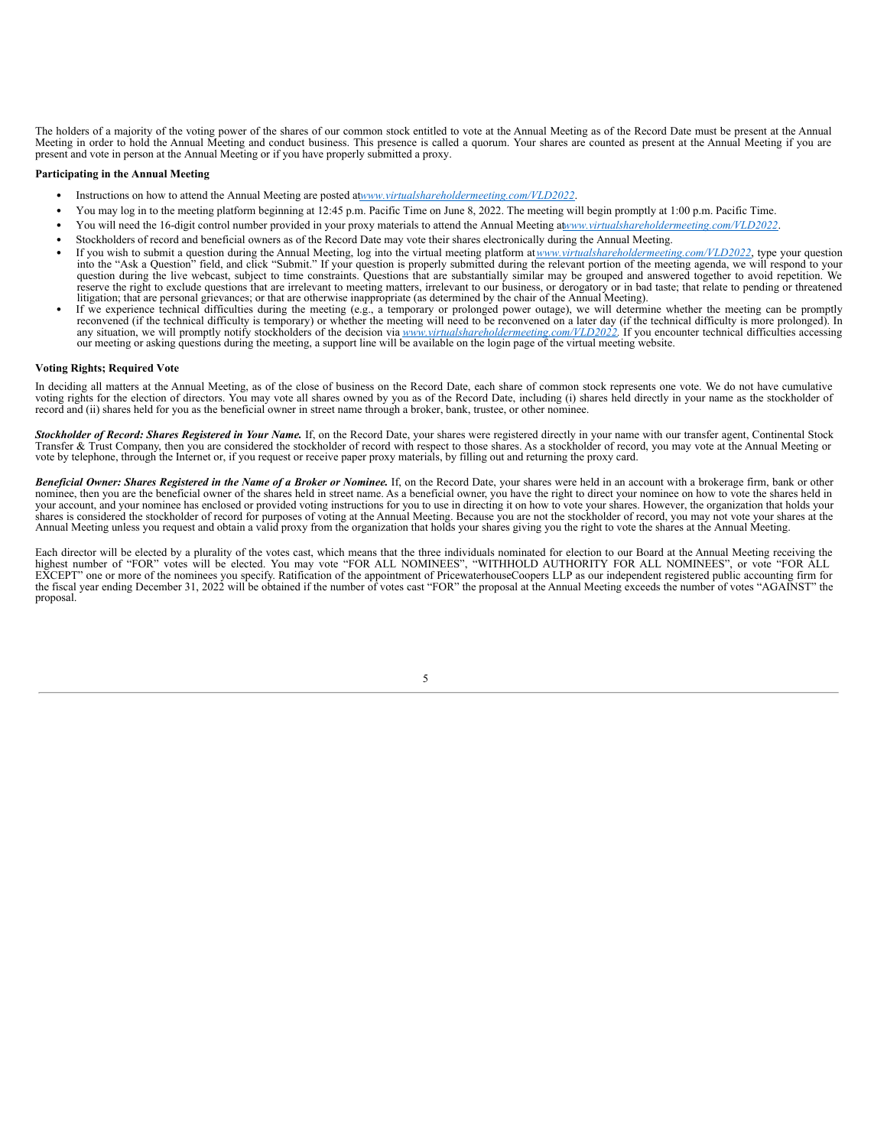The holders of a majority of the voting power of the shares of our common stock entitled to vote at the Annual Meeting as of the Record Date must be present at the Annual Meeting in order to hold the Annual Meeting and conduct business. This presence is called a quorum. Your shares are counted as present at the Annual Meeting if you are present and vote in person at the Annual Meeting or if you have properly submitted a proxy.

#### **Participating in the Annual Meeting**

- Instructions on how to attend the Annual Meeting are posted at*www.virtualshareholdermeeting.com/VLD2022*.
- You may log in to the meeting platform beginning at 12:45 p.m. Pacific Time on June 8, 2022. The meeting will begin promptly at 1:00 p.m. Pacific Time.
- You will need the 16-digit control number provided in your proxy materials to attend the Annual Meeting at*www.virtualshareholdermeeting.com/VLD2022*.
- Stockholders of record and beneficial owners as of the Record Date may vote their shares electronically during the Annual Meeting.
- If you wish to submit a question during the Annual Meeting, log into the virtual meeting platform at*www.virtualshareholdermeeting.com/VLD2022*, type your question into the "Ask a Question" field, and click "Submit." If your question is properly submitted during the relevant portion of the meeting agenda, we will respond to your question during the live webcast, subject to time const reserve the right to exclude questions that are irrelevant to meeting matters, irrelevant to our business, or derogatory or in bad taste; that relate to pending or threatened litigation; that are personal grievances; or that are otherwise inappropriate (as determined by the chair of the Annual Meeting).
- If we experience technical difficulties during the meeting (e.g., a temporary or prolonged power outage), we will determine whether the meeting can be promptly reconvened (if the technical difficulty is temporary) or whether the meeting will need to be reconvened on a later day (if the technical difficulty is more prolonged). In any situation, we will promptly notify stockholders our meeting or asking questions during the meeting, a support line will be available on the login page of the virtual meeting website.

#### **Voting Rights; Required Vote**

In deciding all matters at the Annual Meeting, as of the close of business on the Record Date, each share of common stock represents one vote. We do not have cumulative voting rights for the election of directors. You may

Stockholder of Record: Shares Registered in Your Name. If, on the Record Date, your shares were registered directly in your name with our transfer agent, Continental Stock Transfer & Trust Company, then you are considered the stockholder of record with respect to those shares. As a stockholder of record, you may vote at the Annual Meeting or vote by telephone, through the Internet or, if you request or receive paper proxy materials, by filling out and returning the proxy card.

Beneficial Owner: Shares Registered in the Name of a Broker or Nominee. If, on the Record Date, your shares were held in an account with a brokerage firm, bank or other nominee, then you are the beneficial owner of the shares held in street name. As a beneficial owner, you have the right to direct your nominee on how to vote the shares held in your account, and your nominee has enclosed or provided voting instructions for you to use in directing it on how to vote your shares. However, the organization that holds your shares is considered the stockholder of record for purposes of voting at the Annual Meeting. Because you are not the stockholder of record, you may not vote your shares at the Annual Meeting unless you request and obtain a

Each director will be elected by a plurality of the votes cast, which means that the three individuals nominated for election to our Board at the Annual Meeting receiving the highest number of "FOR" votes will be elected. the fiscal year ending December 31, 2022 will be obtained if the number of votes cast "FOR" the proposal at the Annual Meeting exceeds the number of votes "AGAINST" the proposal.

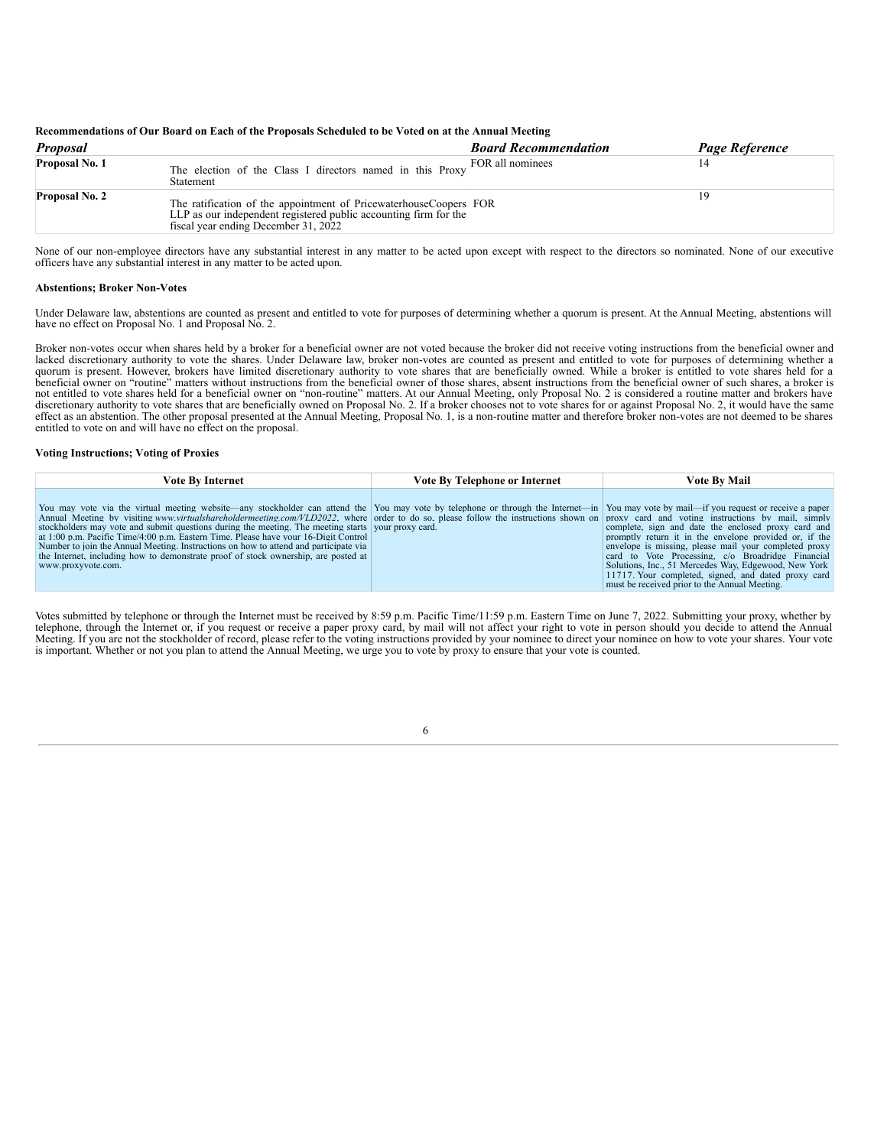#### Recommendations of Our Board on Each of the Proposals Scheduled to be Voted on at the Annual Meeting

| <b>Proposal</b>       | <b>Board Recommendation</b>                                                                                                                                                   | Page Reference |
|-----------------------|-------------------------------------------------------------------------------------------------------------------------------------------------------------------------------|----------------|
| Proposal No. 1        | FOR all nominees<br>The election of the Class I directors named in this Proxy<br>Statement                                                                                    |                |
| <b>Proposal No. 2</b> | The ratification of the appointment of PricewaterhouseCoopers FOR<br>LLP as our independent registered public accounting firm for the<br>fiscal year ending December 31, 2022 | ıч             |

None of our non-employee directors have any substantial interest in any matter to be acted upon except with respect to the directors so nominated. None of our executive officers have any substantial interest in any matter to be acted upon.

#### **Abstentions; Broker Non-Votes**

Under Delaware law, abstentions are counted as present and entitled to vote for purposes of determining whether a quorum is present. At the Annual Meeting, abstentions will have no effect on Proposal No. 1 and Proposal No. 2.

Broker non-votes occur when shares held by a broker for a beneficial owner are not voted because the broker did not receive voting instructions from the beneficial owner and lacked discretionary authority to vote the shares. Under Delaware law, broker non-votes are counted as present and entitled to vote for purposes of determining whether a quorum is present. However, brokers have limited discretionary authority to vote shares that are beneficially owned. While a broker is entitled to vote shares held for a beneficial owner on "routine" matters without instructions from the beneficial owner of those shares, absent instructions from the beneficial owner of such shares, a broker is not entitled to vote shares held for a beneficial owner on "non-routine" matters. At our Annual Meeting, only Proposal No. 2 is considered a routine matter and brokers have discretionary authority to vote shares that are beneficially owned on Proposal No. 2. If a broker chooses not to vote shares for or against Proposal No. 2, it would have the same effect as an abstention. The other proposal presented at the Annual Meeting, Proposal No. 1, is a non-routine matter and therefore broker non-votes are not deemed to be shares entitled to vote on and will have no effect on the proposal.

#### **Voting Instructions; Voting of Proxies**

| Vote Bv Internet                                                                                                                                                                                                                                                                                                                                                                                                                                                                                                                                                                                                                                                                                                                                                                   | Vote By Telephone or Internet | <b>Vote By Mail</b>                                                                                                                                                                                                                                                                                                                                                                         |
|------------------------------------------------------------------------------------------------------------------------------------------------------------------------------------------------------------------------------------------------------------------------------------------------------------------------------------------------------------------------------------------------------------------------------------------------------------------------------------------------------------------------------------------------------------------------------------------------------------------------------------------------------------------------------------------------------------------------------------------------------------------------------------|-------------------------------|---------------------------------------------------------------------------------------------------------------------------------------------------------------------------------------------------------------------------------------------------------------------------------------------------------------------------------------------------------------------------------------------|
| You may vote via the virtual meeting website—any stockholder can attend the You may vote by telephone or through the Internet—in You may vote by mail—if you request or receive a paper<br>Annual Meeting by visiting www.virtualshareholdermeeting.com/VLD2022, where order to do so, please follow the instructions shown on proxy card and voting instructions by mail, simply<br>stockholders may vote and submit questions during the meeting. The meeting starts vour proxy card.<br>at 1:00 p.m. Pacific Time/4:00 p.m. Eastern Time. Please have your 16-Digit Control<br>Number to join the Annual Meeting. Instructions on how to attend and participate via<br>the Internet, including how to demonstrate proof of stock ownership, are posted at<br>www.proxyvote.com. |                               | complete, sign and date the enclosed proxy card and<br>promptly return it in the envelope provided or, if the<br>envelope is missing, please mail your completed proxy<br>card to Vote Processing, c/o Broadridge Financial<br>Solutions, Inc., 51 Mercedes Way, Edgewood, New York<br>11717. Your completed, signed, and dated proxy card<br>must be received prior to the Annual Meeting. |

Votes submitted by telephone or through the Internet must be received by 8:59 p.m. Pacific Time/11:59 p.m. Eastern Time on June 7, 2022. Submitting your proxy, whether by telephone, through the Internet or, if you request or receive a paper proxy card, by mail will not affect your right to vote in person should you decide to attend the Annual<br>Meeting. If you are not the stockholder of recor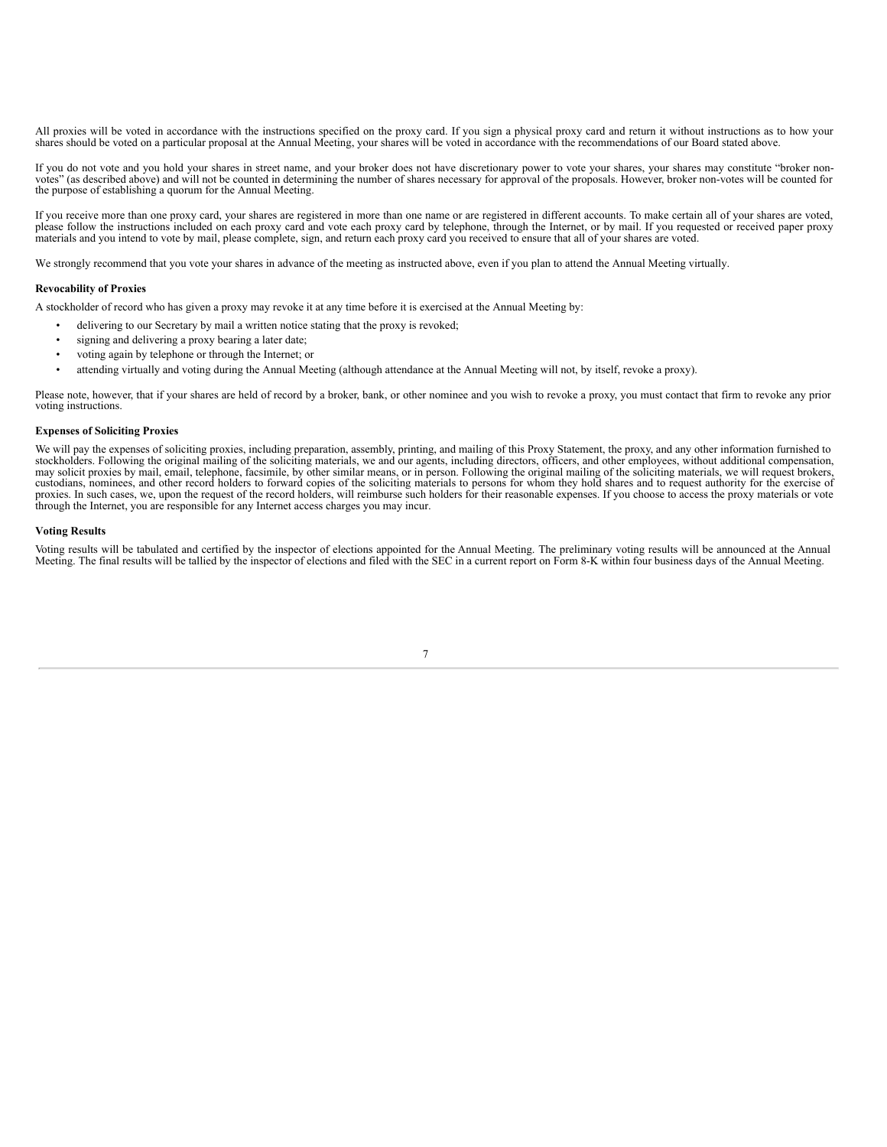All proxies will be voted in accordance with the instructions specified on the proxy card. If you sign a physical proxy card and return it without instructions as to how your shares should be voted on a particular proposal at the Annual Meeting, your shares will be voted in accordance with the recommendations of our Board stated above.

If you do not vote and you hold your shares in street name, and your broker does not have discretionary power to vote your shares, your shares may constitute "broker nonvotes" (as described above) and will not be counted in determining the number of shares necessary for approval of the proposals. However, broker non-votes will be counted for the purpose of establishing a quorum for the Annual Meeting.

If you receive more than one proxy card, your shares are registered in more than one name or are registered in different accounts. To make certain all of your shares are voted, please follow the instructions included on ea materials and you intend to vote by mail, please complete, sign, and return each proxy card you received to ensure that all of your shares are voted.

We strongly recommend that you vote your shares in advance of the meeting as instructed above, even if you plan to attend the Annual Meeting virtually.

#### **Revocability of Proxies**

A stockholder of record who has given a proxy may revoke it at any time before it is exercised at the Annual Meeting by:

- delivering to our Secretary by mail a written notice stating that the proxy is revoked;
- signing and delivering a proxy bearing a later date;
- voting again by telephone or through the Internet; or
- attending virtually and voting during the Annual Meeting (although attendance at the Annual Meeting will not, by itself, revoke a proxy).

Please note, however, that if your shares are held of record by a broker, bank, or other nominee and you wish to revoke a proxy, you must contact that firm to revoke any prior voting instructions.

#### **Expenses of Soliciting Proxies**

We will pay the expenses of soliciting proxies, including preparation, assembly, printing, and mailing of this Proxy Statement, the proxy, and any other information furnished to stockholders. Following the original mailing of the soliciting materials, we and our agents, including directors, officers, and other employees, without additional compensation, may solicit proxies by mail, email, telephone, facsimile, by other similar means, or in person. Following the original mailing of the soliciting materials, we will request brokers, custodians, nominees, and other record ho proxies. In such cases, we, upon the request of the record holders, will reimburse such holders for their reasonable expenses. If you choose to access the proxy materials or vote through the Internet, you are responsible f

#### **Voting Results**

<span id="page-11-0"></span>Voting results will be tabulated and certified by the inspector of elections appointed for the Annual Meeting. The preliminary voting results will be announced at the Annual Meeting. The final results will be tallied by the inspector of elections and filed with the SEC in a current report on Form 8-K within four business days of the Annual Meeting.

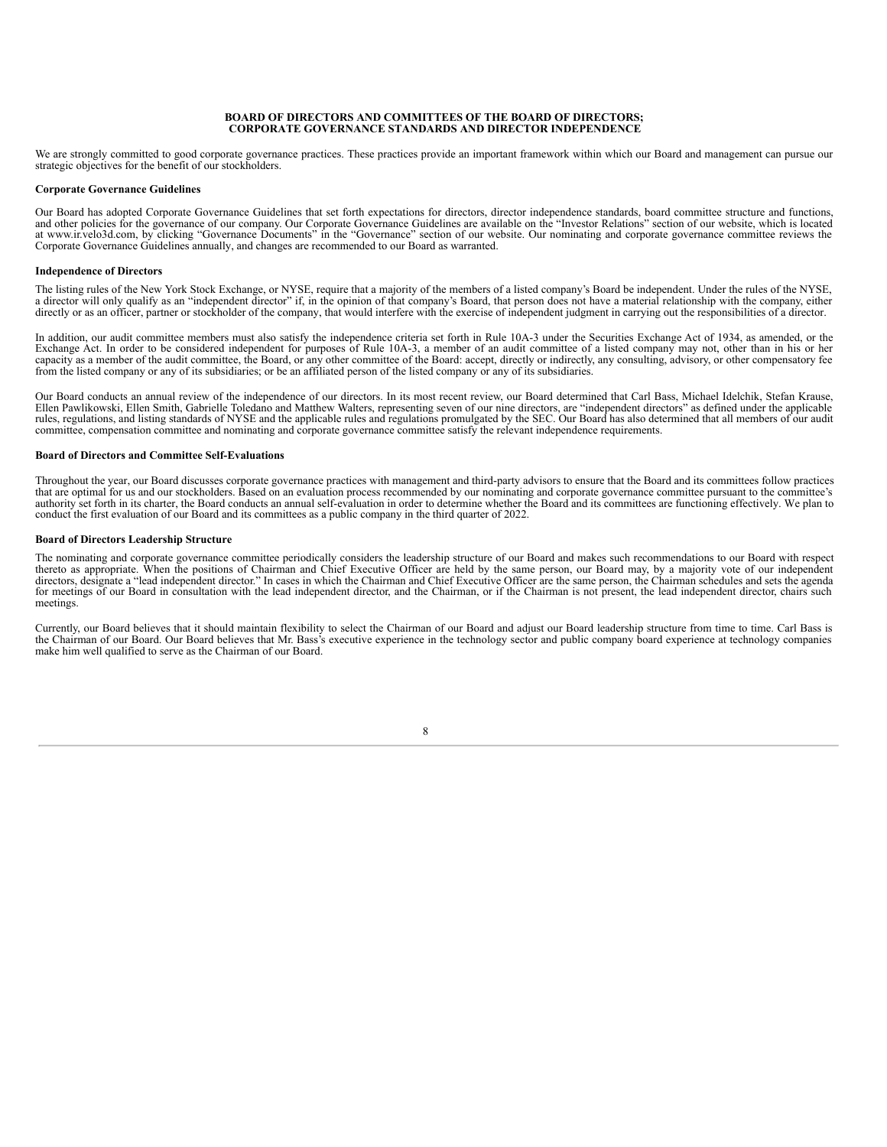#### **BOARD OF DIRECTORS AND COMMITTEES OF THE BOARD OF DIRECTORS; CORPORATE GOVERNANCE STANDARDS AND DIRECTOR INDEPENDENCE**

We are strongly committed to good corporate governance practices. These practices provide an important framework within which our Board and management can pursue our strategic objectives for the benefit of our stockholders.

#### **Corporate Governance Guidelines**

Our Board has adopted Corporate Governance Guidelines that set forth expectations for directors, director independence standards, board committee structure and functions, and other policies for the governance of our compan Corporate Governance Guidelines annually, and changes are recommended to our Board as warranted.

#### **Independence of Directors**

The listing rules of the New York Stock Exchange, or NYSE, require that a majority of the members of a listed company's Board be independent. Under the rules of the NYSE, a director will only qualify as an "independent director" if, in the opinion of that company's Board, that person does not have a material relationship with the company, either directly or as an officer, partner or stockholder of the company, that would interfere with the exercise of independent judgment in carrying out the responsibilities of a director.

In addition, our audit committee members must also satisfy the independence criteria set forth in Rule 10A-3 under the Securities Exchange Act of 1934, as amended, or the Exchange Act. In order to be considered independent for purposes of Rule 10A-3, a member of an audit committee of a listed company may not, other than in his or her capacity as a member of the audit committee, the Board, or any other committee of the Board: accept, directly or indirectly, any consulting, advisory, or other compensatory fee from the listed company or any of its subsidiaries; or be an affiliated person of the listed company or any of its subsidiaries.

Our Board conducts an annual review of the independence of our directors. In its most recent review, our Board determined that Carl Bass, Michael Idelchik, Stefan Krause, Ellen Pawlikowski, Ellen Smith, Gabrielle Toledano and Matthew Walters, representing seven of our nine directors, are "independent directors" as defined under the applicable<br>rules, regulations, and listing standards of NYS committee, compensation committee and nominating and corporate governance committee satisfy the relevant independence requirements.

#### **Board of Directors and Committee Self-Evaluations**

Throughout the year, our Board discusses corporate governance practices with management and third-party advisors to ensure that the Board and its committees follow practices that are optimal for us and our stockholders. Based on an evaluation process recommended by our nominating and corporate governance committee pursuant to the committee's authority set forth in its charter, the Board conducts an annual self-evaluation in order to determine whether the Board and its committees are functioning effectively. We plan to conduct the first evaluation of our Board and its committees as a public company in the third quarter of 2022.

#### **Board of Directors Leadership Structure**

The nominating and corporate governance committee periodically considers the leadership structure of our Board and makes such recommendations to our Board with respect thereto as appropriate. When the positions of Chairman and Chief Executive Officer are held by the same person, our Board may, by a majority vote of our independent directors, designate a "lead independent director." In cases in which the Chairman and Chief Executive Officer are the same person, the Chairman schedules and sets the agenda for meetings of our Board in consultation with the lead independent director, and the Chairman, or if the Chairman is not present, the lead independent director, chairs such meetings.

Currently, our Board believes that it should maintain flexibility to select the Chairman of our Board and adjust our Board leadership structure from time to time. Carl Bass is the Chairman of our Board. Our Board believes make him well qualified to serve as the Chairman of our Board.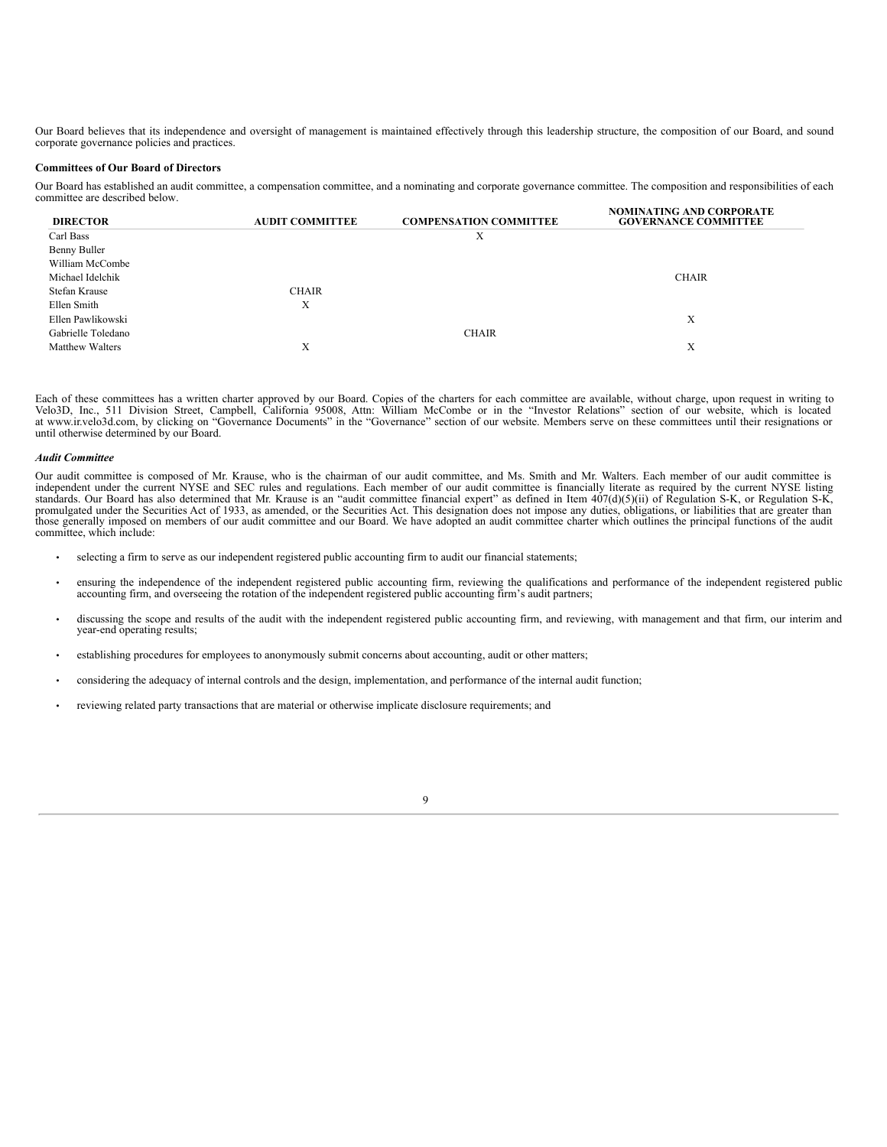Our Board believes that its independence and oversight of management is maintained effectively through this leadership structure, the composition of our Board, and sound corporate governance policies and practices.

### **Committees of Our Board of Directors**

Our Board has established an audit committee, a compensation committee, and a nominating and corporate governance committee. The composition and responsibilities of each committee are described below. **NOMINATING AND CORPORATE**

| <b>DIRECTOR</b>        | <b>AUDIT COMMITTEE</b> | <b>COMPENSATION COMMITTEE</b> | NOMINATING AND CORPORATE<br><b>GOVERNANCE COMMITTEE</b> |
|------------------------|------------------------|-------------------------------|---------------------------------------------------------|
| Carl Bass              |                        | Χ                             |                                                         |
| Benny Buller           |                        |                               |                                                         |
| William McCombe        |                        |                               |                                                         |
| Michael Idelchik       |                        |                               | <b>CHAIR</b>                                            |
| Stefan Krause          | <b>CHAIR</b>           |                               |                                                         |
| Ellen Smith            | Χ                      |                               |                                                         |
| Ellen Pawlikowski      |                        |                               | Х                                                       |
| Gabrielle Toledano     |                        | <b>CHAIR</b>                  |                                                         |
| <b>Matthew Walters</b> | X                      |                               | Х                                                       |

Each of these committees has a written charter approved by our Board. Copies of the charters for each committee are available, without charge, upon request in writing to Velo3D, Inc., 511 Division Street, Campbell, Califor

#### *Audit Committee*

Our audit committee is composed of Mr. Krause, who is the chairman of our audit committee, and Ms. Smith and Mr. Walters. Each member of our audit committee is independent under the current NYSE listing independent under t standards. Our Board has also determined that Mr. Krause is an "audit committee financial expert" as defined in Item 407(d)(5)(ii) of Regulation S-K, or Regulation S-K, or Regulation S-K, or Regulation S-K, or Regulation S committee, which include:

- selecting a firm to serve as our independent registered public accounting firm to audit our financial statements;
- ensuring the independence of the independent registered public accounting firm, reviewing the qualifications and performance of the independent registered public accounting firm, and overseeing the rotation of the indepe
- discussing the scope and results of the audit with the independent registered public accounting firm, and reviewing, with management and that firm, our interim and year-end operating results;

 $\overline{Q}$ 

- establishing procedures for employees to anonymously submit concerns about accounting, audit or other matters;
- considering the adequacy of internal controls and the design, implementation, and performance of the internal audit function;
- reviewing related party transactions that are material or otherwise implicate disclosure requirements; and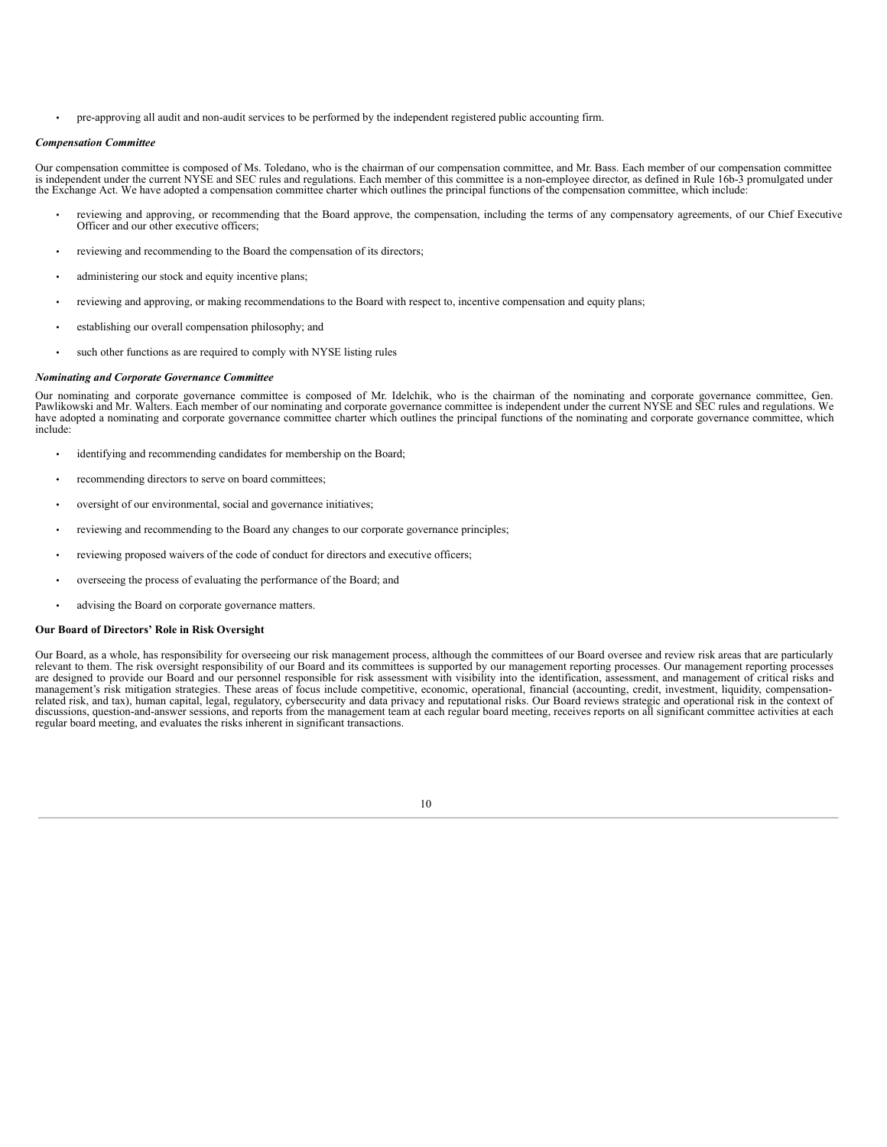• pre-approving all audit and non-audit services to be performed by the independent registered public accounting firm.

#### *Compensation Committee*

Our compensation committee is composed of Ms. Toledano, who is the chairman of our compensation committee, and Mr. Bass. Each member of our compensation committee is independent under the current NYSE and SEC rules and regulations. Each member of this committee is a non-employee director, as defined in Rule 16b-3 promulgated under the Exchange Act. We have adopted a compensation committee charter which outlines the principal functions of the compensation committee, which include:

- reviewing and approving, or recommending that the Board approve, the compensation, including the terms of any compensatory agreements, of our Chief Executive Officer and our other executive officers;
- reviewing and recommending to the Board the compensation of its directors;
- administering our stock and equity incentive plans;
- reviewing and approving, or making recommendations to the Board with respect to, incentive compensation and equity plans;
- establishing our overall compensation philosophy; and
- such other functions as are required to comply with NYSE listing rules

#### *Nominating and Corporate Governance Committee*

Our nominating and corporate governance committee is composed of Mr. Idelchik, who is the chairman of the nominating and corporate governance committee, Gen.<br>Pawlikowski and Mr. Walters. Each member of our nominating and c include:

- identifying and recommending candidates for membership on the Board;
- recommending directors to serve on board committees;
- oversight of our environmental, social and governance initiatives;
- reviewing and recommending to the Board any changes to our corporate governance principles;
- reviewing proposed waivers of the code of conduct for directors and executive officers;
- overseeing the process of evaluating the performance of the Board; and
- advising the Board on corporate governance matters.

#### **Our Board of Directors' Role in Risk Oversight**

Our Board, as a whole, has responsibility for overseeing our risk management process, although the committees of our Board oversee and review risk areas that are particularly relevant to them. The risk oversight responsibility of our Board and its committees is supported by our management reporting processes. Our management reporting processes<br>are designed to provide our Board and our personnel management's risk mitigation strategies. These areas of focus include competitive, economic, operational, financial (accounting, credit, investment, liquidity, compensation-<br>related risk, and tax), human capital, legal, re discussions, question-and-answer sessions, and reports from the management team at each regular board meeting, receives reports on all significant committee activities at each regular board meeting, and evaluates the risks inherent in significant transactions.

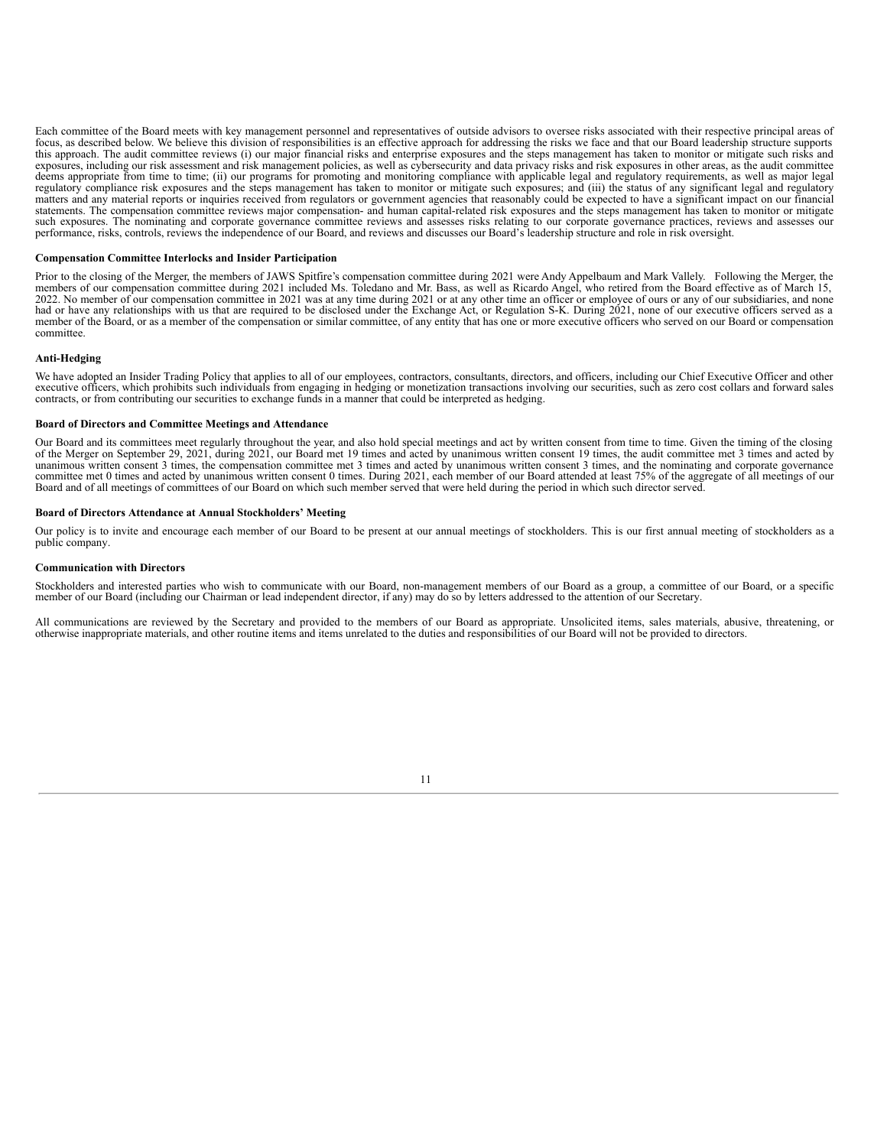Each committee of the Board meets with key management personnel and representatives of outside advisors to oversee risks associated with their respective principal areas of focus, as described below. We believe this division of responsibilities is an effective approach for addressing the risks we face and that our Board leadership structure supports this approach. The audit committee reviews (i) our major financial risks and enterprise exposures and the steps management has taken to monitor or mitigate such risks and exposures, including our risk assessment and risk management policies, as well as cybersecurity and data privacy risks and risk exposures in other areas, as the audit committee deems appropriate from time to time; (ii) our matters and any material reports or inquiries received from regulators or government agencies that reasonably could be expected to have a significant impact on our financial statements. The compensation committee reviews major compensation- and human capital-related risk exposures and the steps management has taken to monitor or mitigate such exposures. The nominating and corporate governance committee reviews and assesses risks relating to our corporate governance practices, reviews and assesses our performance, risks, controls, reviews the independence o

#### **Compensation Committee Interlocks and Insider Participation**

Prior to the closing of the Merger, the members of JAWS Spitfire's compensation committee during 2021 were Andy Appelbaum and Mark Vallely. Following the Merger, the members of our compensation committee during 2021 includ 2022. No member of our compensation committee in 2021 was at any time during 2021 or at any other time an officer or employee of ours or any of our subsidiaries, and none had or have any relationships with us that are requ member of the Board, or as a member of the compensation or similar committee, of any entity that has one or more executive officers who served on our Board or compensation committee.

#### **Anti-Hedging**

We have adopted an Insider Trading Policy that applies to all of our employees, contractors, consultants, directors, and officers, including our Chief Executive Officer and other executive officers, which prohibits such in contracts, or from contributing our securities to exchange funds in a manner that could be interpreted as hedging.

#### **Board of Directors and Committee Meetings and Attendance**

Our Board and its committees meet regularly throughout the year, and also hold special meetings and act by written consent from time to time. Given the timing of the closing of the Merger on September 29, 2021, during 2021, our Board met 19 times and acted by unanimous written consent 19 times, the audit committee met 3 times and acted by unanimous written consent 3 times, the compensation committee met 3 times and acted by unanimous written consent 3 times, and the nominating and corporate governance committee met 0 times and acted by unanimous written consent 0 times. During 2021, each member of our Board attended at least 75% of the aggregate of all meetings of our Board and of all meetings of committees of our Board on which such member served that were held during the period in which such director served.

#### **Board of Directors Attendance at Annual Stockholders' Meeting**

Our policy is to invite and encourage each member of our Board to be present at our annual meetings of stockholders. This is our first annual meeting of stockholders as a public company.

#### **Communication with Directors**

Stockholders and interested parties who wish to communicate with our Board, non-management members of our Board as a group, a committee of our Board, or a specific member of our Board (including our Chairman or lead independent director, if any) may do so by letters addressed to the attention of our Secretary.

All communications are reviewed by the Secretary and provided to the members of our Board as appropriate. Unsolicited items, sales materials, abusive, threatening, or otherwise inappropriate materials, and other routine items and items unrelated to the duties and responsibilities of our Board will not be provided to directors.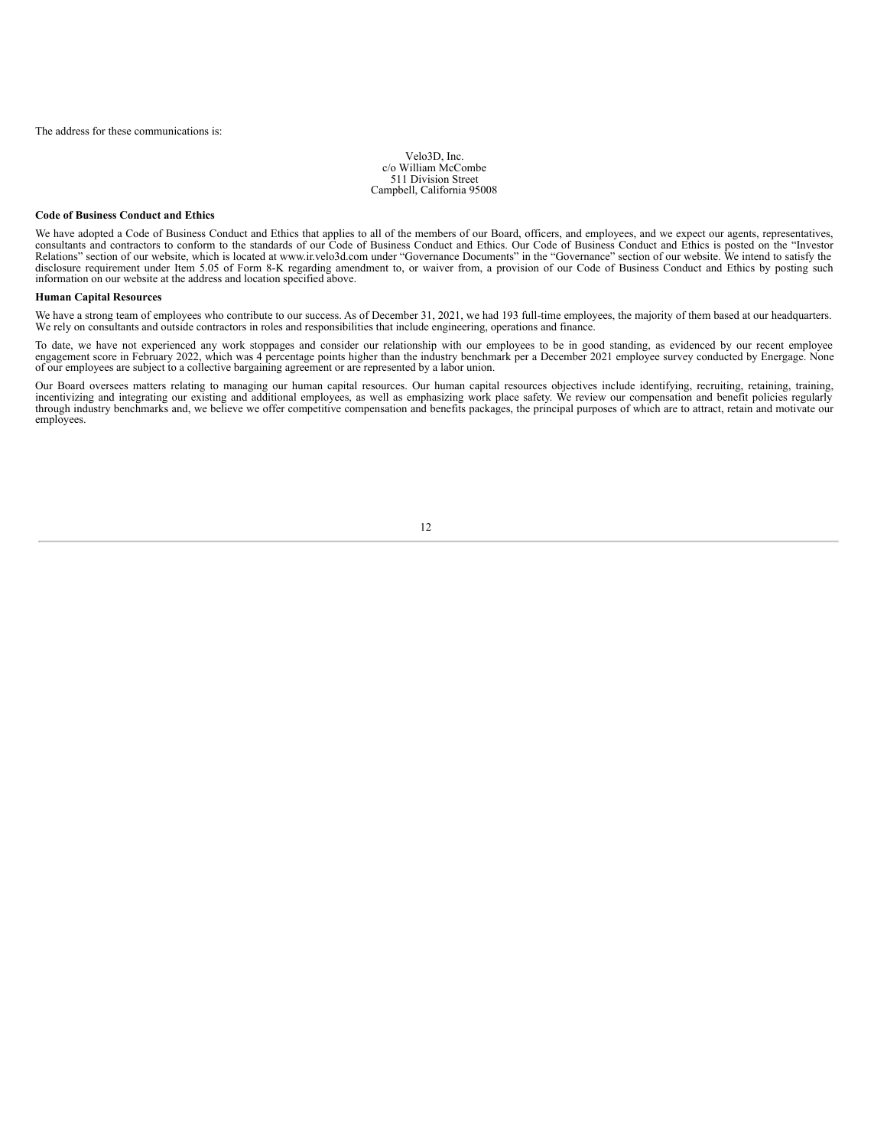Velo3D, Inc. c/o William McCombe 511 Division Street Campbell, California 95008

#### **Code of Business Conduct and Ethics**

We have adopted a Code of Business Conduct and Ethics that applies to all of the members of our Board, officers, and employees, and we expect our agents, representatives, consultants and contractors to conform to the stand Relations" section of our website, which is located at www.ir.velo3d.com under "Governance Documents" in the "Governance" section of our website. We intend to satisfy the disclosure requirement under Item 5.05 of Form 8-K regarding amendment to, or waiver from, a provision of our Code of Business Conduct and Ethics by posting such information on our website at the address and location specified above.

#### **Human Capital Resources**

We have a strong team of employees who contribute to our success. As of December 31, 2021, we had 193 full-time employees, the majority of them based at our headquarters. We rely on consultants and outside contractors in roles and responsibilities that include engineering, operations and finance.

To date, we have not experienced any work stoppages and consider our relationship with our employees to be in good standing, as evidenced by our recent employee engagement score in February 2022, which was 4 percentage poi

Our Board oversees matters relating to managing our human capital resources. Our human capital resources objectives include identifying, recruiting, retaining, training, training, training, training, training, training, tr through industry benchmarks and, we believe we offer competitive compensation and benefits packages, the principal purposes of which are to attract, retain and motivate our employees.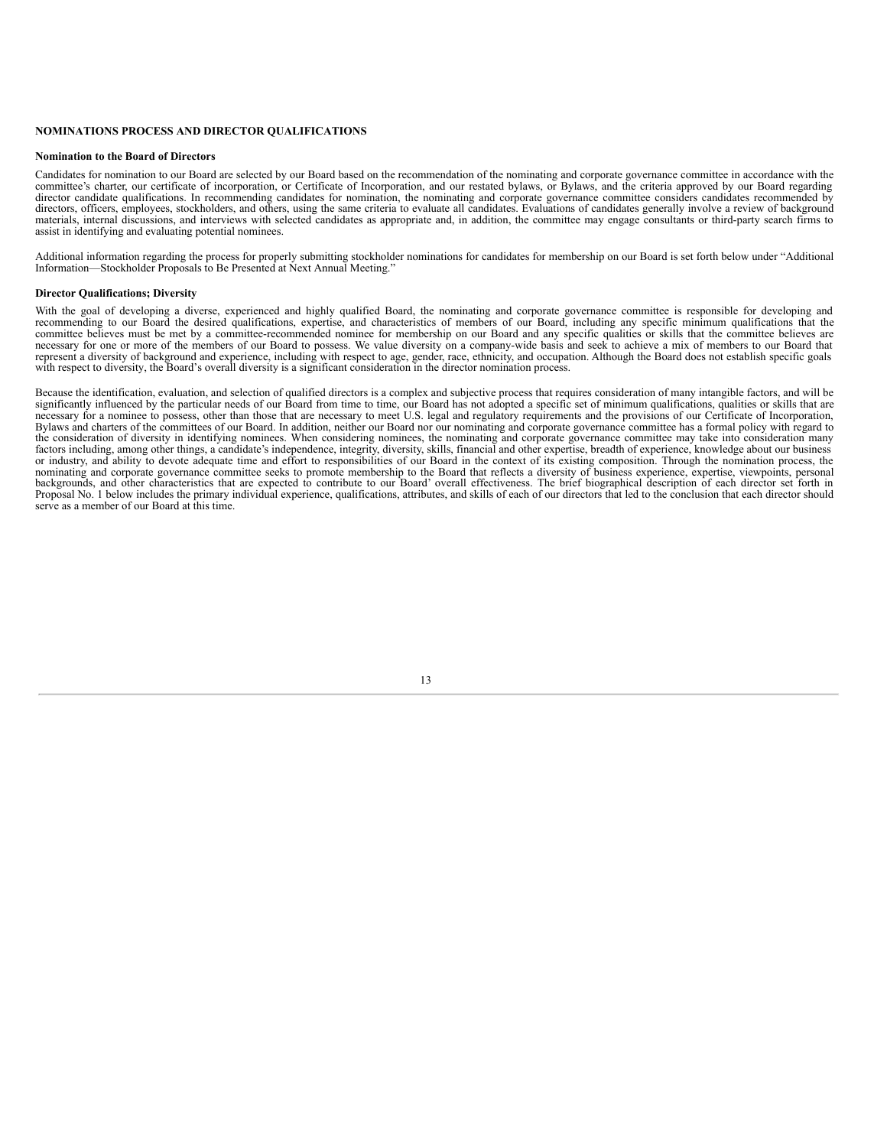#### **NOMINATIONS PROCESS AND DIRECTOR QUALIFICATIONS**

#### **Nomination to the Board of Directors**

Candidates for nomination to our Board are selected by our Board based on the recommendation of the nominating and corporate governance committee in accordance with the committee's charter, our certificate of incorporation, or Certificate of Incorporation, and our restated bylaws, or Bylaws, and the criteria approved by our Board regarding director candidate qualifications. In recommending candidates for nomination, the nominating and corporate governance committee considers candidates recommended by directors, officers, employees, stockholders, and others, using the same criteria to evaluate all candidates. Evaluations of candidates generally involve a review of background materials, internal discussions, and interviews with selected candidates as appropriate and, in addition, the committee may engage consultants or third-party search firms to assist in identifying and evaluating potential nominees.

Additional information regarding the process for properly submitting stockholder nominations for candidates for membership on our Board is set forth below under "Additional Information—Stockholder Proposals to Be Presented at Next Annual Meeting."

#### **Director Qualifications; Diversity**

With the goal of developing a diverse, experienced and highly qualified Board, the nominating and corporate governance committee is responsible for developing and recommending to our Board the desired qualifications, exper represent a diversity of background and experience, including with respect to age, gender, race, ethnicity, and occupation. Although the Board does not establish specific goals with respect to diversity, the Board's overal

<span id="page-17-0"></span>Because the identification, evaluation, and selection of qualified directors is a complex and subjective process that requires consideration of many intangible factors, and will be significantly influenced by the particular needs of our Board from time to time, our Board has not adopted a specific set of minimum qualifications, qualities or skills that are necessary for a nominee to possess, other than those that are necessary to meet U.S. legal and regulatory requirements and the provisions of our Certificate of Incorporation, Bylaws and charters of the committees of our Board. In addition, neither our Board nor our nominating and corporate governance committee has a formal policy with regard to the consideration of diversity in identifying nominees. When considering nominees, the nominating and corporate governance committee may take into consideration many factors including, among other things, a candidate's ind or industry, and ability to devote adequate time and effort to responsibilities of our Board in the context of its existing composition. Through the nomination process, the nominating and corporate governance committee seeks to promote membership to the Board that reflects a diversity of business experience, expertise, viewpoints, personal backgrounds, and other characteristics that are expec Proposal No. 1 below includes the primary individual experience, qualifications, attributes, and skills of each of our directors that led to the conclusion that each director should serve as a member of our Board at this time.

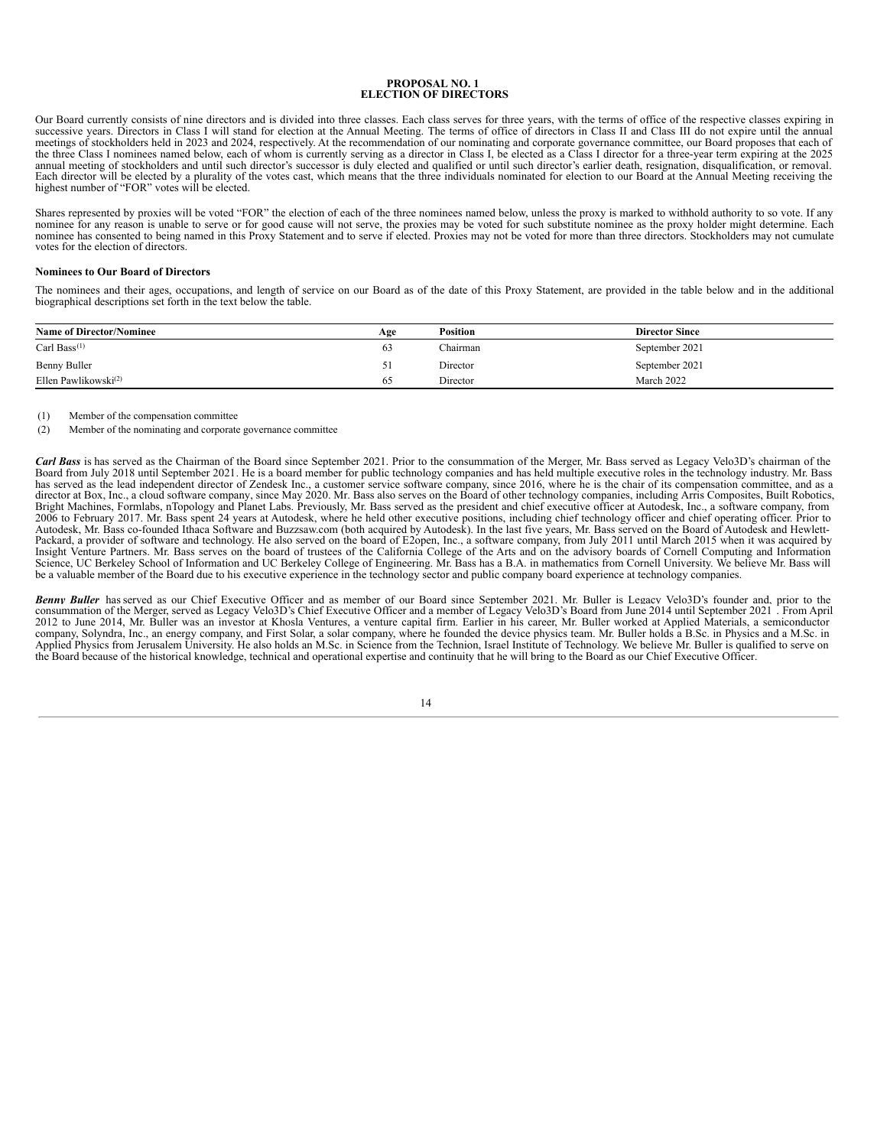#### **PROPOSAL NO. 1 ELECTION OF DIRECTORS**

Our Board currently consists of nine directors and is divided into three classes. Each class serves for three years, with the terms of office of the respective classes expiring in successive years. Directors in Class I wil the three Class I nominees named below, each of whom is currently serving as a director in Class I, be elected as a Class I director for a three-year term expiring at the 2025<br>annual meeting of stockholders and until such Each director will be elected by a plurality of the votes cast, which means that the three individuals nominated for election to our Board at the Annual Meeting receiving the highest number of "FOR" votes will be elected.

Shares represented by proxies will be voted "FOR" the election of each of the three nominees named below, unless the proxy is marked to withhold authority to so vote. If any nominee for any reason is unable to serve or for good cause will not serve, the proxies may be voted for such substitute nominee as the proxy holder might determine. Each nominee has consented to being named in this Proxy votes for the election of directors.

#### **Nominees to Our Board of Directors**

The nominees and their ages, occupations, and length of service on our Board as of the date of this Proxy Statement, are provided in the table below and in the additional biographical descriptions set forth in the text below the table.

| <b>Name of Director/Nominee</b> | Age | <b>Position</b> | <b>Director Since</b> |
|---------------------------------|-----|-----------------|-----------------------|
| Carl Bass $(1)$                 | 03  | Thairman        | September 2021        |
| Benny Buller                    |     | Director        | September 2021        |
| Ellen Pawlikowski $^{(2)}$      |     | Director        | March 2022            |

(1) Member of the compensation committee

(2) Member of the nominating and corporate governance committee

*Carl Bass* is has served as the Chairman of the Board since September 2021. Prior to the consummation of the Merger, Mr. Bass served as Legacy Velo3D's chairman of the Board from July 2018 until September 2021. He is a board member for public technology companies and has held multiple executive roles in the technology industry. Mr. Bass has served as the lead independent director of Zendesk Inc., a customer service software company, since 2016, where he is the chair of its compensation committee, and as a director at Box, Inc., a cloud software company, since May 2020. Mr. Bass also serves on the Board of other technology companies, including Arris Composites, Built Robotics, Bright Machines, Formlabs, nTopology and Planet Labs. Previously, Mr. Bass served as the president and chief executive officer at Autodesk, Inc., a software company, from<br>2006 to February 2017. Mr. Bass spent 24 years at A Autodesk, Mr. Bass co-founded Ithaca Software and Buzzsaw.com (both acquired by Autodesk). In the last five years, Mr. Bass served on the Board of Autodesk and Hewlett-<br>Packard, a provider of software and technology. He al Insight Venture Partners. Mr. Bass serves on the board of trustees of the California College of the Arts and on the advisory boards of Cornell Computing and Information<br>Science, UC Berkeley School of Information and UC Ber

Benny Buller has served as our Chief Executive Officer and as member of our Board since September 2021. Mr. Buller is Legacy Velo3D's founder and, prior to the consummation of the Merger, served as Legacy Velo3D's Coinfer 2012 to June 2014, Mr. Buller was an investor at Khosla Ventures, a venture capital firm. Earlier in his career, Mr. Buller worked at Applied Materials, a semiconductor company, Solyndra, Inc., an energy company, and First Solar, a solar company, where he founded the device physics team. Mr. Buller holds a B.Sc. in Physics and a M.Sc. in<br>Applied Physics from Jerusalem University. He also the Board because of the historical knowledge, technical and operational expertise and continuity that he will bring to the Board as our Chief Executive Officer.

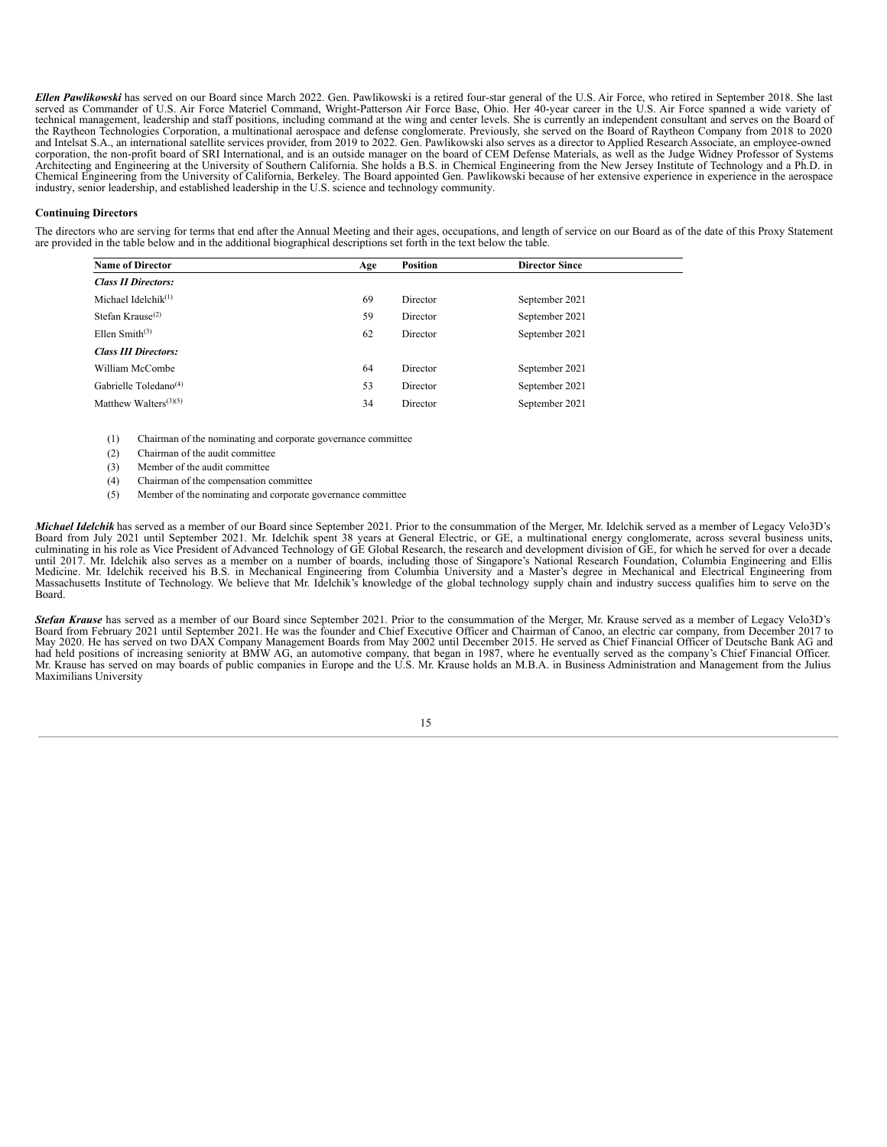*Ellen Pawlikowski* has served on our Board since March 2022. Gen. Pawlikowski is a retired four-star general of the U.S. Air Force, who retired in September 2018. She last served as Commander of U.S. Air Force Materiel Command, Wright-Patterson Air Force Base, Ohio. Her 40-year career in the U.S. Air Force spanned a wide variety of<br>technical management, leadership and staff positions, includ corporation, the non-profit board of SRI International, and is an outside manager on the board of CEM Defense Materials, as well as the Judge Widney Professor of Systems Architecting and Engineering at the University of Southern California. She holds a B.S. in Chemical Engineering from the New Jersey Institute of Technology and a Ph.D. in<br>Chemical Engineering from the University of Califor

#### **Continuing Directors**

The directors who are serving for terms that end after the Annual Meeting and their ages, occupations, and length of service on our Board as of the date of this Proxy Statement are provided in the table below and in the additional biographical descriptions set forth in the text below the table.

| <b>Name of Director</b>            | Age | Position | <b>Director Since</b> |
|------------------------------------|-----|----------|-----------------------|
| <b>Class II Directors:</b>         |     |          |                       |
| Michael Idelchi $k$ <sup>(1)</sup> | 69  | Director | September 2021        |
| Stefan Krause $(2)$                | 59  | Director | September 2021        |
| Ellen Smith $(3)$                  | 62  | Director | September 2021        |
| <b>Class III Directors:</b>        |     |          |                       |
| William McCombe                    | 64  | Director | September 2021        |
| Gabrielle Toledano <sup>(4)</sup>  | 53  | Director | September 2021        |
| Matthew Walters $(3)(5)$           | 34  | Director | September 2021        |
|                                    |     |          |                       |

(1) Chairman of the nominating and corporate governance committee

- (2) Chairman of the audit committee
- (3) Member of the audit committee
- (4) Chairman of the compensation committee
- (5) Member of the nominating and corporate governance committee

*Michael Idelchik* has served as a member of our Board since September 2021. Prior to the consummation of the Merger, Mr. Idelchik served as a member of Legacy Velo3D's Board from July 2021 until September 2021. Mr. Idelchik spent 38 years at General Electric, or GE, a multinational energy conglomerate, across several business units, culminating in his role as Vice President of Advanced Technology of GE Global Research, the research and development division of GE, for which he served for over a decade until 2017. Mr. Idelchik also serves as a member on Medicine. Mr. Relective and the second in the chanical Engineering from Columbia University and a Master's degree in Mechanical and Electrical Engineering from<br>Massachusetts Institute of Technology. We believe that Mr. Ide Board.

**Stefan Krause** has served as a member of our Board since September 2021. Prior to the consummation of the Merger, Mr. Krause served as a member of Legacy Velo3D's Board from February 2021 until September 2017. He was the May 2020. He has served on two DAX Company Management Boards from May 2002 until December 2015. He served as Chief Financial Officer of Deutsche Bank AG and had held positions of increasing seniority at BMW AG, an automotive company, that began in 1987, where he eventually served as the company's Chief Financial Officer. Mr. Krause has served on may boards of public companies in Europe and the U.S. Mr. Krause holds an M.B.A. in Business Administration and Management from the Julius Maximilians University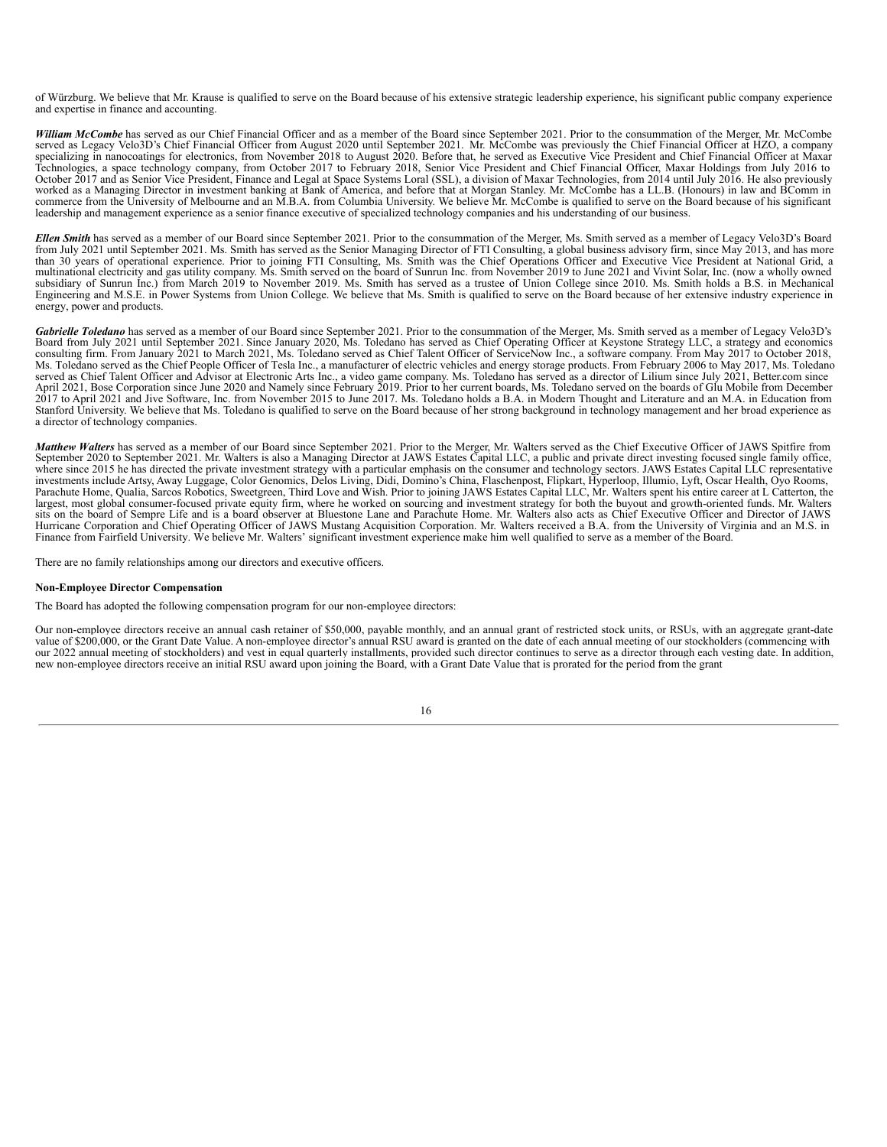of Würzburg. We believe that Mr. Krause is qualified to serve on the Board because of his extensive strategic leadership experience, his significant public company experience and expertise in finance and accounting.

*William McCombe* has served as our Chief Financial Officer and as a member of the Board since September 2021. Prior to the consummation of the Merger, Mr. McCombe served as Legacy Velo3D's Chief Financial Officer from August 2020 until September 2021. Mr. McCombe was previously the Chief Financial Officer at HZO, a company specializing in nanocoatings for electronics, from November 2018 to August 2020. Before that, he served as Executive Vice President and Chief Financial Officer at Maxar Technologies, a space technology company, from October 2017 to February 2018, Senior Vice President and Chief Financial Officer, Maxar Holdings from July 2016 to October 2017 and as Senior Vice President, Finance and Legal at Space Systems Loral (SSL), a division of Maxar Technologies, from 2014 until July 2016. He also previously worked as a Managing Director in investment banking at Bank of America, and before that at Morgan Stanley. Mr. McCombe has a LL.B. (Honours) in law and BComm in<br>commerce from the University of Melbourne and an M.B.A. from leadership and management experience as a senior finance executive of specialized technology companies and his understanding of our business.

Ellen Smith has served as a member of our Board since September 2021. Prior to the consummation of the Merger, Ms. Smith served as a member of Legacy Velo3D's Board<br>from July 2021 until September 2021. Ms. Smith has served than 30 years of operational experience. Prior to joining FTI Consulting, Ms. Smith was the Chief Operations Officer and Executive Vice President at National Grid, a multinational electricity and gas utility company. Ms. S subsidiary of Sunrun Inc.) from March 2019 to November 2019. Ms. Smith has served as a trustee of Union College since 2010. Ms. Smith holds a B.S. in Mechanical Engineering and M.S.E. in Power Systems from Union College. We believe that Ms. Smith is qualified to serve on the Board because of her extensive industry experience in energy, power and products.

*Gabrielle Toledano* has served as a member of our Board since September 2021. Prior to the consummation of the Merger, Ms. Smith served as a member of Legacy Velo3D's Board from July 2021 until September 2021. Since January 2020, Ms. Toledano has served as Chief Operating Officer at Keystone Strategy LLC, a strategy and economics consulting firm. From January 2021 to March 2021, Ms. Tol Ms. Toledano served as the Chief People Officer of Tesla Inc., a manufacturer of electric vehicles and energy storage products. From February 2006 to May 2017, Ms. Toledano served as Chief Talent Officer and Advisor at Electronic Arts Inc., a video game company. Ms. Toledano has served as a director of Lilium since July 2021, Better.com since<br>April 2021, Bose Corporation since June 2020 and N 2017 to April 2021 and Jive Software, Inc. from November 2015 to June 2017. Ms. Toledano holds a B.A. in Modern Thought and Literature and an M.A. in Education from<br>Stanford University. We believe that Ms. Toledano is qual a director of technology companies.

*Matthew Walters* has served as a member of our Board since September 2021. Prior to the Merger, Mr. Walters served as the Chief Executive Officer of JAWS Spitfire from September 2020 to September 2021. Mr. Walters is also a Managing Director at JAWS Estates Capital LLC, a public and private direct investing focused single family office, where since 2015 he has directed the private investment strategy with a particular emphasis on the consumer and technology sectors. JAWS Estates Capital LLC representative investments include Artsy, Away Luggage, Color Gen largest, most global consumer-focused private equity firm, where he worked on sourcing and investment strategy for both the buyout and growth-oriented funds. Mr. Walters sits on the board of Sempre Life and is a board observer at Bluestone Lane and Parachute Home. Mr. Walters also acts as Chief Executive Officer and Director of JAWS Hurricane Corporation and Chief Operating Officer of JAWS Mustang Acquisition Corporation. Mr. Walters received a B.A. from the University of Virginia and an M.S. in Finance from Fairfield University. We believe Mr. Walters' significant investment experience make him well qualified to serve as a member of the Board.

There are no family relationships among our directors and executive officers.

#### **Non-Employee Director Compensation**

The Board has adopted the following compensation program for our non-employee directors:

Our non-employee directors receive an annual cash retainer of \$50,000, payable monthly, and an annual grant of restricted stock units, or RSUs, with an aggregate grant-date value of \$200,000, or the Grant Date Value. A non-employee director's annual RSU award is granted on the date of each annual meeting of our stockholders (commencing with our 2022 annual meeting of stockholders) and vest in equal quarterly installments, provided such director continues to serve as a director through each vesting date. In addition, new non-employee directors receive an initial RSU award upon joining the Board, with a Grant Date Value that is prorated for the period from the grant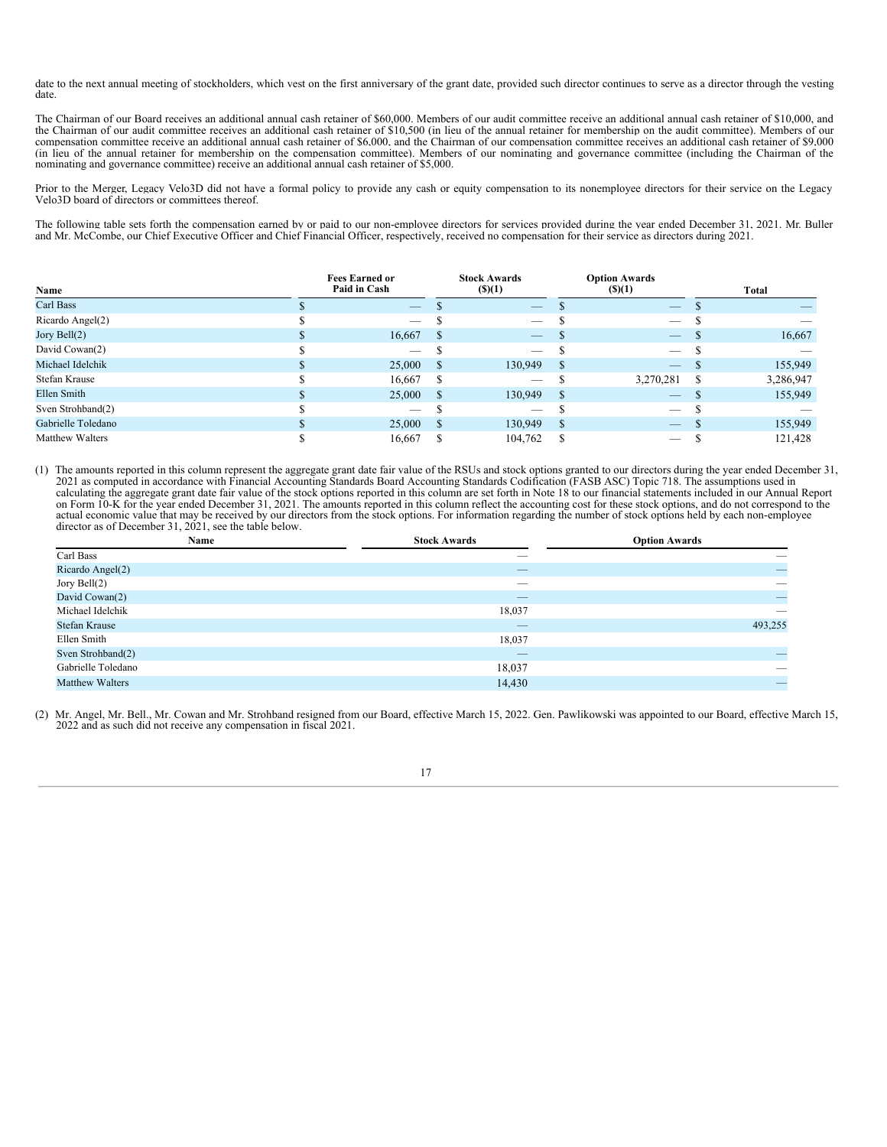date to the next annual meeting of stockholders, which vest on the first anniversary of the grant date, provided such director continues to serve as a director through the vesting date.

The Chairman of our Board receives an additional annual cash retainer of \$60,000. Members of our audit committee receive an additional annual cash retainer of \$10,000, and the Chairman of our audit committee receives an additional cash retainer of \$10,500 (in lieu of the annual retainer for membership on the audit committee). Members of our compensation committee receive an additional annual cash retainer of \$6,000, and the Chairman of our compensation committee receives an additional cash retainer of \$9,000 (in lieu of the annual retainer for membership on the compensation committee). Members of our nominating and governance committee (including the Chairman of the nominating and governance committee) receive an additional annual cash retainer of \$5,000.

Prior to the Merger, Legacy Velo3D did not have a formal policy to provide any cash or equity compensation to its nonemployee directors for their service on the Legacy Velo3D board of directors or committees thereof.

The following table sets forth the compensation earned by or paid to our non-employee directors for services provided during the year ended December 31, 2021. Mr. Buller and Mr. McCombe, our Chief Executive Officer and Chief Financial Officer, respectively, received no compensation for their service as directors during 2021.

| Name                   | <b>Fees Earned or</b><br>Paid in Cash |     | <b>Stock Awards</b><br>$($ \$ $)(1)$ |               | <b>Option Awards</b><br>$($ (\$)(1) |   | <b>Total</b> |
|------------------------|---------------------------------------|-----|--------------------------------------|---------------|-------------------------------------|---|--------------|
| Carl Bass              | $-$                                   |     | $\overline{\phantom{a}}$             |               | $\overline{\phantom{a}}$            |   |              |
| Ricardo Angel(2)       |                                       |     | $\overline{\phantom{a}}$             |               | _                                   |   |              |
| Jory Bell $(2)$        | 16,667                                | -S  | $\overbrace{\phantom{aaaaa}}$        |               |                                     |   | 16,667       |
| David Cowan(2)         |                                       |     | $\hspace{0.1mm}-\hspace{0.1mm}$      |               |                                     |   |              |
| Michael Idelchik       | 25,000                                | -S  | 130,949                              | S             |                                     |   | 155,949      |
| Stefan Krause          | 16,667                                | -S  |                                      |               | 3,270,281                           | S | 3,286,947    |
| Ellen Smith            | 25,000                                | -S  | 130,949                              | <sup>\$</sup> | $\overline{\phantom{m}}$            |   | 155,949      |
| Sven Strohband(2)      |                                       |     | $\overline{\phantom{a}}$             |               | _                                   |   |              |
| Gabrielle Toledano     | 25,000                                | - S | 130,949                              | <sup>S</sup>  | $\qquad \qquad - \qquad$            |   | 155,949      |
| <b>Matthew Walters</b> | 16,667                                |     | 104,762                              | S             |                                     |   | 121,428      |

(1) The amounts reported in this column represent the aggregate grant date fair value of the RSUs and stock options granted to our directors during the year ended December 31, 2021 as computed in accordance with Financial Accounting Standards Board Accounting Standards Codification (FASB ASC) Topic 718. The assumptions used in calculating the aggregate grant date fair value of the stock options reported in this column are set forth in Note 18 to our financial statements included in our Annual Report on Form 10-K for the year ended December 31, 2021. The amounts reported in this column reflect the accounting cost for these stock options, and do not correspond to the actual economic value that may be received by our directors from the stock options. For information regarding the number of stock options held by each non-employee director as of December 31, 2021, see the table below.

| Name                   | <b>Stock Awards</b> | <b>Option Awards</b>           |
|------------------------|---------------------|--------------------------------|
| Carl Bass              |                     |                                |
| Ricardo Angel(2)       | __                  | $\qquad \qquad \longleftarrow$ |
| Jory Bell $(2)$        | $-$                 | __                             |
| David Cowan(2)         | __                  | $\equiv$                       |
| Michael Idelchik       | 18,037              |                                |
| Stefan Krause          |                     | 493,255                        |
| Ellen Smith            | 18,037              |                                |
| Sven Strohband(2)      |                     | $\overline{\phantom{m}}$       |
| Gabrielle Toledano     | 18,037              |                                |
| <b>Matthew Walters</b> | 14,430              | $\qquad \qquad -$              |

(2) Mr. Angel, Mr. Bell., Mr. Cowan and Mr. Strohband resigned from our Board, effective March 15, 2022. Gen. Pawlikowski was appointed to our Board, effective March 15, 2022 and as such did not receive any compensation in fiscal 2021.

17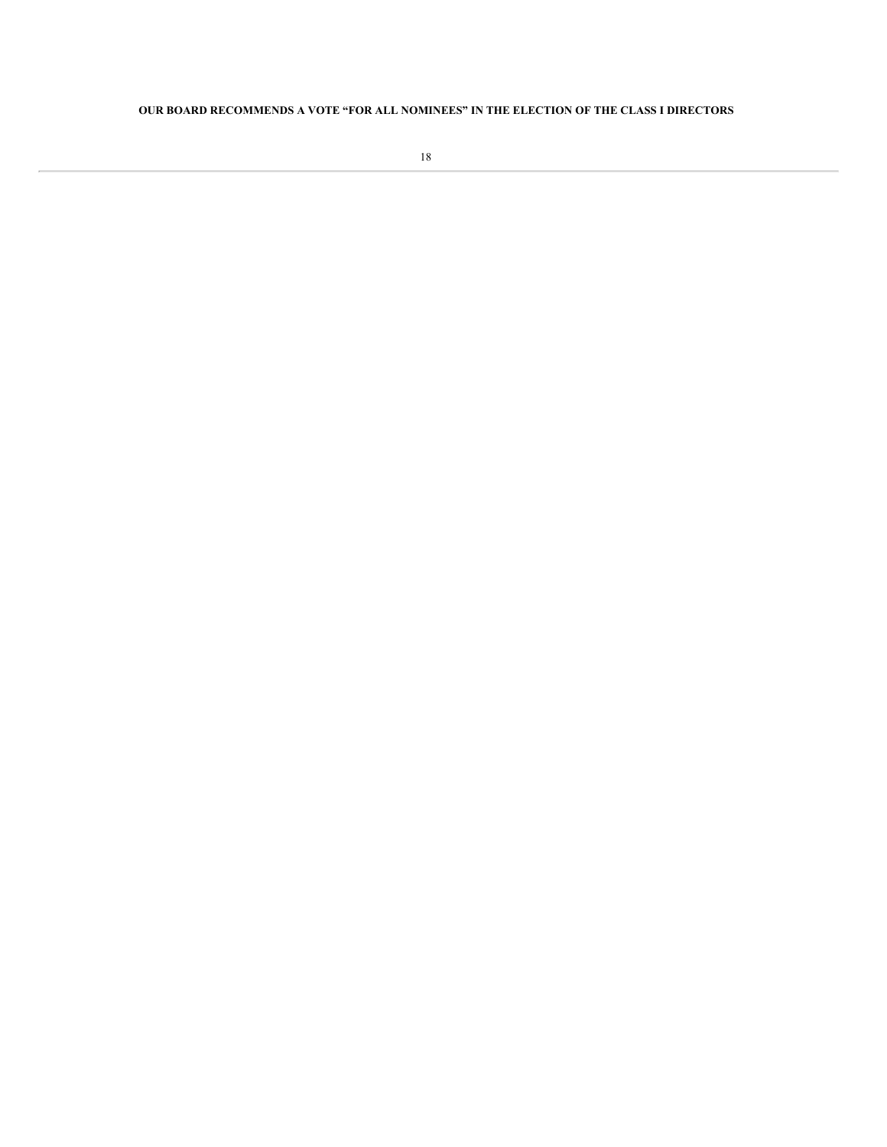### <span id="page-22-0"></span>**OUR BOARD RECOMMENDS A VOTE "FOR ALL NOMINEES" IN THE ELECTION OF THE CLASS I DIRECTORS**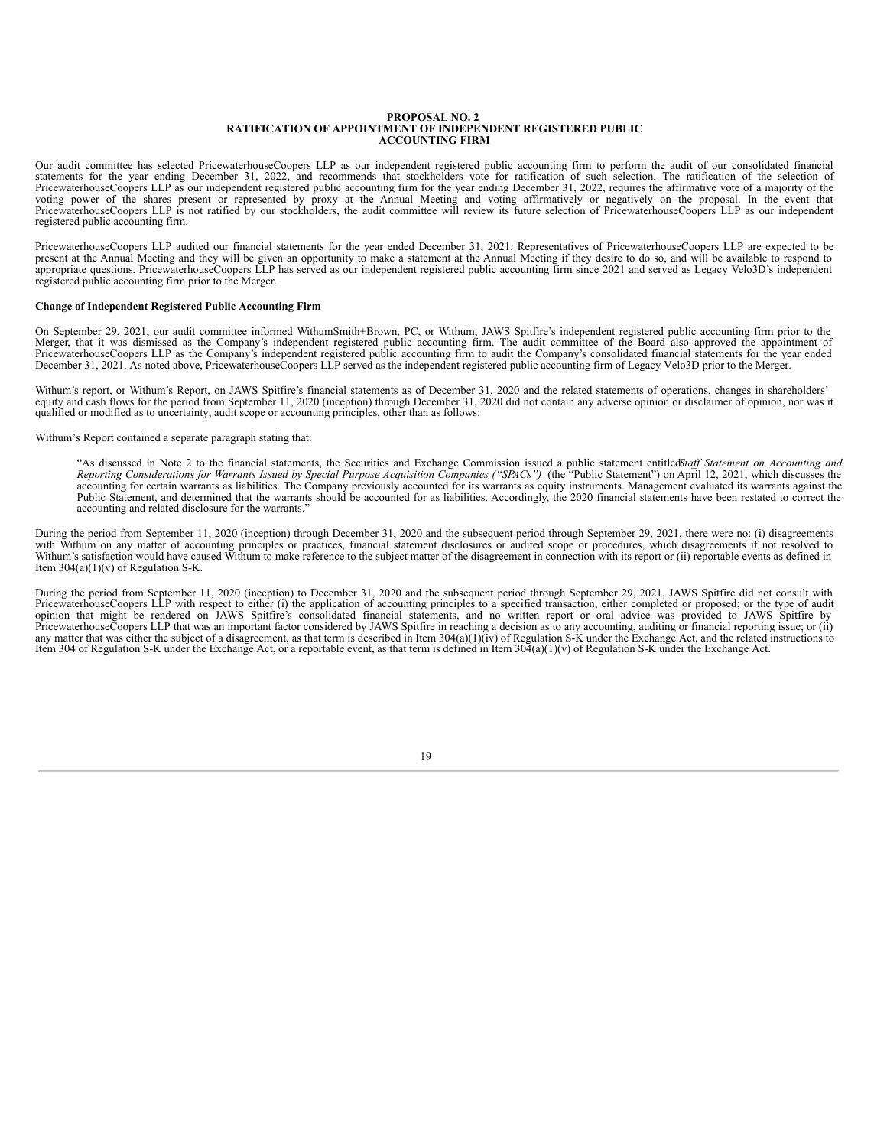#### **PROPOSAL NO. 2 RATIFICATION OF APPOINTMENT OF INDEPENDENT REGISTERED PUBLIC ACCOUNTING FIRM**

Our audit committee has selected PricewaterhouseCoopers LLP as our independent registered public accounting firm to perform the audit of our consolidated financial statements for the year ending December 31, 2022, and reco voting power of the shares present or represented by proxy at the Annual Meeting and voting affirmatively or negatively on the proposal. In the event that PricewaterhouseCoopers LLP is not ratified by our stockholders, the registered public accounting firm.

PricewaterhouseCoopers LLP audited our financial statements for the year ended December 31, 2021. Representatives of PricewaterhouseCoopers LLP are expected to be present at the Annual Meeting and they will be given an opportunity to make a statement at the Annual Meeting if they desire to do so, and will be available to respond to appropriate questions. PricewaterhouseCoopers LLP h registered public accounting firm prior to the Merger.

#### **Change of Independent Registered Public Accounting Firm**

On September 29, 2021, our audit committee informed WithumSmith+Brown, PC, or Withum, JAWS Spitfire's independent registered public accounting firm prior to the Merger, that it was dismissed as the Company's independent registered public accounting firm. The audit committee of the Board also approved the appointment of PricewaterhouseCoopers LLP as the Company's independent registered public accounting firm to audit the Company's consolidated financial statements for the year ended December 31, 2021. As noted above, PricewaterhouseCoopers LLP served as the independent registered public accounting firm of Legacy Velo3D prior to the Merger.

Withum's report, or Withum's Report, on JAWS Spitfire's financial statements as of December 31, 2020 and the related statements of operations, changes in shareholders' equity and cash flows for the period from September 11, 2020 (inception) through December 31, 2020 did not contain any adverse opinion or disclaimer of opinion, nor was it qualified or modified as to uncertainty, audit scope or accounting principles, other than as follows:

Withum's Report contained a separate paragraph stating that:

"As discussed in Note 2 to the financial statements, the Securities and Exchange Commission issued a public statement entitledStaff Statement on Accounting and Reporting Considerations for Warrants Issued by Special Purpos accounting for certain warrants as liabilities. The Company previously accounted for its warrants as equity instruments. Management evaluated its warrants against the Public Statement, and determined that the warrants shou accounting and related disclosure for the warrants."

During the period from September 11, 2020 (inception) through December 31, 2020 and the subsequent period through September 29, 2021, there were no: (i) disagreements with Withum on any matter of accounting principles or practices, financial statement disclosures or audited scope or procedures, which disagreements if not resolved to Withum's satisfaction would have caused Withum to make reference to the subject matter of the disagreement in connection with its report or (ii) reportable events as defined in Item  $304(a)(1)(v)$  of Regulation S-K.

During the period from September 11, 2020 (inception) to December 31, 2020 and the subsequent period through September 29, 2021, JAWS Spitfire did not consult with PricewaterhouseCoopers LLP with respect to either (i) the application of accounting principles to a specified transaction, either completed or proposed; or the type of audit opinion that might be rendered on JAWS Spitfire's consolidated financial statements, and no written report or oral advice was provided to JAWS Spitfire by PricewaterhouseCoopers LLP that was an important factor considered by JAWS Spitfire in reaching a decision as to any accounting, auditing or financial reporting issue; or (ii) any matter that was either the subject of a disagreement, as that term is described in Item  $304(a)(1)(iv)$  of Regulation S-K under the Exchange Act, and the related instructions to Item 304 of Regulation S-K under the Exchange Act, or a reportable event, as that term is defined in Item 304(a)(1)(v) of Regulation S-K under the Exchange Act.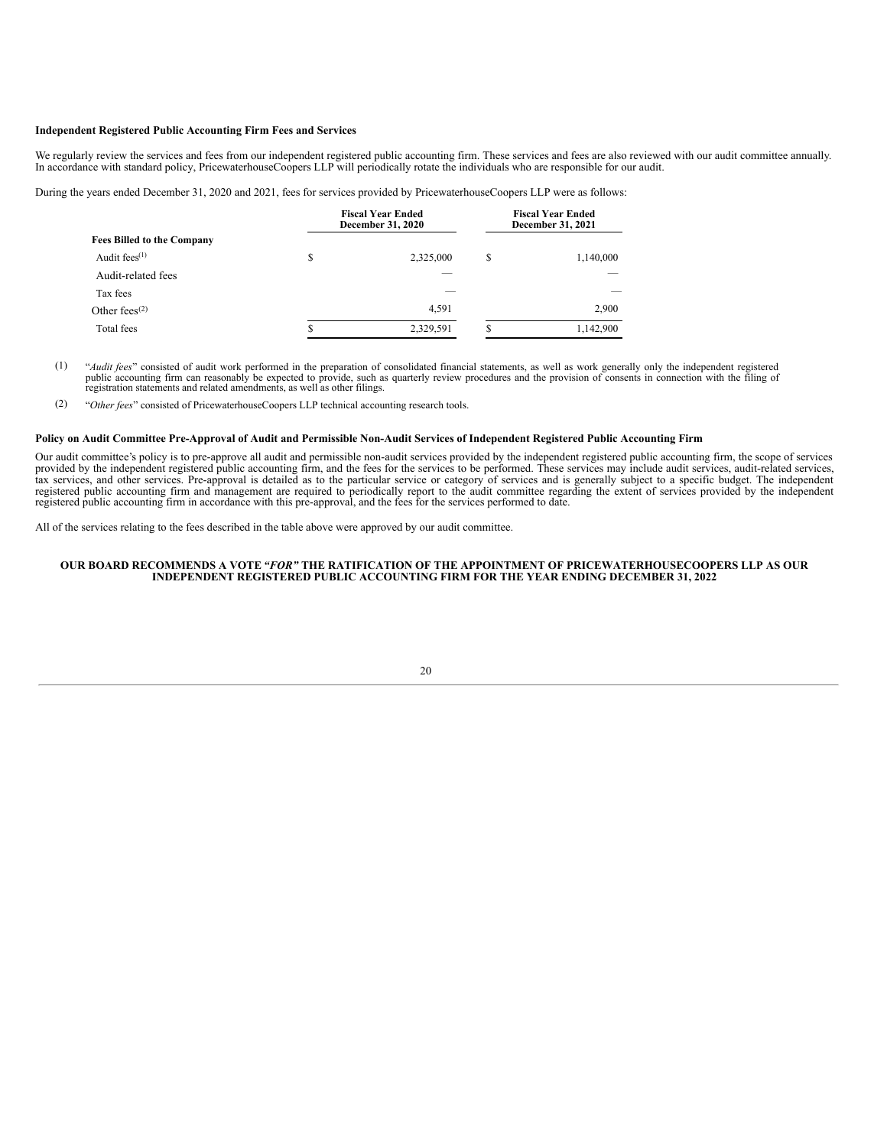#### **Independent Registered Public Accounting Firm Fees and Services**

We regularly review the services and fees from our independent registered public accounting firm. These services and fees are also reviewed with our audit committee annually.<br>In accordance with standard policy, Pricewaterh

During the years ended December 31, 2020 and 2021, fees for services provided by PricewaterhouseCoopers LLP were as follows:

|                                   |    | <b>Fiscal Year Ended</b><br><b>December 31, 2020</b> | <b>Fiscal Year Ended</b><br>December 31, 2021 |           |  |
|-----------------------------------|----|------------------------------------------------------|-----------------------------------------------|-----------|--|
| <b>Fees Billed to the Company</b> |    |                                                      |                                               |           |  |
| Audit fees $(1)$                  | \$ | 2,325,000                                            | S                                             | 1,140,000 |  |
| Audit-related fees                |    |                                                      |                                               |           |  |
| Tax fees                          |    |                                                      |                                               |           |  |
| Other fees $(2)$                  |    | 4,591                                                |                                               | 2,900     |  |
| Total fees                        | \$ | 2,329,591                                            | S                                             | 1,142,900 |  |

(1) "*Audit fees*" consisted of audit work performed in the preparation of consolidated financial statements, as well as work generally only the independent registered public accounting firm can reasonably be expected to provide, such as quarterly review procedures and the provision of consents in connection with the filing of registration statements and related amendments, as well as ot

(2) "*Other fees*" consisted of PricewaterhouseCoopers LLP technical accounting research tools.

#### Policy on Audit Committee Pre-Approval of Audit and Permissible Non-Audit Services of Independent Registered Public Accounting Firm

Our audit committee's policy is to pre-approve all audit and permissible non-audit services provided by the independent registered public accounting firm, the scope of services provided by the independent registered public accounting firm, and the fees for the services to be performed. These services may include audit services, audit-related services, and other services. Pre-approval is detailed registered public accounting firm and management are required to periodically report to the audit committee regarding the extent of services provided by the independent registered public accounting firm in accordance with this pre-approval, and the fees for the services performed to date.

All of the services relating to the fees described in the table above were approved by our audit committee.

#### **OUR BOARD RECOMMENDS A VOTE** *"FOR"* **THE RATIFICATION OF THE APPOINTMENT OF PRICEWATERHOUSECOOPERS LLP AS OUR INDEPENDENT REGISTERED PUBLIC ACCOUNTING FIRM FOR THE YEAR ENDING DECEMBER 31, 2022**

20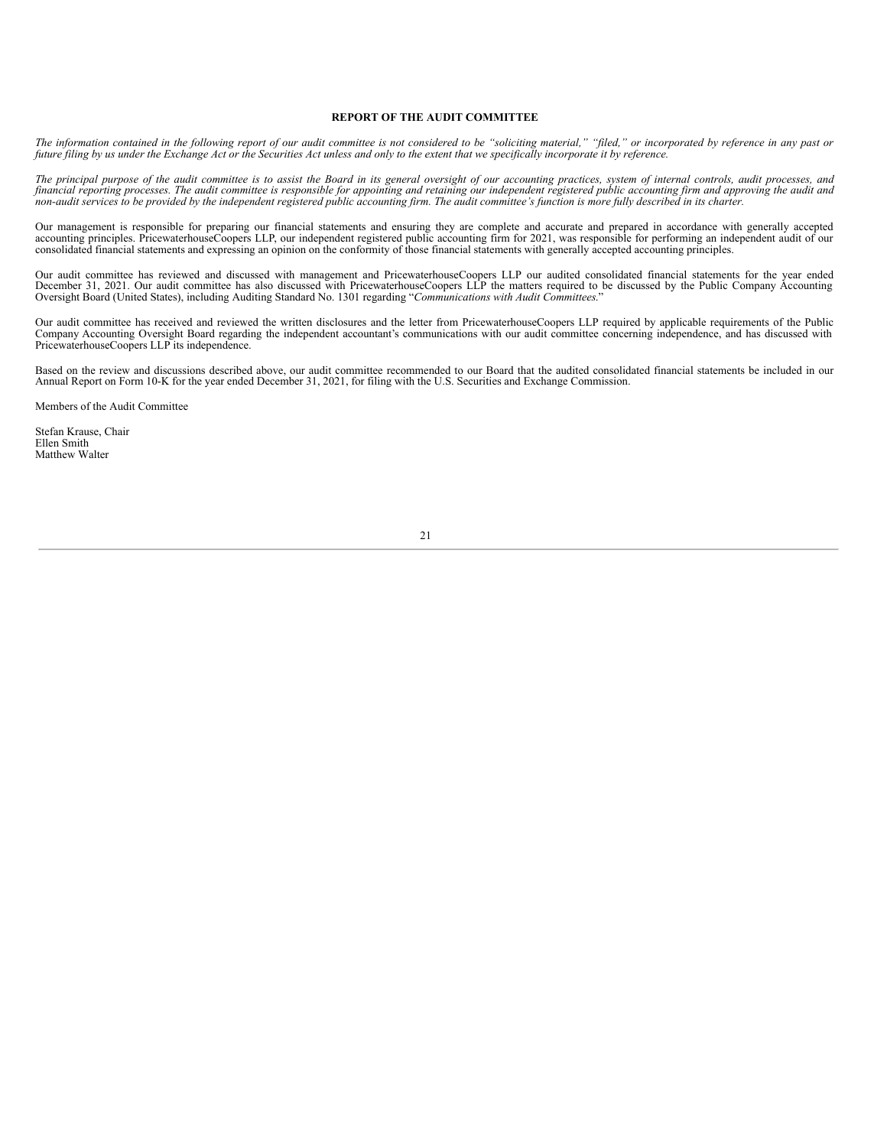#### **REPORT OF THE AUDIT COMMITTEE**

The information contained in the following report of our audit committee is not considered to be "soliciting material," "filed," or incorporated by reference in any past or<br>future filing by us under the Exchange Act or the

The principal purpose of the audit committee is to assist the Board in its general oversight of our accounting practices, system of internal controls, audit processes, and financial reporting processes. The audit committee is responsible for appointing and retaining our independent registered public accounting firm and approving the audit and non-audit services to be provided by the independent registered public accounting firm. The audit committee's function is more fully described in its charter.

Our management is responsible for preparing our financial statements and ensuring they are complete and accurate and prepared in accordance with generally accepted accounting principles. PricewaterhouseCoopers LLP, our independent registered public accounting firm for 2021, was responsible for performing an independent audit of our consolidated financial statements and expressing an

Our audit committee has reviewed and discussed with management and PricewaterhouseCoopers LLP our audited consolidated financial statements for the year ended December 31, 2021. Our audit committee has also discussed with PricewaterhouseCoopers LLP the matters required to be discussed by the Public Company Accounting<br>Oversight Board (United States), including Auditing Standard N

Our audit committee has received and reviewed the written disclosures and the letter from PricewaterhouseCoopers LLP required by applicable requirements of the Public Company Accounting Oversight Board regarding the independent accountant's communications with our audit committee concerning independence, and has discussed with PricewaterhouseCoopers LLP its independence.

Based on the review and discussions described above, our audit committee recommended to our Board that the audited consolidated financial statements be included in our Annual Report on Form 10-K for the year ended December 31, 2021, for filing with the U.S. Securities and Exchange Commission.

Members of the Audit Committee

Stefan Krause, Chair Ellen Smith Matthew Walter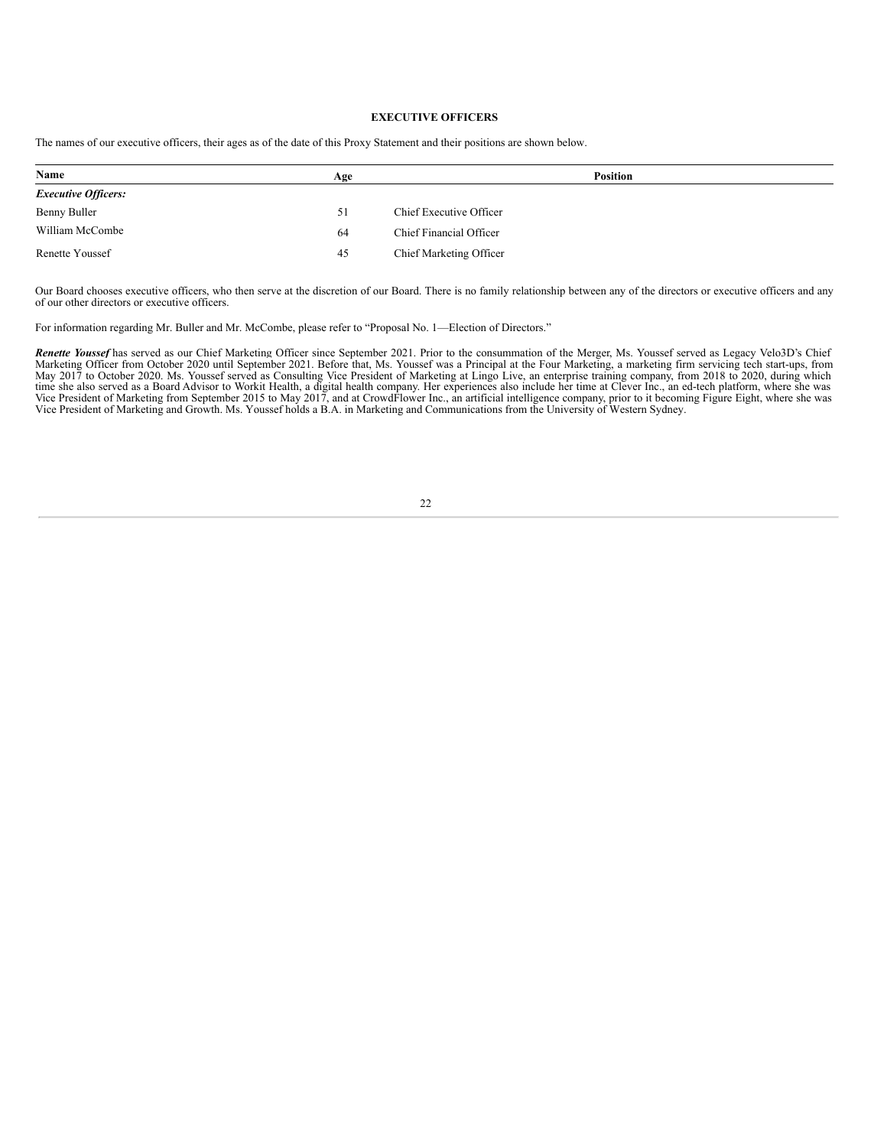### **EXECUTIVE OFFICERS**

| Name                       | Age | <b>Position</b>         |  |
|----------------------------|-----|-------------------------|--|
| <b>Executive Officers:</b> |     |                         |  |
| Benny Buller               | 51  | Chief Executive Officer |  |
| William McCombe            | 64  | Chief Financial Officer |  |
| Renette Youssef            | 45  | Chief Marketing Officer |  |

The names of our executive officers, their ages as of the date of this Proxy Statement and their positions are shown below.

Our Board chooses executive officers, who then serve at the discretion of our Board. There is no family relationship between any of the directors or executive officers and any of our other directors or executive officers.

For information regarding Mr. Buller and Mr. McCombe, please refer to "Proposal No. 1—Election of Directors."

**Renette Youssef** has served as our Chief Marketing Officer since September 2021. Prior to the consummation of the Merger, Ms. Youssef served as Legacy Velo3D's Chief Marketing Officer from October 2020 until September 202

22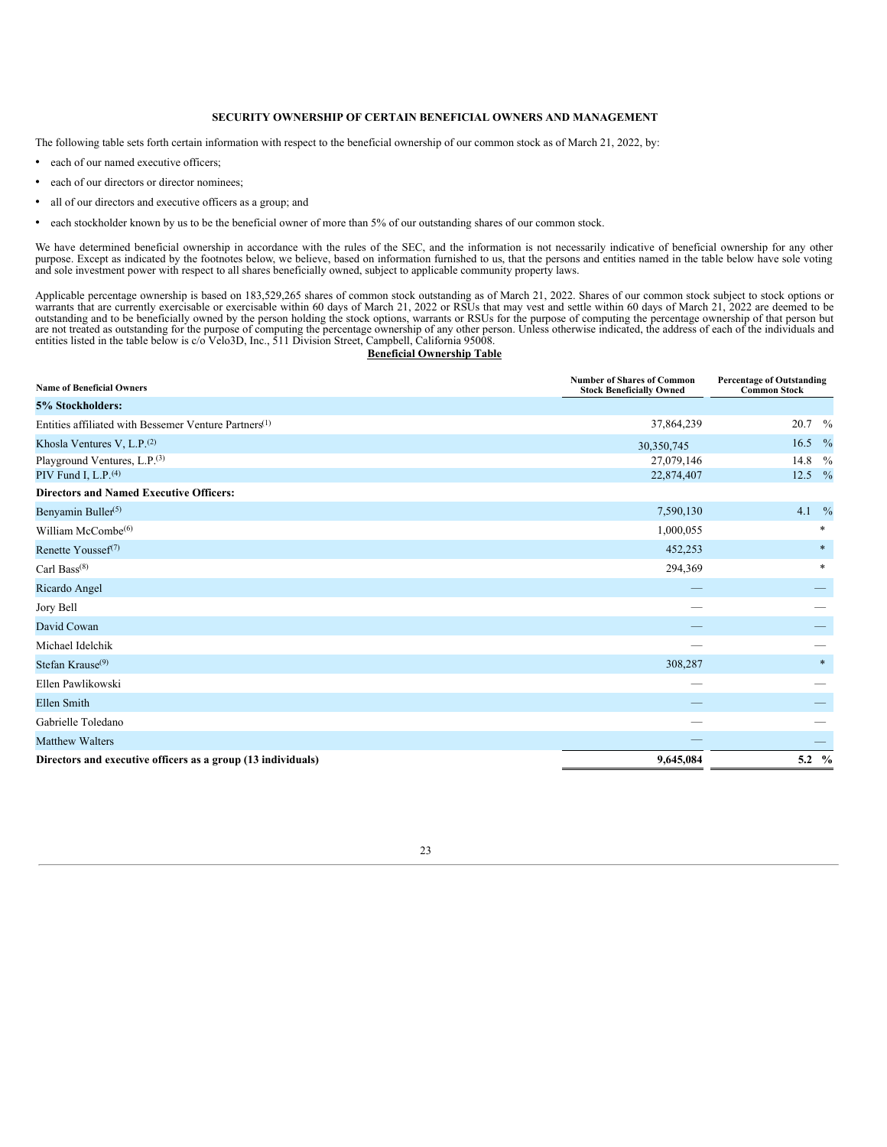#### **SECURITY OWNERSHIP OF CERTAIN BENEFICIAL OWNERS AND MANAGEMENT**

The following table sets forth certain information with respect to the beneficial ownership of our common stock as of March 21, 2022, by:

- each of our named executive officers;
- each of our directors or director nominees;
- all of our directors and executive officers as a group; and
- each stockholder known by us to be the beneficial owner of more than 5% of our outstanding shares of our common stock.

We have determined beneficial ownership in accordance with the rules of the SEC, and the information is not necessarily indicative of beneficial ownership for any other purpose. Except as indicated by the footnotes below, we believe, based on information furnished to us, that the persons and entities named in the table below have sole voting and sole investment power with respect to all shares beneficially owned, subject to applicable community property laws.

Applicable percentage ownership is based on 183,529,265 shares of common stock outstanding as of March 21, 2022. Shares of our common stock subject to stock options or warrants that are currently exercisable or exercisable

#### **Beneficial Ownership Table**

| <b>Name of Beneficial Owners</b>                                  | <b>Number of Shares of Common</b><br><b>Stock Beneficially Owned</b> | <b>Percentage of Outstanding</b><br><b>Common Stock</b> |               |  |
|-------------------------------------------------------------------|----------------------------------------------------------------------|---------------------------------------------------------|---------------|--|
| 5% Stockholders:                                                  |                                                                      |                                                         |               |  |
| Entities affiliated with Bessemer Venture Partners <sup>(1)</sup> | 37,864,239                                                           | 20.7                                                    | $\frac{0}{0}$ |  |
| Khosla Ventures V, L.P. $(2)$                                     | 30,350,745                                                           | 16.5                                                    | $\frac{0}{0}$ |  |
| Playground Ventures, L.P. <sup>(3)</sup>                          | 27,079,146                                                           | 14.8                                                    | $\frac{0}{0}$ |  |
| PIV Fund I, L.P. <sup>(4)</sup>                                   | 22,874,407                                                           | 12.5                                                    | $\frac{0}{2}$ |  |
| <b>Directors and Named Executive Officers:</b>                    |                                                                      |                                                         |               |  |
| Benyamin Buller <sup>(5)</sup>                                    | 7,590,130                                                            | 4.1                                                     | $\frac{0}{0}$ |  |
| William McCombe <sup>(6)</sup>                                    | 1,000,055                                                            |                                                         | $*$           |  |
| Renette Youssef <sup>(7)</sup>                                    | 452,253                                                              |                                                         | $\ast$        |  |
| Carl Bass $(8)$                                                   | 294,369                                                              |                                                         | $*$           |  |
| Ricardo Angel                                                     |                                                                      |                                                         |               |  |
| Jory Bell                                                         |                                                                      |                                                         |               |  |
| David Cowan                                                       |                                                                      |                                                         |               |  |
| Michael Idelchik                                                  |                                                                      |                                                         |               |  |
| Stefan Krause $(9)$                                               | 308,287                                                              |                                                         | $\ast$        |  |
| Ellen Pawlikowski                                                 |                                                                      |                                                         |               |  |
| <b>Ellen Smith</b>                                                |                                                                      |                                                         |               |  |
| Gabrielle Toledano                                                |                                                                      |                                                         |               |  |
| <b>Matthew Walters</b>                                            |                                                                      |                                                         |               |  |
| Directors and executive officers as a group (13 individuals)      | 9,645,084                                                            | 5.2 $\%$                                                |               |  |

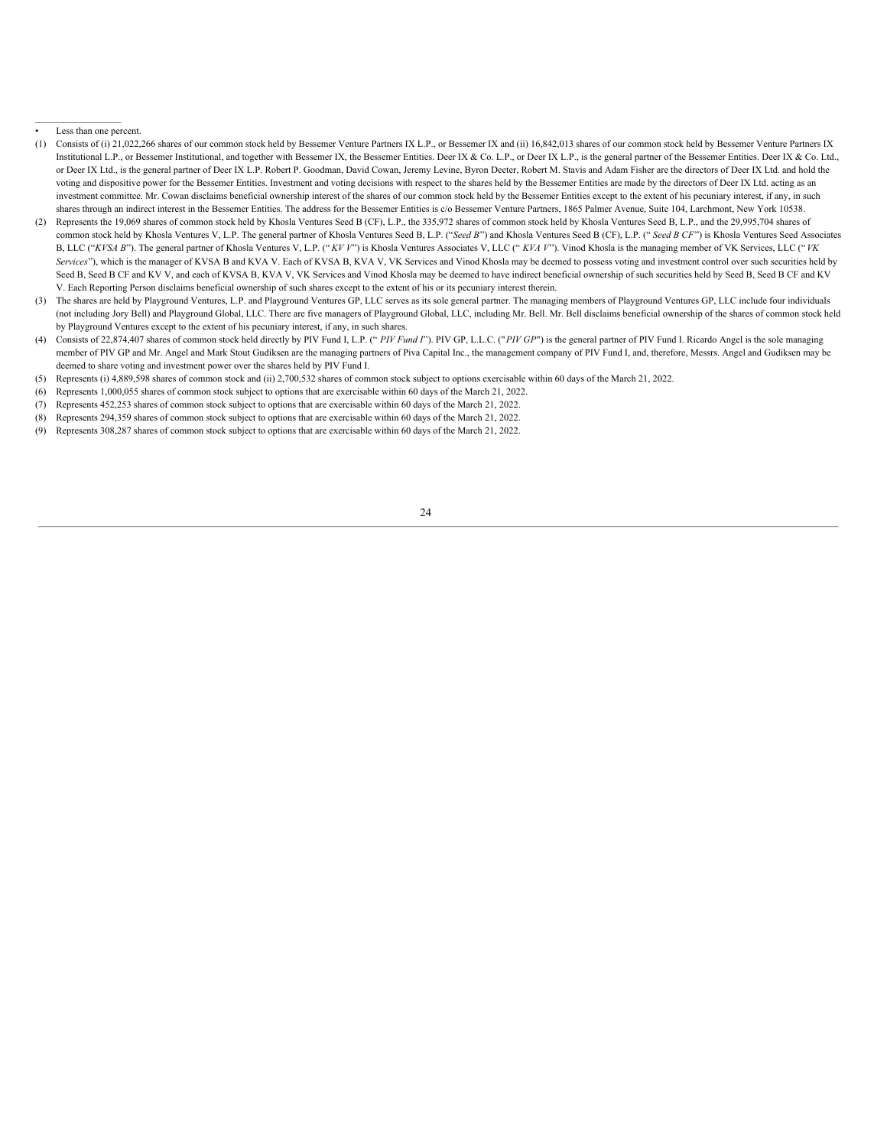Less than one percent.

- (1) Consists of (i) 21,022,266 shares of our common stock held by Bessemer Venture Partners IX L.P., or Bessemer IX and (ii) 16,842,013 shares of our common stock held by Bessemer Venture Partners IX Institutional L.P., or Bessemer Institutional, and together with Bessemer IX, the Bessemer Entities. Deer IX & Co. L.P., or Deer IX L.P., is the general partner of the Bessemer Entities. Deer IX & Co. Ltd., or Deer IX Ltd., is the general partner of Deer IX L.P. Robert P. Goodman, David Cowan, Jeremy Levine, Byron Deeter, Robert M. Stavis and Adam Fisher are the directors of Deer IX Ltd. and hold the voting and dispositive power for the Bessemer Entities. Investment and voting decisions with respect to the shares held by the Bessemer Entities are made by the directors of Deer IX Ltd. acting as an investment committee. Mr. Cowan disclaims beneficial ownership interest of the shares of our common stock held by the Bessemer Entities except to the extent of his pecuniary interest, if any, in such shares through an indirect interest in the Bessemer Entities. The address for the Bessemer Entities is c/o Bessemer Venture Partners, 1865 Palmer Avenue, Suite 104, Larchmont, New York 10538.
- (2) Represents the 19,069 shares of common stock held by Khosla Ventures Seed B (CF), L.P., the 335,972 shares of common stock held by Khosla Ventures Seed B, L.P., and the 29,995,704 shares of common stock held by Khosla Ventures V, L.P. The general partner of Khosla Ventures Seed B, L.P. ("Seed B") and Khosla Ventures Seed B (CF), L.P. (" Seed B CF") is Khosla Ventures Seed Associates B, LLC ("KVSA B"). The general partner of Khosla Ventures V, L.P. ("KVV") is Khosla Ventures Associates V, LLC ("KVAV"). Vinod Khosla is the managing member of VK Services, LLC ("VK *Services*"), which is the manager of KVSA B and KVA V. Each of KVSA B, KVA V, VK Services and Vinod Khosla may be deemed to possess voting and investment control over such securities held by Seed B, Seed B CF and KV V, and each of KVSA B, KVA V, VK Services and Vinod Khosla may be deemed to have indirect beneficial ownership of such securities held by Seed B, Seed B CF and KV V. Each Reporting Person disclaims beneficial ownership of such shares except to the extent of his or its pecuniary interest therein.
- (3) The shares are held by Playground Ventures, L.P. and Playground Ventures GP, LLC serves as its sole general partner. The managing members of Playground Ventures GP, LLC include four individuals (not including Jory Bell) and Playground Global, LLC. There are five managers of Playground Global, LLC, including Mr. Bell. Mr. Bell disclaims beneficial ownership of the shares of common stock held by Playground Ventures except to the extent of his pecuniary interest, if any, in such shares.
- (4) Consists of 22,874,407 shares of common stock held directly by PIV Fund I, L.P. (" PIV Fund I"). PIV GP, L.L.C. ("PIV GP") is the general partner of PIV Fund I. Ricardo Angel is the sole managing member of PIV GP and Mr. Angel and Mark Stout Gudiksen are the managing partners of Piva Capital Inc., the management company of PIV Fund I, and, therefore, Messrs. Angel and Gudiksen may be deemed to share voting and investment power over the shares held by PIV Fund I.
- (5) Represents (i) 4,889,598 shares of common stock and (ii) 2,700,532 shares of common stock subject to options exercisable within 60 days of the March 21, 2022.
- (6) Represents 1,000,055 shares of common stock subject to options that are exercisable within 60 days of the March 21, 2022.
- (7) Represents 452,253 shares of common stock subject to options that are exercisable within 60 days of the March 21, 2022.
- (8) Represents 294,359 shares of common stock subject to options that are exercisable within 60 days of the March 21, 2022.
- <span id="page-28-0"></span>(9) Represents 308,287 shares of common stock subject to options that are exercisable within 60 days of the March 21, 2022.

24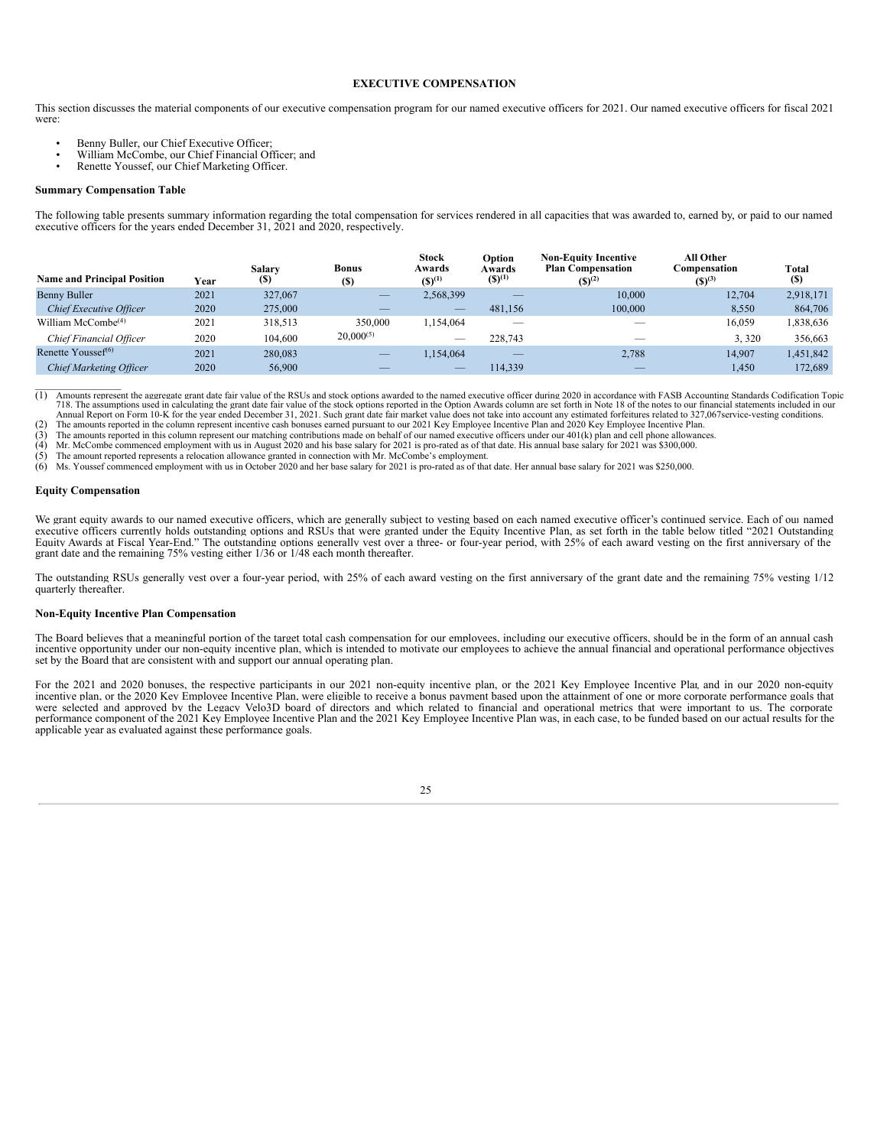#### **EXECUTIVE COMPENSATION**

This section discusses the material components of our executive compensation program for our named executive officers for 2021. Our named executive officers for fiscal 2021 were:

- Benny Buller, our Chief Executive Officer;
- William McCombe, our Chief Financial Officer; and
- Renette Youssef, our Chief Marketing Officer.

#### **Summary Compensation Table**

The following table presents summary information regarding the total compensation for services rendered in all capacities that was awarded to, earned by, or paid to our named executive officers for the years ended December

| <b>Name and Principal Position</b> | Year | Salary<br>(\$) | <b>Bonus</b><br>(S) | <b>Stock</b><br>Awards<br>$(S)^{(1)}$ | Option<br>Awards<br>$(S)^{(1)}$ | <b>Non-Equity Incentive</b><br><b>Plan Compensation</b><br>$(S)^{(2)}$ | All Other<br>Compensation<br>$(S)^{(3)}$ | Total<br><b>(S)</b> |
|------------------------------------|------|----------------|---------------------|---------------------------------------|---------------------------------|------------------------------------------------------------------------|------------------------------------------|---------------------|
| Benny Buller                       | 2021 | 327,067        | $\frac{1}{2}$       | 2,568,399                             | –                               | 10,000                                                                 | 12,704                                   | 2,918,171           |
| Chief Executive Officer            | 2020 | 275,000        |                     | _                                     | 481,156                         | 100,000                                                                | 8,550                                    | 864,706             |
| William McCombe <sup>(4)</sup>     | 2021 | 318,513        | 350,000             | .154.064                              |                                 |                                                                        | 16.059                                   | 1,838,636           |
| Chief Financial Officer            | 2020 | 104,600        | $20,000^{(5)}$      | $\overline{\phantom{m}}$              | 228,743                         |                                                                        | 3.320                                    | 356,663             |
| Renette Yousse $f^{(6)}$           | 2021 | 280,083        | $\frac{1}{2}$       | 1,154,064                             | $\frac{1}{2}$                   | 2,788                                                                  | 14.907                                   | 1,451,842           |
| <b>Chief Marketing Officer</b>     | 2020 | 56,900         |                     | __                                    | 114.339                         | _                                                                      | 1,450                                    | 172,689             |

(1) Amounts represent the aggregate grant date fair value of the RSUs and stock options awarded to the named executive officer during 2020 in accordance with FASB Accounting Standards Codification Topic 718. The assumptions used in calculating the grant date fair value of the stock options reported in the Option Awards column are set forth in Note 18 of the notes to our financial statements included in our<br>Annual Report o

The amounts reported in the column represent incentive cash bonuses earned pursuant to our 2021 Key Employee Incentive Plan and 2020 Key Employee Incentive Plan and 2020 Key Employee Incentive Plan.

 $(3)$  The amounts reported in this column represent our matching contributions made on behalf of our named executive officers under our 401(k) plan and cell phone allowances.<br>(4) Mr. McCombe commenced employment with us i

(4) Mr. McCombe commenced employment with us in August 2020 and his base salary for 2021 is pro-rated as of that date. His annual base salary for 2021 was \$300,000.<br>(5) The amount reported represents a relocation allowance

Ms. Youssef commenced employment with us in October 2020 and her base salary for 2021 is pro-rated as of that date. Her annual base salary for 2021 was \$250,000.

#### **Equity Compensation**

 $\mathcal{L}_\text{max}$ 

We grant equity awards to our named executive officers, which are generally subject to vesting based on each named executive officer's continued service. Each of our named executive officers currently holds outstanding options and RSUs that were granted under the Equity Incentive Plan, as set forth in the table below titled "2021 Outstanding Equity Awards at Fiscal Year-End." The outstanding options generally vest over a three- or four-year period, with 25% of each award vesting on the first anniversary of the grant date and the remaining 75% vesting either 1/36 or 1/48 each month thereafter.

The outstanding RSUs generally vest over a four-year period, with 25% of each award vesting on the first anniversary of the grant date and the remaining 75% vesting 1/12 quarterly thereafter.

#### **Non-Equity Incentive Plan Compensation**

The Board believes that a meaningful portion of the target total cash compensation for our employees, including our executive officers, should be in the form of an annual cash incentive opportunity under our non-equity incentive plan, which is intended to motivate our employees to achieve the annual financial and operational performance objectives set by the Board that are consistent with and support our annual operating plan.

For the 2021 and 2020 bonuses, the respective participants in our 2021 non-equity incentive plan, or the 2021 Key Employee Incentive Plan*,* and in our 2020 non-equity incentive plan, or the 2020 Key Employee Incentive Plan, were eligible to receive a bonus payment based upon the attainment of one or more corporate performance goals that were selected and approved by the Legacy Velo3D board of directors and which related to financial and operational metrics that were important to us. The corporate performance component of the 2021 Key Employee Incentive Plan and the 2021 Key Employee Incentive Plan was, in each case, to be funded based on our actual results for the applicable year as evaluated against these performance goals.

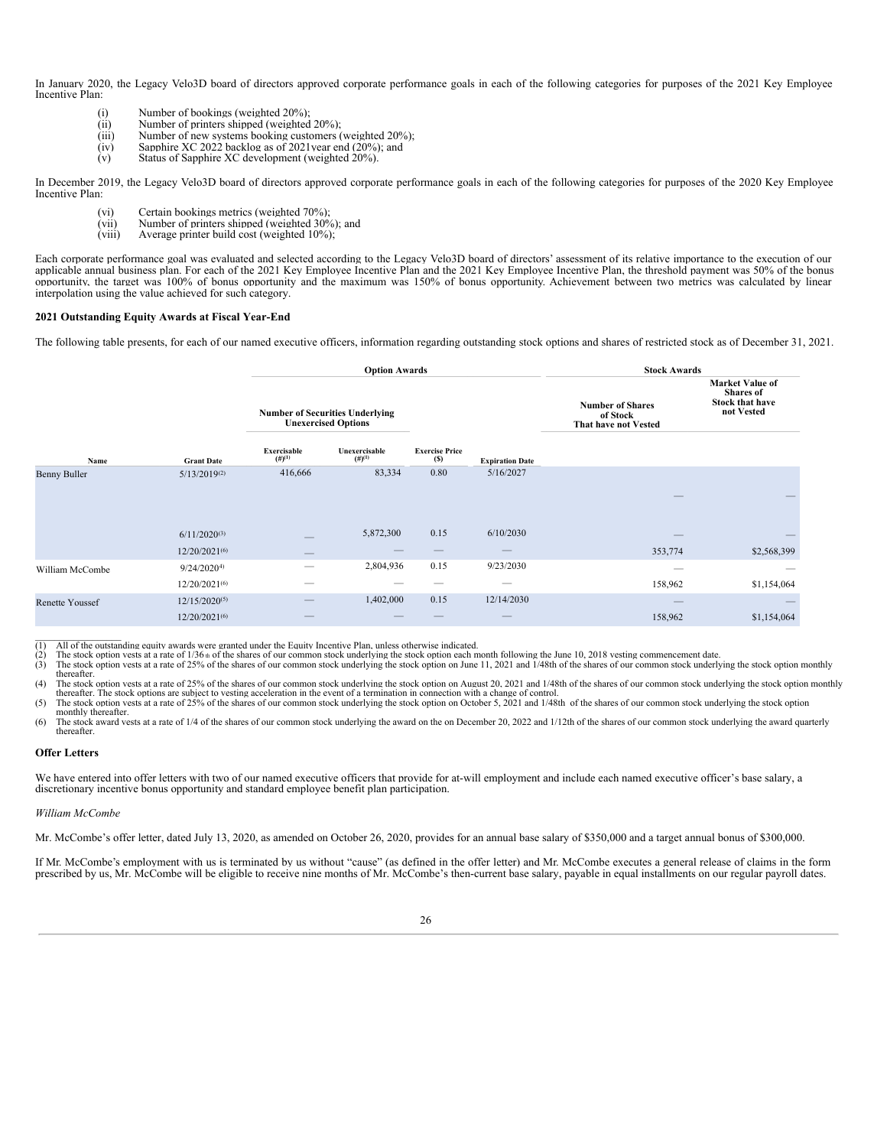In January 2020, the Legacy Velo3D board of directors approved corporate performance goals in each of the following categories for purposes of the 2021 Key Employee Incentive Plan:

- (i) Number of bookings (weighted 20%);<br>(ii) Number of printers shipped (weighted
- (ii) Number of printers shipped (weighted  $20\%$ );<br>(iii) Number of new systems booking customers ( Number of new systems booking customers (weighted 20%);
- $(iv)$  Sapphire XC 2022 backlog as of 2021 year end (20%); and
- (v) Status of Sapphire XC development (weighted 20%).

In December 2019, the Legacy Velo3D board of directors approved corporate performance goals in each of the following categories for purposes of the 2020 Key Employee Incentive Plan:

- (vi) Certain bookings metrics (weighted 70%);
- (vii) Number of printers shipped (weighted 30%); and (viii) Average printer build cost (weighted  $10\%$ );
- Average printer build cost (weighted 10%);

Each corporate performance goal was evaluated and selected according to the Legacy Velo3D board of directors' assessment of its relative importance to the execution of our applicable annual business plan. For each of the 2021 Key Employee Incentive Plan and the 2021 Key Employee Incentive Plan, the threshold payment was 50% of the bonus opportunity, the target was 100% of bonus opportunity and the maximum was 150% of bonus opportunity. Achievement between two metrics was calculated by linear interpolation using the value achieved for such category.

#### **2021 Outstanding Equity Awards at Fiscal Year-End**

The following table presents, for each of our named executive officers, information regarding outstanding stock options and shares of restricted stock as of December 31, 2021.

|                        |                    |                                        | <b>Option Awards</b>       |                              |                        | <b>Stock Awards</b>                                         |                                                                                    |
|------------------------|--------------------|----------------------------------------|----------------------------|------------------------------|------------------------|-------------------------------------------------------------|------------------------------------------------------------------------------------|
|                        |                    | <b>Number of Securities Underlying</b> | <b>Unexercised Options</b> |                              |                        | <b>Number of Shares</b><br>of Stock<br>That have not Vested | <b>Market Value of</b><br><b>Shares</b> of<br><b>Stock that have</b><br>not Vested |
| Name                   | <b>Grant Date</b>  | Exercisable<br>(#)(1)                  | Unexercisable<br>(#)(1)    | <b>Exercise Price</b><br>(S) | <b>Expiration Date</b> |                                                             |                                                                                    |
| <b>Benny Buller</b>    | $5/13/2019^{(2)}$  | 416,666                                | 83,334                     | 0.80                         | 5/16/2027              |                                                             |                                                                                    |
|                        |                    |                                        |                            |                              |                        |                                                             |                                                                                    |
|                        | $6/11/2020^{(3)}$  |                                        | 5,872,300                  | 0.15                         | 6/10/2030              |                                                             |                                                                                    |
|                        | $12/20/2021^{(6)}$ |                                        |                            |                              |                        | 353,774                                                     | \$2,568,399                                                                        |
| William McCombe        | $9/24/2020^{4}$    |                                        | 2,804,936                  | 0.15                         | 9/23/2030              |                                                             |                                                                                    |
|                        | 12/20/2021(6)      |                                        |                            |                              |                        | 158,962                                                     | \$1,154,064                                                                        |
| <b>Renette Youssef</b> | $12/15/2020^{(5)}$ |                                        | 1,402,000                  | 0.15                         | 12/14/2030             |                                                             |                                                                                    |
|                        | $12/20/2021^{(6)}$ | –                                      |                            |                              | –                      | 158,962                                                     | \$1,154,064                                                                        |

\_\_\_\_\_\_\_\_\_\_\_\_\_\_\_\_\_\_ (1) All of the outstanding equity awards were granted under the Equity Incentive Plan, unless otherwise indicated.

(2) The stock option vests at a rate of  $1/36$  the shares of our common stock underlying the stock option each month following the June 10, 2018 vesting commencement date.<br>(3) The stock option vests at a rate of 25% of th

The stock option vests at a rate of 25% of the shares of our common stock underlying the stock option on June 11, 2021 and 1/48th of the shares of our common stock underlying the stock option monthly thereafter.

(4) The stock option vests at a rate of 25% of the shares of our common stock underlying the stock option on August 20, 2021 and 1/48th of the shares of our common stock underlying the stock option monthly thereafter. The stock options are subject to vesting acceleration in the event of a termination in connection with a change of control.

(5) The stock option vests at a rate of 25% of the shares of our common stock underlying the stock option on October 5, 2021 and 1/48th of the shares of our common stock underlying the stock option monthly thereafter.

(6) The stock award vests at a rate of 1/4 of the shares of our common stock underlying the award on the on December 20, 2022 and 1/12th of the shares of our common stock underlying the award quarterly thereafter.

#### **Offer Letters**

We have entered into offer letters with two of our named executive officers that provide for at-will employment and include each named executive officer's base salary, a discretionary incentive bonus opportunity and standard employee benefit plan participation.

#### *William McCombe*

Mr. McCombe's offer letter, dated July 13, 2020, as amended on October 26, 2020, provides for an annual base salary of \$350,000 and a target annual bonus of \$300,000.

If Mr. McCombe's employment with us is terminated by us without "cause" (as defined in the offer letter) and Mr. McCombe executes a general release of claims in the form prescribed by us, Mr. McCombe will be eligible to receive nine months of Mr. McCombe's then-current base salary, payable in equal installments on our regular payroll dates.

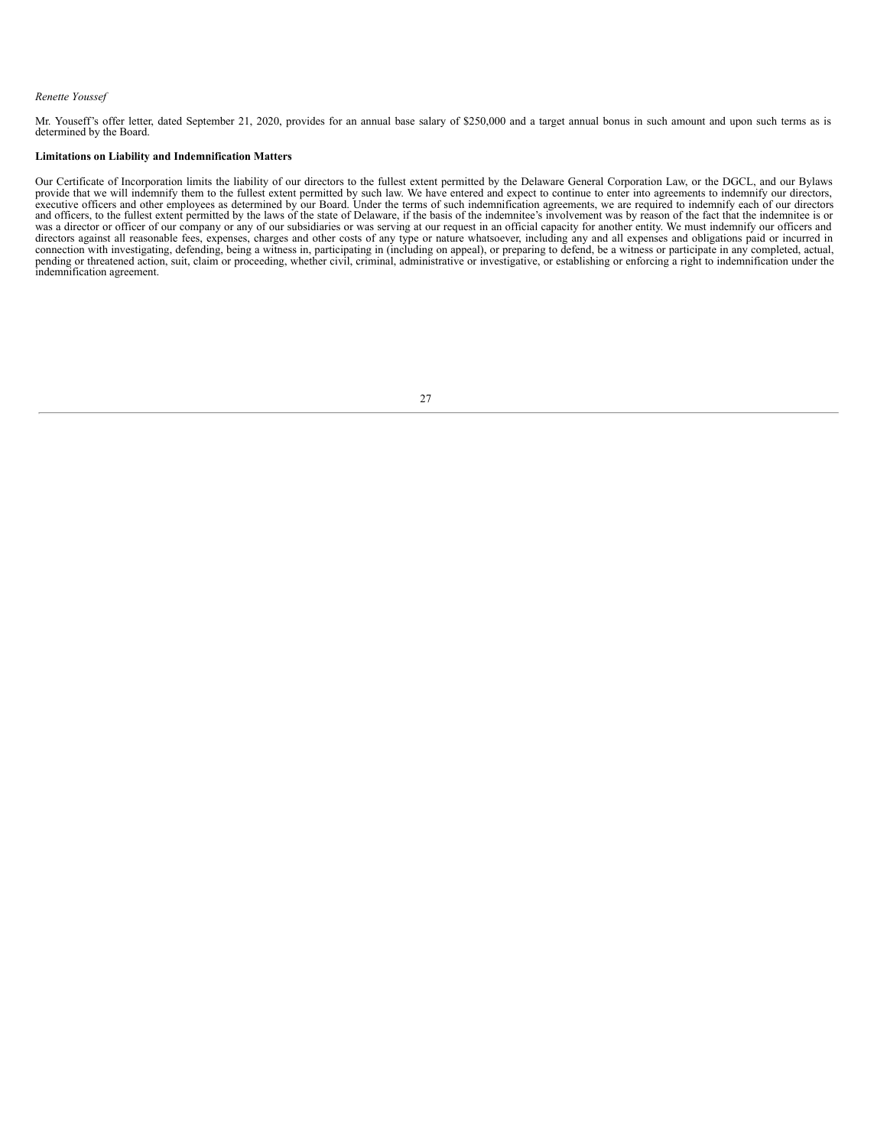#### *Renette Youssef*

Mr. Youseff's offer letter, dated September 21, 2020, provides for an annual base salary of \$250,000 and a target annual bonus in such amount and upon such terms as is determined by the Board.

### **Limitations on Liability and Indemnification Matters**

Our Certificate of Incorporation limits the liability of our directors to the fullest extent permitted by the Delaware General Corporation Law, or the DGCL, and our Bylaws<br>provide that we will indemnify them to the fullest directors against all reasonable fees, expenses, charges and other costs of any type or nature whatsoever, including any and all expenses and obligations paid or incurred in connection with investigating, defending, being pending or threatened action, suit, claim or proceeding, whether civil, criminal, administrative or investigative, or establishing or enforcing a right to indemnification under the indemnification agreement.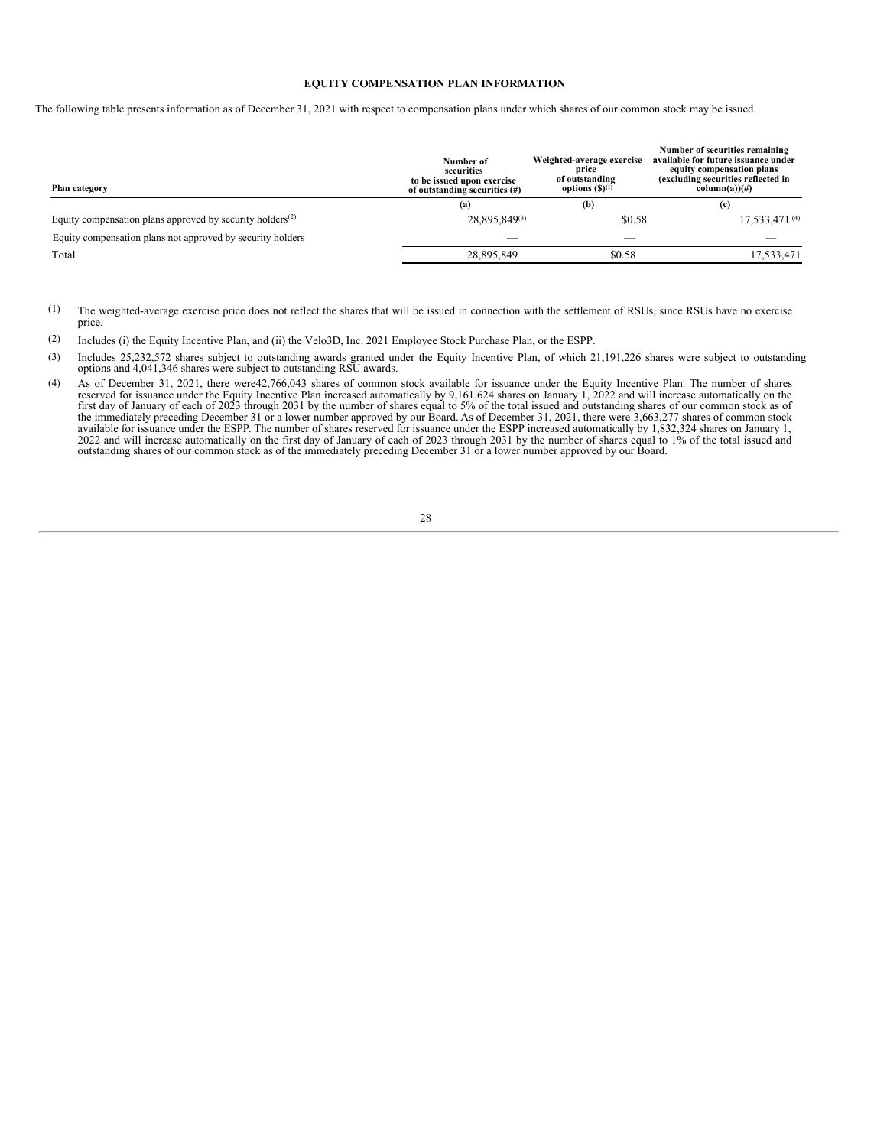#### **EQUITY COMPENSATION PLAN INFORMATION**

The following table presents information as of December 31, 2021 with respect to compensation plans under which shares of our common stock may be issued.

| Plan category                                                | Number of<br>securities<br>to be issued upon exercise<br>of outstanding securities (#) | Weighted-average exercise<br>price<br>of outstanding<br>options $(S)^{(1)}$ | Number of securities remaining<br>available for future issuance under<br>equity compensation plans<br>(excluding securities reflected in<br>$column(a))$ (#) |  |  |
|--------------------------------------------------------------|----------------------------------------------------------------------------------------|-----------------------------------------------------------------------------|--------------------------------------------------------------------------------------------------------------------------------------------------------------|--|--|
|                                                              | (a)                                                                                    | (b)                                                                         | (c)                                                                                                                                                          |  |  |
| Equity compensation plans approved by security holders $(2)$ | 28,895,849(3)                                                                          | \$0.58                                                                      | 17,533,471 $(4)$                                                                                                                                             |  |  |
| Equity compensation plans not approved by security holders   |                                                                                        |                                                                             |                                                                                                                                                              |  |  |
| Total                                                        | 28.895.849                                                                             | \$0.58                                                                      | 17,533,471                                                                                                                                                   |  |  |

(1) The weighted-average exercise price does not reflect the shares that will be issued in connection with the settlement of RSUs, since RSUs have no exercise price.

(2) Includes (i) the Equity Incentive Plan, and (ii) the Velo3D, Inc. 2021 Employee Stock Purchase Plan, or the ESPP.

(3) Includes 25,232,572 shares subject to outstanding awards granted under the Equity Incentive Plan, of which 21,191,226 shares were subject to outstanding options and 4,041,346 shares were subject to outstanding RSU awards.

<span id="page-32-0"></span>(4) As of December 31, 2021, there were42,766,043 shares of common stock available for issuance under the Equity Incentive Plan. The number of shares reserved for issuance under the Equity Incentive Plan increased automatically by 9,161,624 shares on January 1, 2022 and will increase automatically on the first day of January of each of 2023 through 2031 by the number of outstanding shares of our common stock as of the immediately preceding December 31 or a lower number approved by our Board.

### 28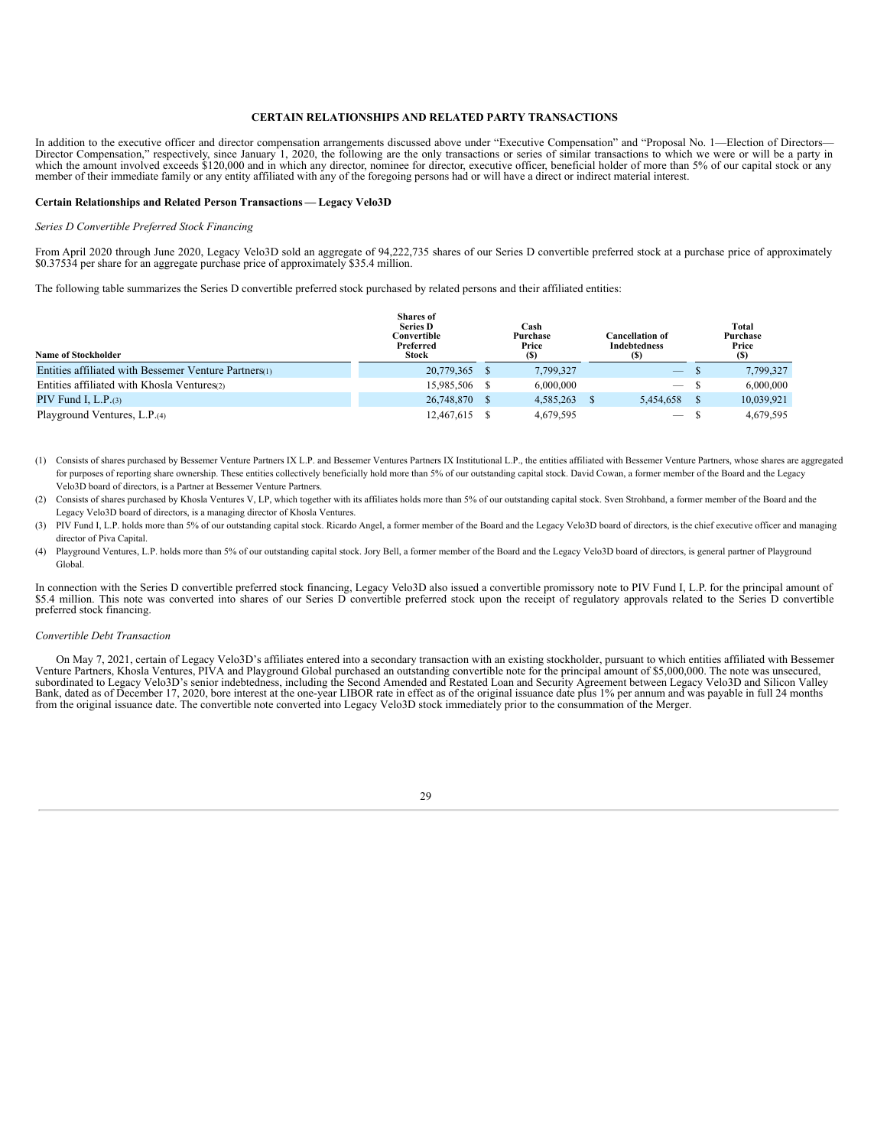#### **CERTAIN RELATIONSHIPS AND RELATED PARTY TRANSACTIONS**

In addition to the executive officer and director compensation arrangements discussed above under "Executive Compensation" and "Proposal No. 1—Election of Directors—<br>Director Compensation," respectively, since January 1, 2 which the amount involved exceeds \$120,000 and in which any director, nominee for director, executive officer, beneficial holder of more than 5% of our capital stock or any member of their immediate family or any entity af

#### **Certain Relationships and Related Person Transactions — Legacy Velo3D**

#### *Series D Convertible Preferred Stock Financing*

From April 2020 through June 2020, Legacy Velo3D sold an aggregate of 94,222,735 shares of our Series D convertible preferred stock at a purchase price of approximately \$0.37534 per share for an aggregate purchase price of approximately \$35.4 million.

The following table summarizes the Series D convertible preferred stock purchased by related persons and their affiliated entities:

| <b>Name of Stockholder</b>                            | <b>Shares of</b><br><b>Series D</b><br>Convertible<br>Preferred<br>Stock | Cash<br>Purchase<br>Price<br>(S) | Cancellation of<br><b>Indebtedness</b><br>(S) | Total<br>Purchase<br>Price<br>(S) |
|-------------------------------------------------------|--------------------------------------------------------------------------|----------------------------------|-----------------------------------------------|-----------------------------------|
| Entities affiliated with Bessemer Venture Partners(1) | 20,779,365 \$                                                            | 7,799,327                        | $\hspace{0.05cm}$                             | 7,799,327                         |
| Entities affiliated with Khosla Ventures(2)           | 15.985.506 \$                                                            | 6,000,000                        | $\hspace{0.05cm}$                             | 6,000,000                         |
| PIV Fund I, $L.P.(3)$                                 | 26,748,870 \$                                                            | 4.585.263                        | 5.454.658                                     | 10.039.921                        |
| Playground Ventures, L.P.(4)                          | 12,467,615 \$                                                            | 4,679,595                        | $\hspace{0.1mm}-\hspace{0.1mm}$               | 4,679,595                         |

- (1) Consists of shares purchased by Bessemer Venture Partners IX L.P. and Bessemer Ventures Partners IX Institutional L.P., the entities affiliated with Bessemer Venture Partners, whose shares are aggregated for purposes of reporting share ownership. These entities collectively beneficially hold more than 5% of our outstanding capital stock. David Cowan, a former member of the Board and the Legacy Velo3D board of directors, is a Partner at Bessemer Venture Partners.
- (2) Consists of shares purchased by Khosla Ventures V, LP, which together with its affiliates holds more than 5% of our outstanding capital stock. Sven Strohband, a former member of the Board and the Legacy Velo3D board of directors, is a managing director of Khosla Ventures.
- (3) PIV Fund I, L.P. holds more than 5% of our outstanding capital stock. Ricardo Angel, a former member of the Board and the Legacy Velo3D board of directors, is the chief executive officer and managing director of Piva Capital.
- (4) Playground Ventures, L.P. holds more than 5% of our outstanding capital stock. Jory Bell, a former member of the Board and the Legacy Velo3D board of directors, is general partner of Playground Global.

In connection with the Series D convertible preferred stock financing, Legacy Velo3D also issued a convertible promissory note to PIV Fund I, L.P. for the principal amount of \$5.4 million. This note was converted into shares of our Series D convertible preferred stock upon the receipt of regulatory approvals related to the Series D convertible preferred stock financing.

#### *Convertible Debt Transaction*

On May 7, 2021, certain of Legacy Velo3D's affiliates entered into a secondary transaction with an existing stockholder, pursuant to which entities affiliated with Bessemer Venture Partners, Khosla Ventures, PIVA and Playg subordinated to Legacy Velo3D's senior indebtedness, including the Second Amended and Restated Loan and Security Agreement between Legacy Velo3D and Silicon Valley<br>Bank, dated as of December 17, 2020, bore interest at the

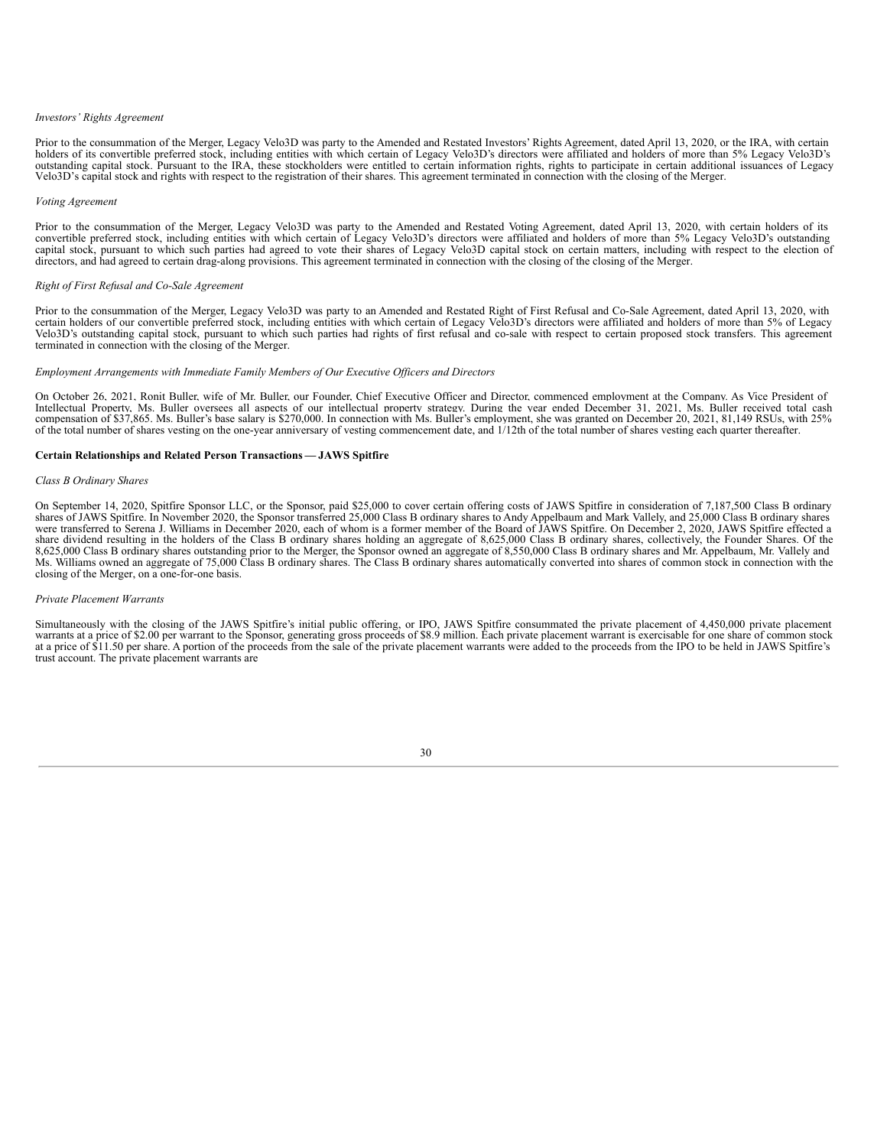#### *Investors' Rights Agreement*

Prior to the consummation of the Merger, Legacy Velo3D was party to the Amended and Restated Investors' Rights Agreement, dated April 13, 2020, or the IRA, with certain holders of its convertible preferred stock, including

#### *Voting Agreement*

Prior to the consummation of the Merger, Legacy Velo3D was party to the Amended and Restated Voting Agreement, dated April 13, 2020, with certain holders of its convertible preferred stock, including entities with which certain of Legacy Velo3D's directors were affiliated and holders of more than 5% Legacy Velo3D's outstanding<br>capital stock, pursuant to which such parties had agre directors, and had agreed to certain drag-along provisions. This agreement terminated in connection with the closing of the closing of the Merger.

#### *Right of First Refusal and Co-Sale Agreement*

Prior to the consummation of the Merger, Legacy Velo3D was party to an Amended and Restated Right of First Refusal and Co-Sale Agreement, dated April 13, 2020, with<br>certain holders of our convertible preferred stock, inclu

#### *Employment Arrangements with Immediate Family Members of Our Executive Of icers and Directors*

On October 26, 2021, Ronit Buller, wife of Mr. Buller, our Founder, Chief Executive Officer and Director, commenced employment at the Company. As Vice President of Intellectual Property, Ms. Buller oversees all aspects of our intellectual property strategy. During the vear ended December 31, 2021, Ms. Buller received total cash compensation of \$37,865. Ms. Buller's base salary is \$27 of the total number of shares vesting on the one-year anniversary of vesting commencement date, and 1/12th of the total number of shares vesting each quarter thereafter.

#### **Certain Relationships and Related Person Transactions — JAWS Spitfire**

#### *Class B Ordinary Shares*

On September 14, 2020, Spitfire Sponsor LLC, or the Sponsor, paid \$25,000 to cover certain offering costs of JAWS Spitfire in consideration of 7,187,500 Class B ordinary shares of JAWS Spitfire. In November 2020, the Sponsor transferred 25,000 Class B ordinary shares to Andy Appelbaum and Mark Vallely, and 25,000 Class B ordinary shares<br>were transferred to Serena J. Williams in December 20 share dividend resulting in the holders of the Class B ordinary shares holding an aggregate of 8,625,000 Class B ordinary shares, collectively, the Founder Shares. Of the 8,625,000 Class B ordinary shares outstanding prior to the Merger, the Sponsor owned an aggregate of 8,550,000 Class B ordinary shares and Mr. Appelbaum, Mr. Vallely and Ms. Williams owned an aggregate of 75,000 Class B or closing of the Merger, on a one-for-one basis.

#### *Private Placement Warrants*

Simultaneously with the closing of the JAWS Spitfire's initial public offering, or IPO, JAWS Spitfire consummated the private placement of 4,450,000 private placement warrants at a price of \$2.00 per warrant to the Sponsor at a price of \$11.50 per share. A portion of the proceeds from the sale of the private placement warrants were added to the proceeds from the IPO to be held in JAWS Spitfire's trust account. The private placement warrants are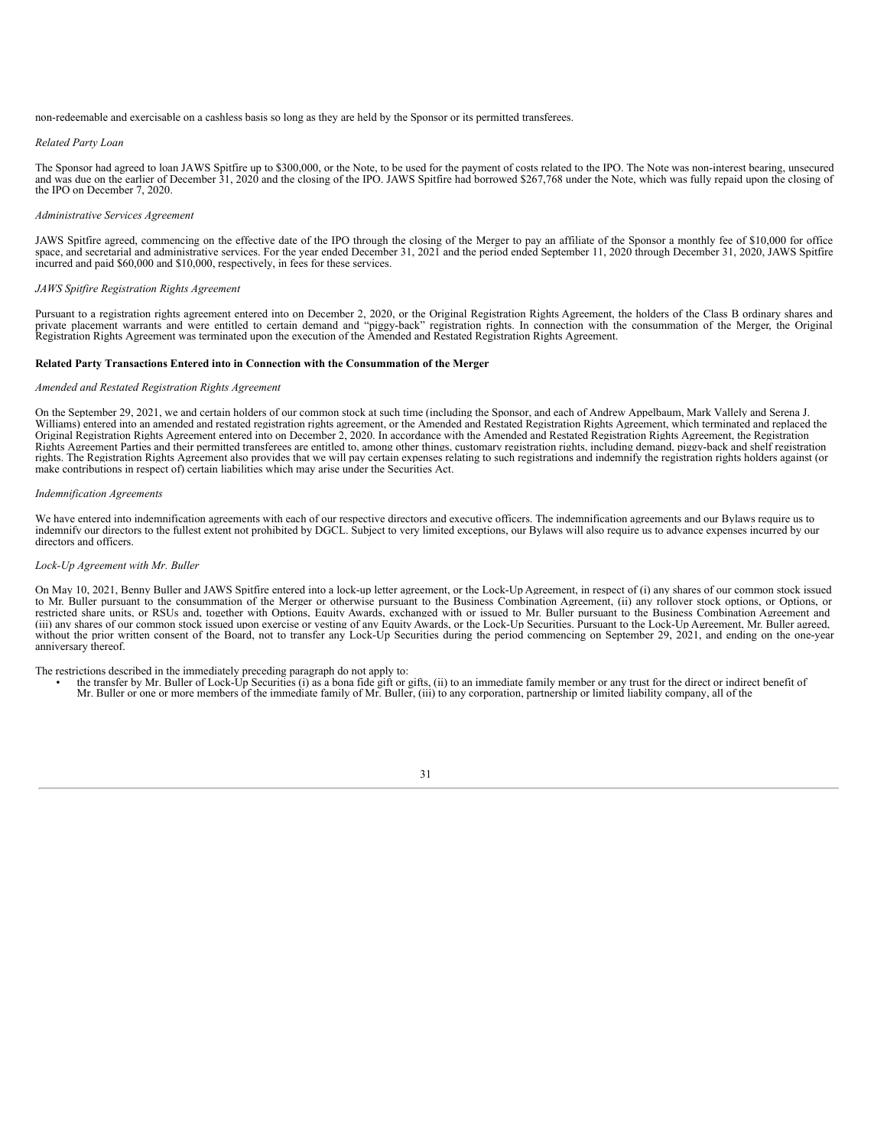non-redeemable and exercisable on a cashless basis so long as they are held by the Sponsor or its permitted transferees.

#### *Related Party Loan*

The Sponsor had agreed to loan JAWS Spitfire up to \$300,000, or the Note, to be used for the payment of costs related to the IPO. The Note was non-interest bearing, unsecured and was due on the earlier of December 31, 2020 and the closing of the IPO. JAWS Spitfire had borrowed \$267,768 under the Note, which was fully repaid upon the closing of the IPO on December 7, 2020.

#### *Administrative Services Agreement*

JAWS Spitfire agreed, commencing on the effective date of the IPO through the closing of the Merger to pay an affiliate of the Sponsor a monthly fee of \$10,000 for office space, and secretarial and administrative services. For the year ended December 31, 2021 and the period ended September 11, 2020 through December 31, 2020, JAWS Spitfire incurred and paid \$60,000 and \$10,000, respectively, in fees for these services.

#### *JAWS Spitfire Registration Rights Agreement*

Pursuant to a registration rights agreement entered into on December 2, 2020, or the Original Registration Rights Agreement, the holders of the Class B ordinary shares and private placement warrants and were entitled to certain demand and "piggy-back" registration rights. In connection with the consummation of the Merger, the Original Registration Rights Agreement was terminated upon the exe

#### **Related Party Transactions Entered into in Connection with the Consummation of the Merger**

#### *Amended and Restated Registration Rights Agreement*

On the September 29, 2021, we and certain holders of our common stock at such time (including the Sponsor, and each of Andrew Appelbaum, Mark Vallely and Serena J. Williams) entered into an amended and restated registration rights agreement, or the Amended and Restated Registration Rights Agreement, which terminated and replaced the Original Registration Rights Agreement entered into on December 2, 2020. In accordance with the Amended and Restated Registration Rights Agreement, the Registration Rights Agreement Parties and their permitted transferees are entitled to, among other things, customary registration rights, including demand, piggy-back and shelf registration rights. The Registration Rights Agreement also provides that we will pay certain expenses relating to such registrations and indemnify the registration rights holders against (or make contributions in respect of) certain liabilities which may arise under the Securities Act.

#### *Indemnification Agreements*

We have entered into indemnification agreements with each of our respective directors and executive officers. The indemnification agreements and our Bylaws require us to indemnify our directors to the fullest extent not prohibited by DGCL. Subject to very limited exceptions, our Bylaws will also require us to advance expenses incurred by our directors and officers.

#### *Lock-Up Agreement with Mr. Buller*

On May 10, 2021, Benny Buller and JAWS Spitfire entered into a lock-up letter agreement, or the Lock-Up Agreement, in respect of (i) any shares of our common stock issued<br>to Mr. Buller pursuant to the consummation of the M restricted share units, or RSUs and, together with Options, Equity Awards, exchanged with or issued to Mr. Buller pursuant to the Business Combination Agreement and (iii) any shares of our common stock issued upon exercise or vesting of any Equity Awards, or the Lock-Up Securities. Pursuant to the Lock-Up Agreement, Mr. Buller agreed, without the prior written consent of the Board, not to transfer any Lock-Up Securities during the period commencing on September 29, 2021, and ending on the one-year anniversary thereof.

#### The restrictions described in the immediately preceding paragraph do not apply to:

• the transfer by Mr. Buller of Lock-Up Securities (i) as a bona fide gift or gifts, (ii) to an immediate family member or any trust for the direct or indirect benefit of Mr. Buller or one or more members of the immediate

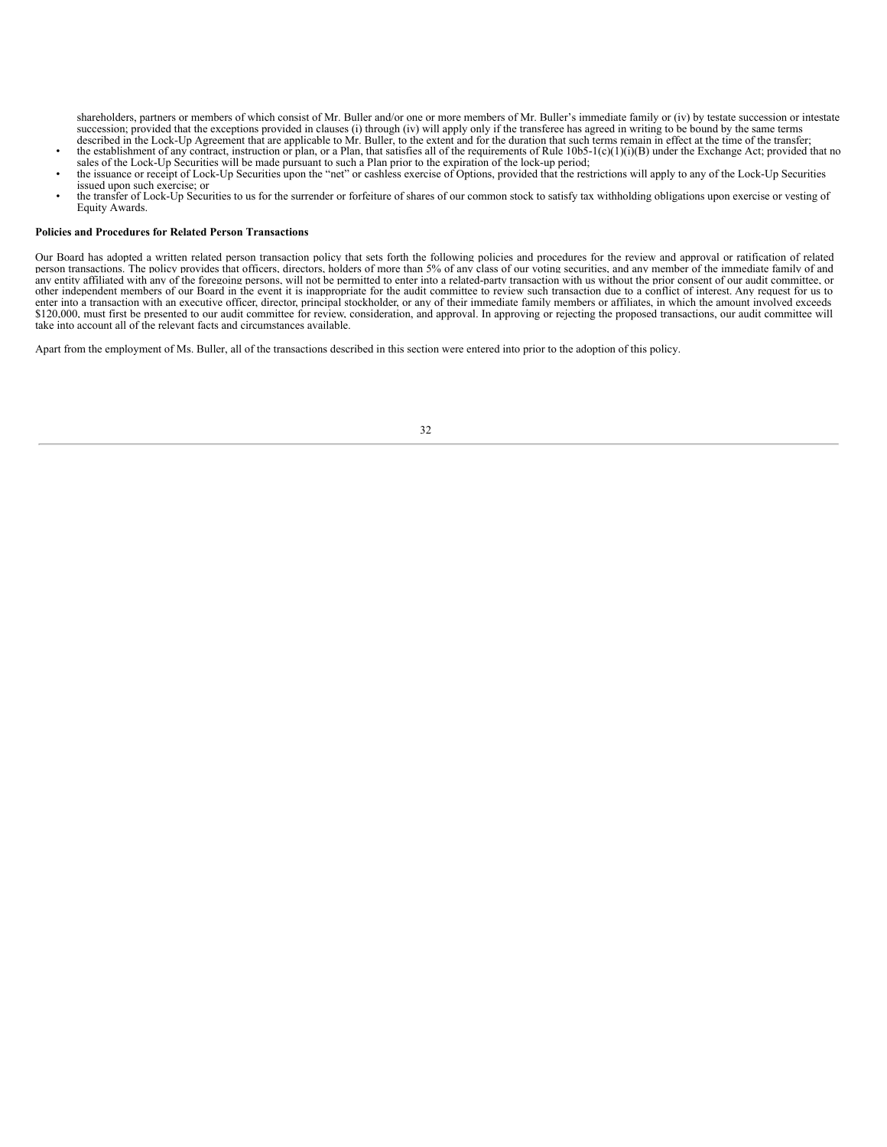shareholders, partners or members of which consist of Mr. Buller and/or one or more members of Mr. Buller's immediate family or (iv) by testate succession or intestate succession; provided that the exceptions provided in clauses (i) through (iv) will apply only if the transferee has agreed in writing to be bound by the same terms described in the Lock-Up Agreement that are applicable to Mr. Buller, to the extent and for the duration that such terms remain in effect at the time of the transfer;

- the establishment of any contract, instruction or plan, or a Plan, that satisfies all of the requirements of Rule 10b5-1(c)(1)(i)(B) under the Exchange Act; provided that no sales of the Lock-Up Securities will be made pursuant to such a Plan prior to the expiration of the lock-up period;
- the issuance or receipt of Lock-Up Securities upon the "net" or cashless exercise of Options, provided that the restrictions will apply to any of the Lock-Up Securities issued upon such exercise; or
- the transfer of Lock-Up Securities to us for the surrender or forfeiture of shares of our common stock to satisfy tax withholding obligations upon exercise or vesting of Equity Awards.

#### **Policies and Procedures for Related Person Transactions**

Our Board has adopted a written related person transaction policy that sets forth the following policies and procedures for the review and approval or ratification of related person transactions. The policy provides that officers, directors, holders of more than 5% of any class of our voting securities, and any member of the immediate family of and any entity affiliated with any of the foregoin other independent members of our Board in the event it is inappropriate for the audit committee to review such transaction due to a conflict of interest. Any request for us to enter into a transaction with an executive officer, director, principal stockholder, or any of their immediate family members or affiliates, in which the amount involved exceeds \$120,000, must first be presented to our audit committee for review, consideration, and approval. In approving or rejecting the proposed transactions, our audit committee will take into account all of the relevant facts and circumstances available.

<span id="page-36-0"></span>Apart from the employment of Ms. Buller, all of the transactions described in this section were entered into prior to the adoption of this policy.

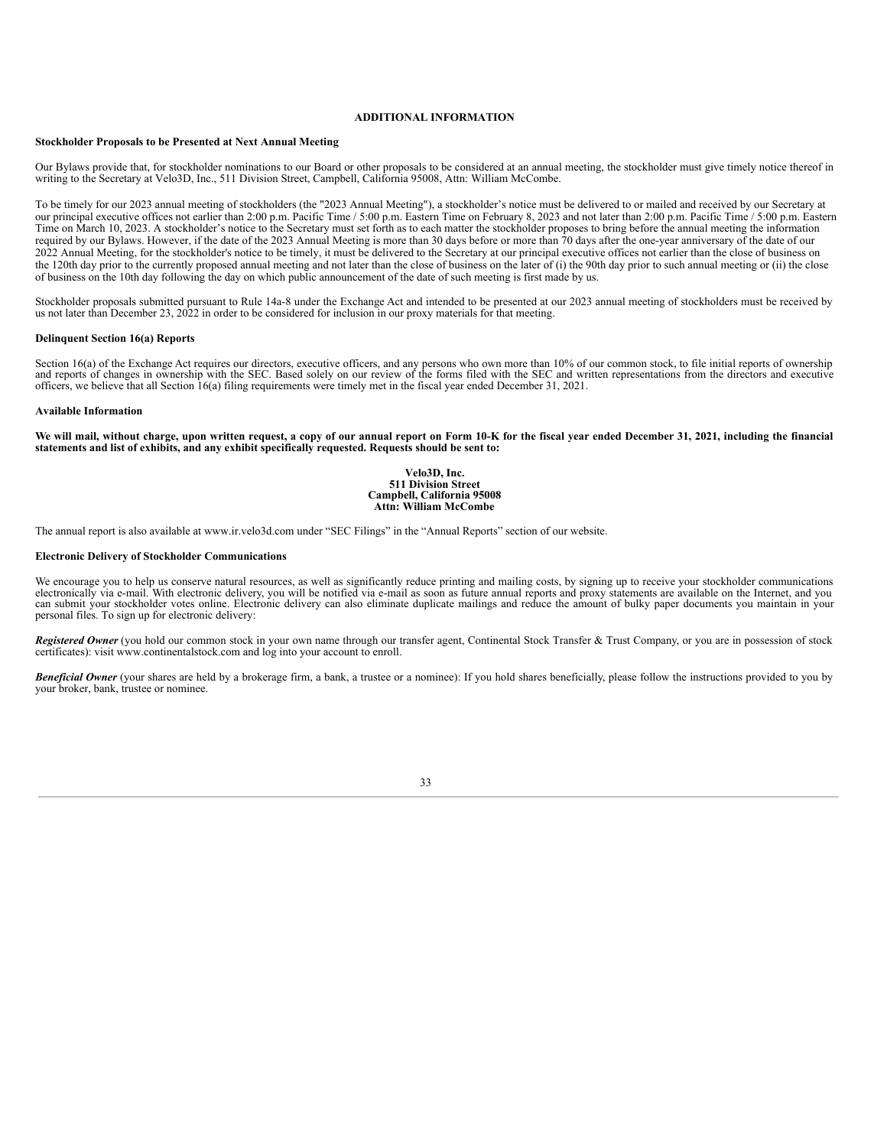#### **ADDITIONAL INFORMATION**

#### **Stockholder Proposals to be Presented at Next Annual Meeting**

Our Bylaws provide that, for stockholder nominations to our Board or other proposals to be considered at an annual meeting, the stockholder must give timely notice thereof in writing to the Secretary at Velo3D, Inc., 511 Division Street, Campbell, California 95008, Attn: William McCombe.

To be timely for our 2023 annual meeting of stockholders (the "2023 Annual Meeting"), a stockholder's notice must be delivered to or mailed and received by our Secretary at our principal executive offices not earlier than 2:00 p.m. Pacific Time / 5:00 p.m. Eastern Time on February 8, 2023 and not later than 2:00 p.m. Pacific Time / 5:00 p.m. Eastern Time on March 10, 2023. A stockholder's notice to the Secretary must set forth as to each matter the stockholder proposes to bring before the annual meeting the information required by our Bylaws. However, if the date of the 2023 Annual Meeting is more than 30 days before or more than 70 days after the one-year anniversary of the date of our 2022 Annual Meeting, for the stockholder's notice to be timely, it must be delivered to the Secretary at our principal executive offices not earlier than the close of business on the 120th day prior to the currently proposed annual meeting and not later than the close of business on the later of (i) the 90th day prior to such annual meeting or (ii) the close of business on the 10th day following the day on which public announcement of the date of such meeting is first made by us.

Stockholder proposals submitted pursuant to Rule 14a-8 under the Exchange Act and intended to be presented at our 2023 annual meeting of stockholders must be received by us not later than December 23, 2022 in order to be considered for inclusion in our proxy materials for that meeting.

#### **Delinquent Section 16(a) Reports**

Section 16(a) of the Exchange Act requires our directors, executive officers, and any persons who own more than 10% of our common stock, to file initial reports of ownership and reports of changes in ownership with the SEC officers, we believe that all Section 16(a) filing requirements were timely met in the fiscal year ended December 31, 2021.

#### **Available Information**

We will mail, without charge, upon written request, a copy of our annual report on Form 10-K for the fiscal year ended December 31, 2021, including the financial **statements and list of exhibits, and any exhibit specifically requested. Requests should be sent to:**

#### **Velo3D, Inc. 511 Division Street Campbell, California 95008 Attn: William McCombe**

The annual report is also available at www.ir.velo3d.com under "SEC Filings" in the "Annual Reports" section of our website.

#### **Electronic Delivery of Stockholder Communications**

We encourage you to help us conserve natural resources, as well as significantly reduce printing and mailing costs, by signing up to receive your stockholder communications electronically via e-mail. With electronic delive can submit your stockholder votes online. Electronic delivery can also eliminate duplicate mailings and reduce the amount of bulky paper documents you maintain in your personal files. To sign up for electronic delivery:

*Registered Owner* (you hold our common stock in your own name through our transfer agent, Continental Stock Transfer & Trust Company, or you are in possession of stock certificates): visit www.continentalstock.com and log into your account to enroll.

**Beneficial Owner** (your shares are held by a brokerage firm, a bank, a trustee or a nominee): If you hold shares beneficially, please follow the instructions provided to you by your broker, bank, trustee or nominee.

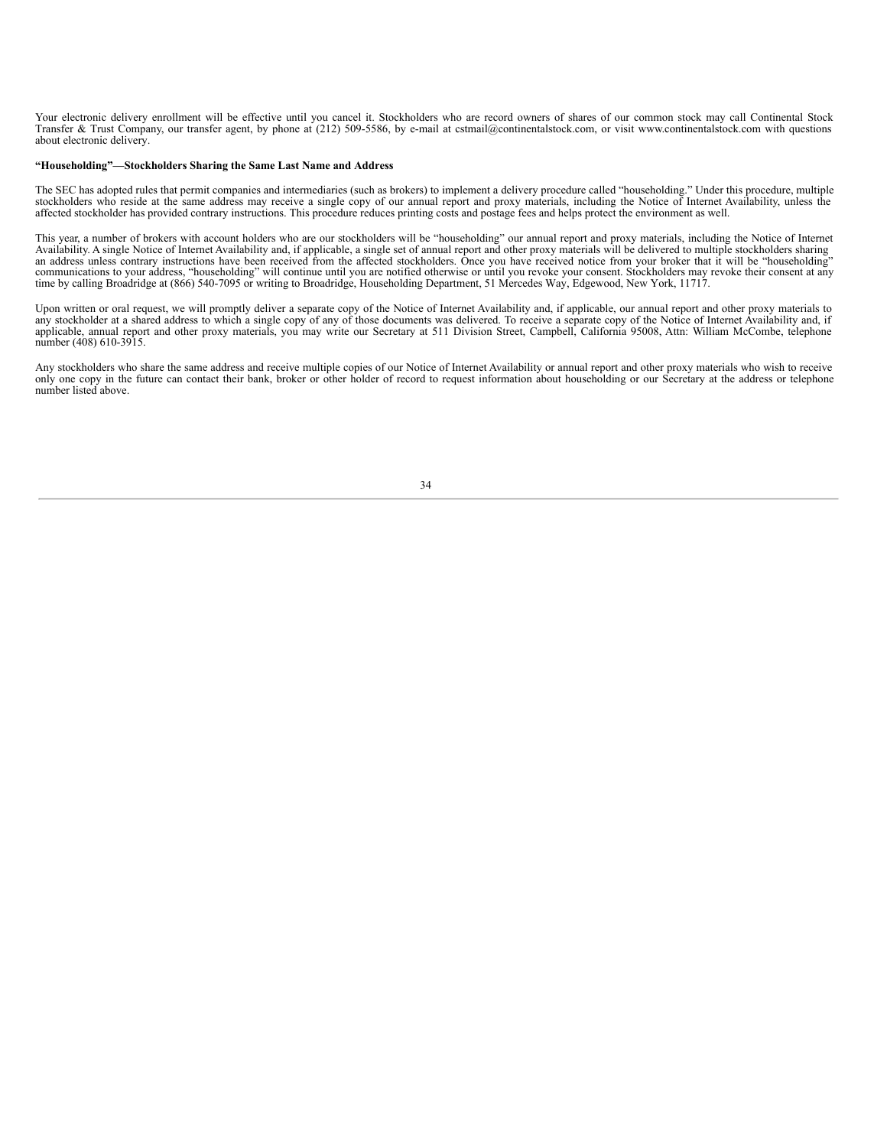Your electronic delivery enrollment will be effective until you cancel it. Stockholders who are record owners of shares of our common stock may call Continental Stock Transfer & Trust Company, our transfer agent, by phone at (212) 509-5586, by e-mail at cstmail@continentalstock.com, or visit www.continentalstock.com with questions about electronic delivery.

#### **"Householding"—Stockholders Sharing the Same Last Name and Address**

The SEC has adopted rules that permit companies and intermediaries (such as brokers) to implement a delivery procedure called "householding." Under this procedure, multiple stockholders who reside at the same address may r affected stockholder has provided contrary instructions. This procedure reduces printing costs and postage fees and helps protect the environment as well.

This year, a number of brokers with account holders who are our stockholders will be "householding" our annual report and proxy materials, including the Notice of Internet Availability. A single Notice of Internet Availabi

Upon written or oral request, we will promptly deliver a separate copy of the Notice of Internet Availability and, if applicable, our annual report and other proxy materials to any stockholder at a shared address to which number (408) 610-3915.

<span id="page-38-0"></span>Any stockholders who share the same address and receive multiple copies of our Notice of Internet Availability or annual report and other proxy materials who wish to receive only one copy in the future can contact their bank, broker or other holder of record to request information about householding or our Secretary at the address or telephone number listed above.

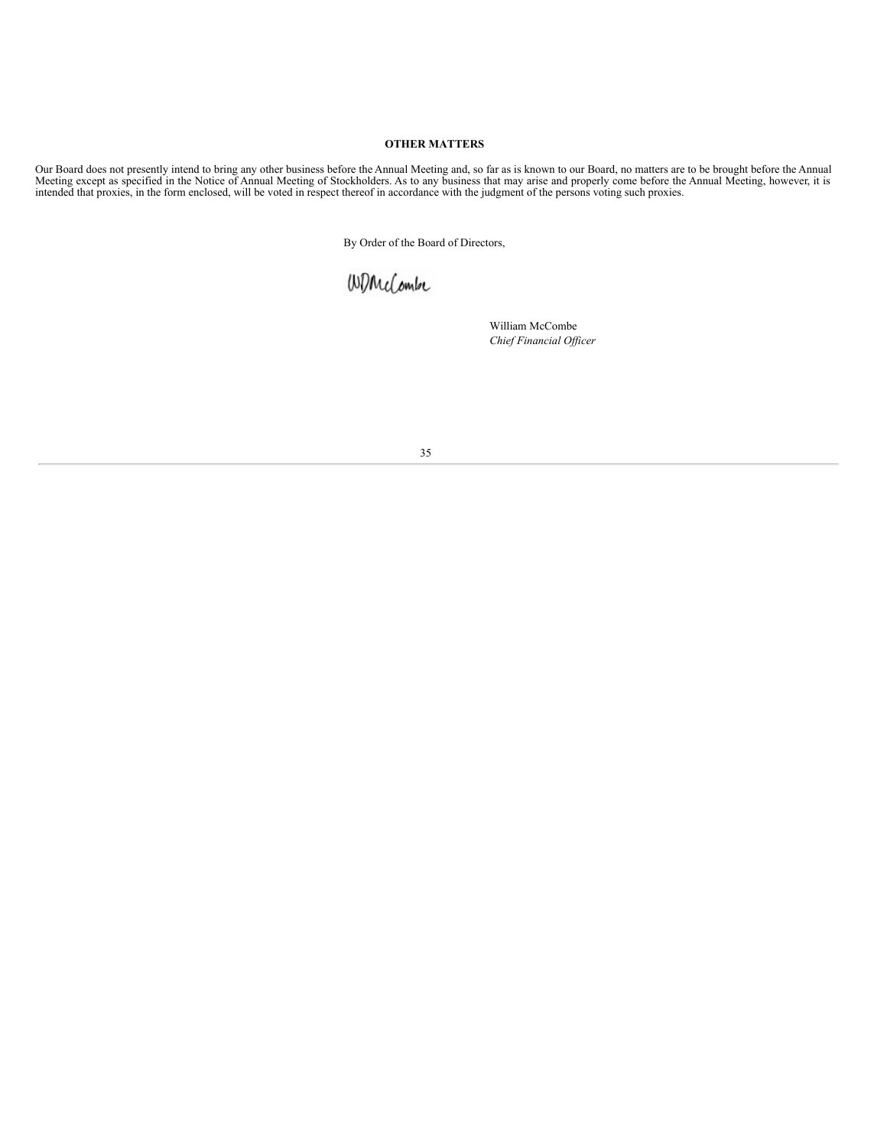### **OTHER MATTERS**

Our Board does not presently intend to bring any other business before the Annual Meeting and, so far as is known to our Board, no matters are to be brought before the Annual<br>Meeting except as specified in the Notice of An

By Order of the Board of Directors,

# WDMcCombe

William McCombe *Chief Financial Of icer*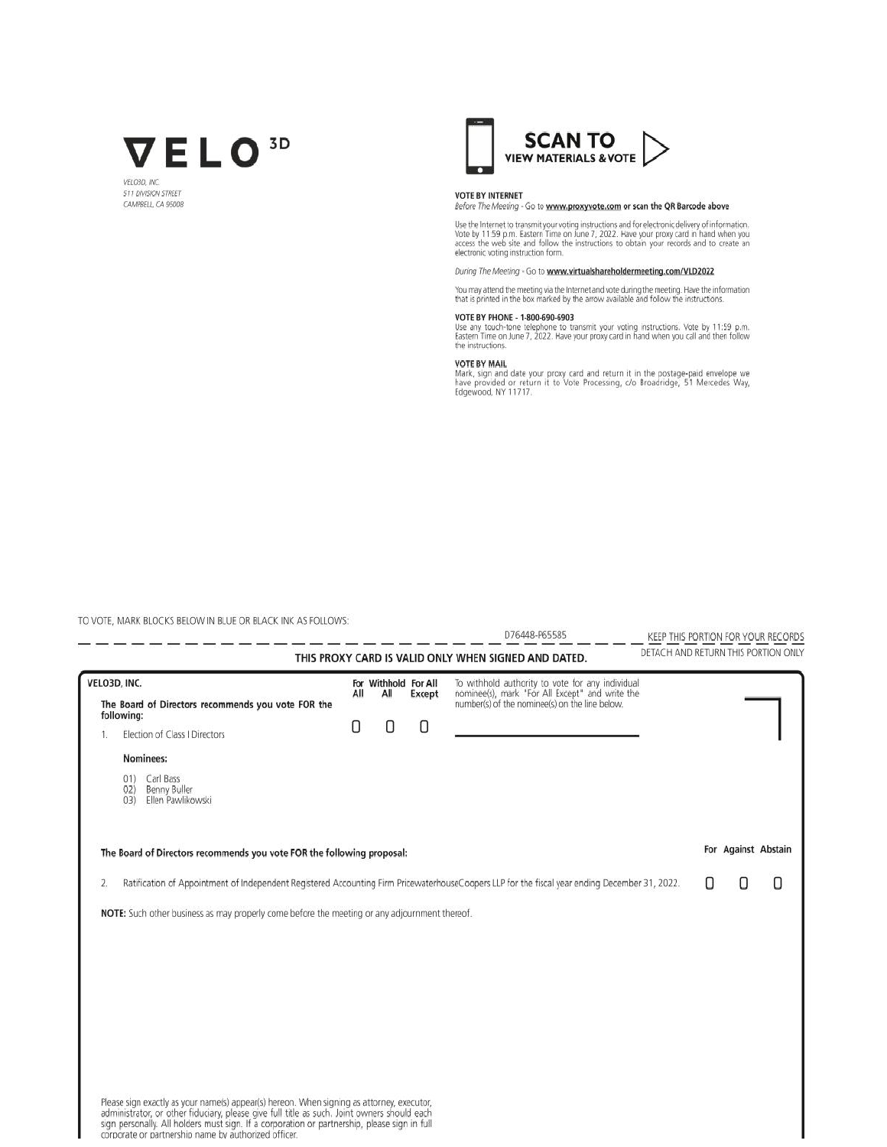

VELORD BY **STT DIVISION STREET** CAMPBELL, CA 95008



#### **VOTE BY INTERNET**

Before The Meeting - Go to www.proxyvote.com or scan the QR Barcode above

Use the Internet to transmit your voting instructions and for electronic delivery of information.<br>Vote by 11:59 p.m. Eastern Time on June 7, 2022. Have your proxy card in hand when you<br>access the web site and follow the in

#### During The Meeting - Go to www.virtualshareholdermeeting.com/VLD2022

You may attend the meeting via the Internet and vote during the meeting. Have the information<br>that is printed in the box marked by the arrow available and follow the instructions.

### VOTE BY PHONE - 1-800-690-6903

Vice any touch-tone telephone to transmit your voting instructions. Vote by 11:59 p.m.<br>Eastern Time on June 7, 2022. Have your proxy card in hand when you call and then follow the instructions.

#### **VOTE BY MAIL**

Note of Michael date your proxy card and return it in the postage-paid envelope we have provided or return it to Vote Processing, c/o Broadridge, 51 Mercedes Way, Edgewood, NY 11717.

L.

TO VOTE, MARK BLOCKS BELOW IN BLUE OR BLACK INK AS FOLLOWS: 

D76448-P65585

KEEP THIS PORTION FOR YOUR RECORDS DETACH AND RETURN THIS PORTION ONLY

|                                                                                                                                                                                                                                                                                                                                                  |     |                             |        | DETACH AND RETURN THIS PORTION ONLY<br>THIS PROXY CARD IS VALID ONLY WHEN SIGNED AND DATED.                                                           |   |                     |   |
|--------------------------------------------------------------------------------------------------------------------------------------------------------------------------------------------------------------------------------------------------------------------------------------------------------------------------------------------------|-----|-----------------------------|--------|-------------------------------------------------------------------------------------------------------------------------------------------------------|---|---------------------|---|
| VELO3D, INC.<br>The Board of Directors recommends you vote FOR the                                                                                                                                                                                                                                                                               | All | For Withhold For All<br>All | Except | To withhold authority to vote for any individual<br>nominee(s), mark "For All Except" and write the<br>number(s) of the nominee(s) on the line below. |   |                     |   |
| following:<br>Election of Class I Directors                                                                                                                                                                                                                                                                                                      | U   | O                           | 0      |                                                                                                                                                       |   |                     |   |
| Nominees:                                                                                                                                                                                                                                                                                                                                        |     |                             |        |                                                                                                                                                       |   |                     |   |
| 01) Carl Bass<br>Benny Buller<br>02)<br>Ellen Pawlikowski<br>(03)                                                                                                                                                                                                                                                                                |     |                             |        |                                                                                                                                                       |   |                     |   |
| The Board of Directors recommends you vote FOR the following proposal:                                                                                                                                                                                                                                                                           |     |                             |        |                                                                                                                                                       |   | For Against Abstain |   |
| 2.                                                                                                                                                                                                                                                                                                                                               |     |                             |        | Ratification of Appointment of Independent Registered Accounting Firm PricewaterhouseCoopers LLP for the fiscal year ending December 31, 2022.        | Н | П                   | Ω |
| NOTE: Such other business as may properly come before the meeting or any adjournment thereof.                                                                                                                                                                                                                                                    |     |                             |        |                                                                                                                                                       |   |                     |   |
|                                                                                                                                                                                                                                                                                                                                                  |     |                             |        |                                                                                                                                                       |   |                     |   |
|                                                                                                                                                                                                                                                                                                                                                  |     |                             |        |                                                                                                                                                       |   |                     |   |
|                                                                                                                                                                                                                                                                                                                                                  |     |                             |        |                                                                                                                                                       |   |                     |   |
|                                                                                                                                                                                                                                                                                                                                                  |     |                             |        |                                                                                                                                                       |   |                     |   |
|                                                                                                                                                                                                                                                                                                                                                  |     |                             |        |                                                                                                                                                       |   |                     |   |
|                                                                                                                                                                                                                                                                                                                                                  |     |                             |        |                                                                                                                                                       |   |                     |   |
| Please sign exactly as your name(s) appear(s) hereon. When signing as attorney, executor,<br>administrator, or other fiduciary, please give full title as such. Joint owners should each<br>sign personally. All holders must sign. If a corporation or partnership, please sign in full<br>corporate or partnership name by authorized officer. |     |                             |        |                                                                                                                                                       |   |                     |   |

<u>an bangsa sa sa mang sa pag</u>

- - -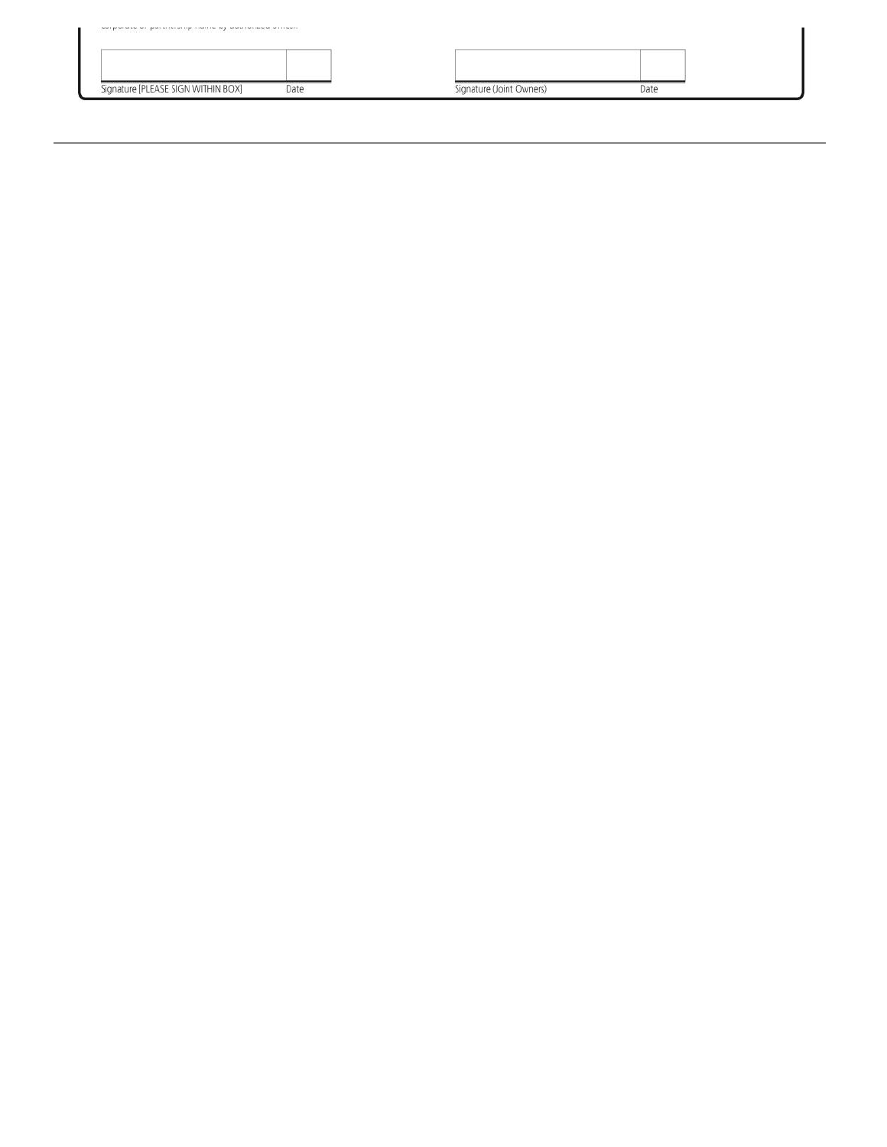| Signature [PLEASE SIGN WITHIN BOX] | Date | Signature (Joint Owners) | Date |  |
|------------------------------------|------|--------------------------|------|--|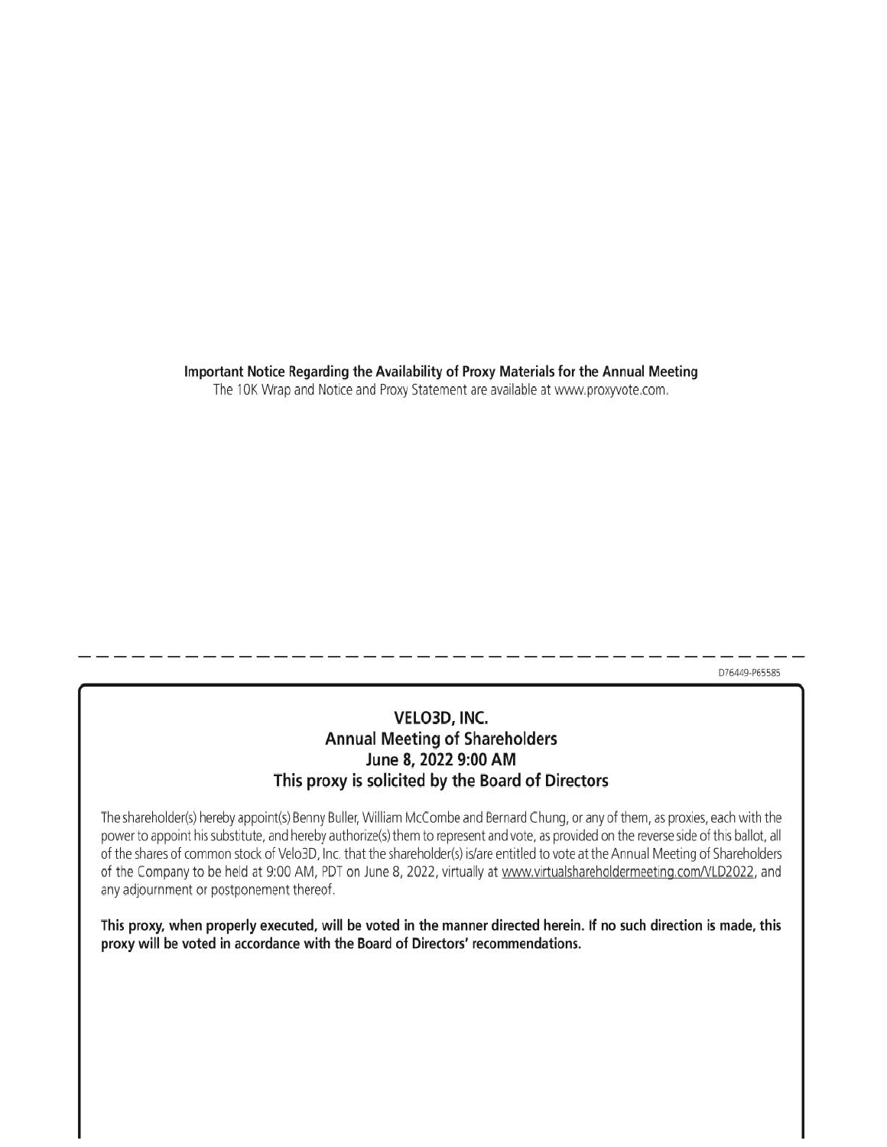Important Notice Regarding the Availability of Proxy Materials for the Annual Meeting

The 10K Wrap and Notice and Proxy Statement are available at www.proxyvote.com.

D76449-P65585

## VELO3D, INC. **Annual Meeting of Shareholders** June 8, 2022 9:00 AM This proxy is solicited by the Board of Directors

The shareholder(s) hereby appoint(s) Benny Buller, William McCombe and Bernard Chung, or any of them, as proxies, each with the power to appoint his substitute, and hereby authorize(s) them to represent and vote, as provided on the reverse side of this ballot, all of the shares of common stock of Velo3D, Inc. that the shareholder(s) is/are entitled to vote at the Annual Meeting of Shareholders of the Company to be held at 9:00 AM, PDT on June 8, 2022, virtually at www.virtualshareholdermeeting.com/VLD2022, and any adjournment or postponement thereof.

This proxy, when properly executed, will be voted in the manner directed herein. If no such direction is made, this proxy will be voted in accordance with the Board of Directors' recommendations.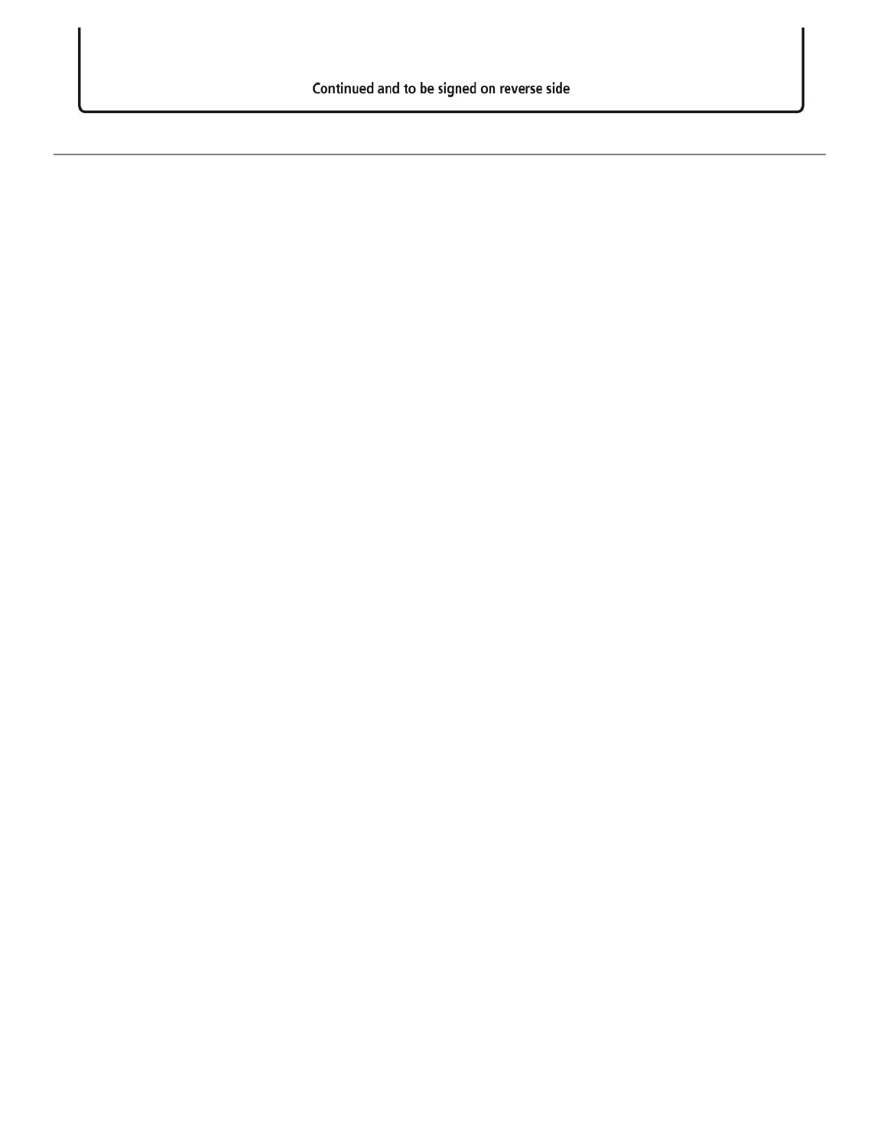Continued and to be signed on reverse side